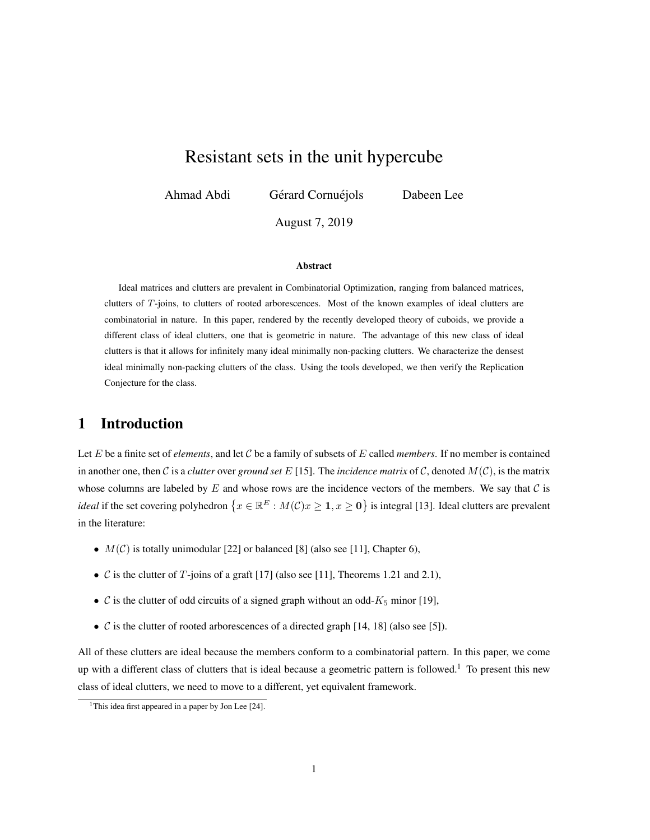# Resistant sets in the unit hypercube

Ahmad Abdi Gérard Cornuéjols Dabeen Lee

August 7, 2019

#### Abstract

Ideal matrices and clutters are prevalent in Combinatorial Optimization, ranging from balanced matrices, clutters of T-joins, to clutters of rooted arborescences. Most of the known examples of ideal clutters are combinatorial in nature. In this paper, rendered by the recently developed theory of cuboids, we provide a different class of ideal clutters, one that is geometric in nature. The advantage of this new class of ideal clutters is that it allows for infinitely many ideal minimally non-packing clutters. We characterize the densest ideal minimally non-packing clutters of the class. Using the tools developed, we then verify the Replication Conjecture for the class.

# 1 Introduction

Let  $E$  be a finite set of *elements*, and let  $C$  be a family of subsets of  $E$  called *members*. If no member is contained in another one, then C is a *clutter* over *ground set* E [15]. The *incidence matrix* of C, denoted  $M(C)$ , is the matrix whose columns are labeled by  $E$  and whose rows are the incidence vectors of the members. We say that  $C$  is *ideal* if the set covering polyhedron  $\{x \in \mathbb{R}^E : M(\mathcal{C})x \geq 1, x \geq 0\}$  is integral [13]. Ideal clutters are prevalent in the literature:

- $M(\mathcal{C})$  is totally unimodular [22] or balanced [8] (also see [11], Chapter 6),
- $\mathcal C$  is the clutter of  $T$ -joins of a graft [17] (also see [11], Theorems 1.21 and 2.1),
- $\mathcal C$  is the clutter of odd circuits of a signed graph without an odd- $K_5$  minor [19],
- $\mathcal C$  is the clutter of rooted arborescences of a directed graph [14, 18] (also see [5]).

All of these clutters are ideal because the members conform to a combinatorial pattern. In this paper, we come up with a different class of clutters that is ideal because a geometric pattern is followed.<sup>1</sup> To present this new class of ideal clutters, we need to move to a different, yet equivalent framework.

<sup>&</sup>lt;sup>1</sup>This idea first appeared in a paper by Jon Lee [24].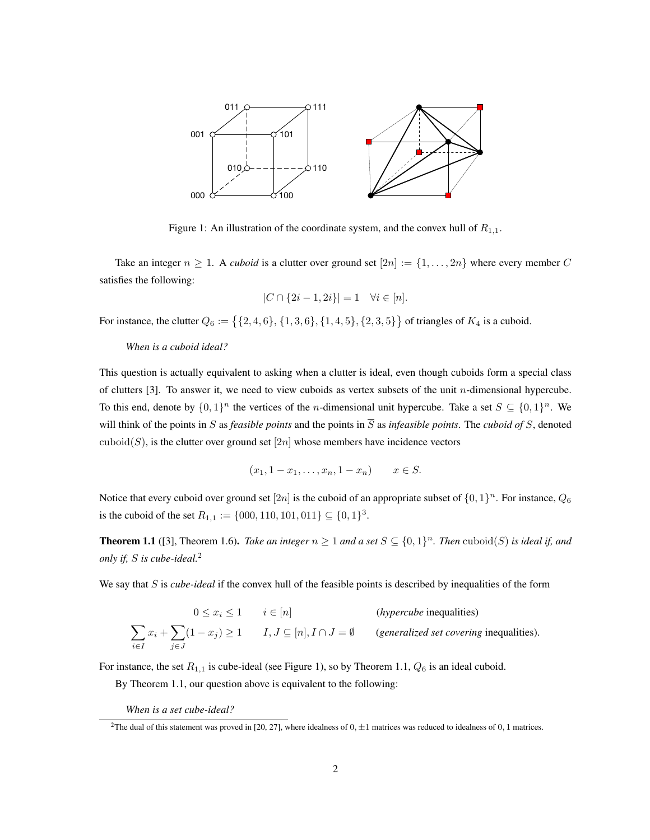

Figure 1: An illustration of the coordinate system, and the convex hull of  $R_{1,1}$ .

Take an integer  $n \geq 1$ . A *cuboid* is a clutter over ground set  $[2n] := \{1, \ldots, 2n\}$  where every member C satisfies the following:

$$
|C \cap \{2i - 1, 2i\}| = 1 \quad \forall i \in [n].
$$

For instance, the clutter  $Q_6 := \{ \{2, 4, 6\}, \{1, 3, 6\}, \{1, 4, 5\}, \{2, 3, 5\} \}$  of triangles of  $K_4$  is a cuboid.

### *When is a cuboid ideal?*

This question is actually equivalent to asking when a clutter is ideal, even though cuboids form a special class of clutters [3]. To answer it, we need to view cuboids as vertex subsets of the unit n-dimensional hypercube. To this end, denote by  $\{0,1\}^n$  the vertices of the *n*-dimensional unit hypercube. Take a set  $S \subseteq \{0,1\}^n$ . We will think of the points in S as *feasible points* and the points in  $\overline{S}$  as *infeasible points*. The *cuboid of* S, denoted cuboid(S), is the clutter over ground set  $[2n]$  whose members have incidence vectors

$$
(x_1, 1 - x_1, \ldots, x_n, 1 - x_n)
$$
  $x \in S$ .

Notice that every cuboid over ground set  $[2n]$  is the cuboid of an appropriate subset of  $\{0,1\}^n$ . For instance,  $Q_6$ is the cuboid of the set  $R_{1,1} := \{000, 110, 101, 011\} \subseteq \{0, 1\}^3$ .

**Theorem 1.1** ([3], Theorem 1.6). *Take an integer*  $n \geq 1$  *and a set*  $S \subseteq \{0,1\}^n$ . *Then* cuboid(S) *is ideal if, and only if,* S *is cube-ideal.*<sup>2</sup>

We say that S is *cube-ideal* if the convex hull of the feasible points is described by inequalities of the form

$$
0 \le x_i \le 1 \qquad i \in [n] \qquad \text{(hypercube inequalities)}
$$
\n
$$
\sum_{i \in I} x_i + \sum_{j \in J} (1 - x_j) \ge 1 \qquad I, J \subseteq [n], I \cap J = \emptyset \qquad \text{(generalized set covering inequalities)}.
$$

For instance, the set  $R_{1,1}$  is cube-ideal (see Figure 1), so by Theorem 1.1,  $Q_6$  is an ideal cuboid.

By Theorem 1.1, our question above is equivalent to the following:

*When is a set cube-ideal?*

<sup>&</sup>lt;sup>2</sup>The dual of this statement was proved in [20, 27], where idealness of  $0, \pm 1$  matrices was reduced to idealness of 0, 1 matrices.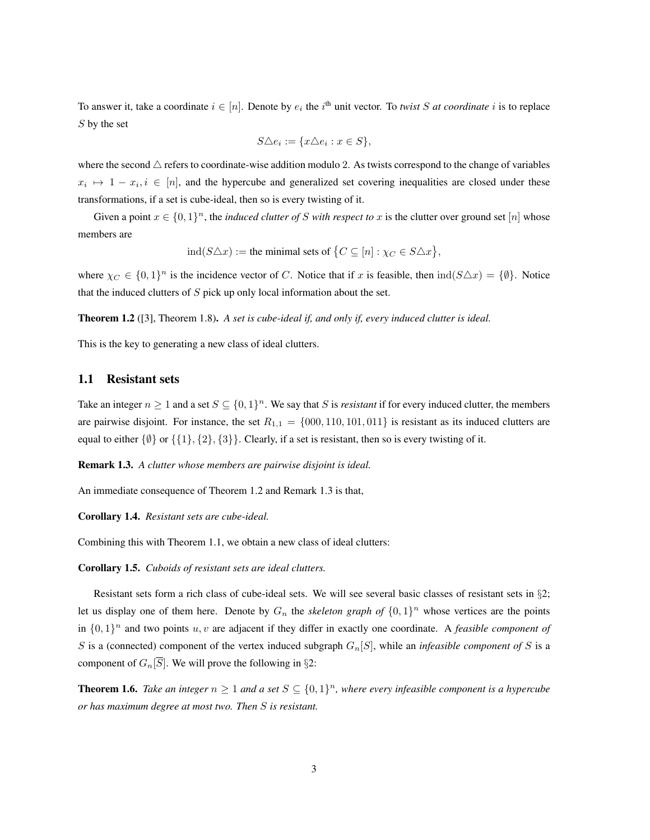To answer it, take a coordinate  $i \in [n]$ . Denote by  $e_i$  the  $i^{\text{th}}$  unit vector. To *twist* S at coordinate i is to replace S by the set

$$
S \triangle e_i := \{ x \triangle e_i : x \in S \},\
$$

where the second  $\triangle$  refers to coordinate-wise addition modulo 2. As twists correspond to the change of variables  $x_i \mapsto 1-x_i, i \in [n]$ , and the hypercube and generalized set covering inequalities are closed under these transformations, if a set is cube-ideal, then so is every twisting of it.

Given a point  $x \in \{0,1\}^n$ , the *induced clutter of* S *with respect to* x is the clutter over ground set [n] whose members are

$$
ind(S \triangle x) :=
$$
the minimal sets of  $\{C \subseteq [n] : \chi_C \in S \triangle x\},\$ 

where  $\chi_C \in \{0,1\}^n$  is the incidence vector of C. Notice that if x is feasible, then  $\text{ind}(S \triangle x) = \{\emptyset\}$ . Notice that the induced clutters of  $S$  pick up only local information about the set.

Theorem 1.2 ([3], Theorem 1.8). *A set is cube-ideal if, and only if, every induced clutter is ideal.*

This is the key to generating a new class of ideal clutters.

## 1.1 Resistant sets

Take an integer  $n \geq 1$  and a set  $S \subseteq \{0,1\}^n$ . We say that S is *resistant* if for every induced clutter, the members are pairwise disjoint. For instance, the set  $R_{1,1} = \{000, 110, 101, 011\}$  is resistant as its induced clutters are equal to either  $\{\emptyset\}$  or  $\{\{1\},\{2\},\{3\}\}\$ . Clearly, if a set is resistant, then so is every twisting of it.

Remark 1.3. *A clutter whose members are pairwise disjoint is ideal.*

An immediate consequence of Theorem 1.2 and Remark 1.3 is that,

#### Corollary 1.4. *Resistant sets are cube-ideal.*

Combining this with Theorem 1.1, we obtain a new class of ideal clutters:

Corollary 1.5. *Cuboids of resistant sets are ideal clutters.*

Resistant sets form a rich class of cube-ideal sets. We will see several basic classes of resistant sets in §2; let us display one of them here. Denote by  $G_n$  the *skeleton graph of*  $\{0,1\}^n$  whose vertices are the points in  $\{0,1\}^n$  and two points  $u, v$  are adjacent if they differ in exactly one coordinate. A *feasible component of* S is a (connected) component of the vertex induced subgraph  $G_n[S]$ , while an *infeasible component of* S is a component of  $G_n[\overline{S}]$ . We will prove the following in §2:

**Theorem 1.6.** Take an integer  $n \geq 1$  and a set  $S \subseteq \{0,1\}^n$ , where every infeasible component is a hypercube *or has maximum degree at most two. Then* S *is resistant.*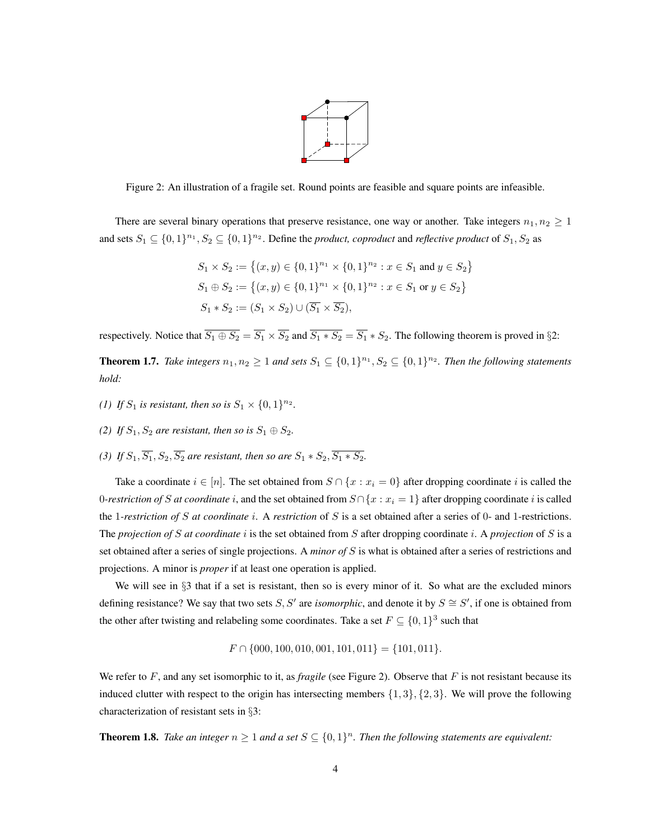

Figure 2: An illustration of a fragile set. Round points are feasible and square points are infeasible.

There are several binary operations that preserve resistance, one way or another. Take integers  $n_1, n_2 \geq 1$ and sets  $S_1 \subseteq \{0,1\}^{n_1}, S_2 \subseteq \{0,1\}^{n_2}$ . Define the *product, coproduct* and *reflective product* of  $S_1, S_2$  as

$$
S_1 \times S_2 := \{(x, y) \in \{0, 1\}^{n_1} \times \{0, 1\}^{n_2} : x \in S_1 \text{ and } y \in S_2\}
$$
  
\n
$$
S_1 \oplus S_2 := \{(x, y) \in \{0, 1\}^{n_1} \times \{0, 1\}^{n_2} : x \in S_1 \text{ or } y \in S_2\}
$$
  
\n
$$
S_1 * S_2 := (S_1 \times S_2) \cup (\overline{S_1} \times \overline{S_2}),
$$

respectively. Notice that  $\overline{S_1 \oplus S_2} = \overline{S_1} \times \overline{S_2}$  and  $\overline{S_1 * S_2} = \overline{S_1} * S_2$ . The following theorem is proved in §2:

**Theorem 1.7.** Take integers  $n_1, n_2 \geq 1$  and sets  $S_1 \subseteq \{0,1\}^{n_1}, S_2 \subseteq \{0,1\}^{n_2}$ . Then the following statements *hold:*

- *(1) If*  $S_1$  *is resistant, then so is*  $S_1 \times \{0, 1\}^{n_2}$ *.*
- *(2) If*  $S_1$ ,  $S_2$  *are resistant, then so is*  $S_1 \oplus S_2$ *.*
- (3) *If*  $S_1$ ,  $\overline{S_1}$ ,  $S_2$ ,  $\overline{S_2}$  *are resistant, then so are*  $S_1 * S_2$ ,  $\overline{S_1 * S_2}$ .

Take a coordinate  $i \in [n]$ . The set obtained from  $S \cap \{x : x_i = 0\}$  after dropping coordinate i is called the 0-restriction of S at coordinate i, and the set obtained from  $S \cap \{x : x_i = 1\}$  after dropping coordinate i is called the 1*-restriction of* S *at coordinate* i. A *restriction* of S is a set obtained after a series of 0- and 1-restrictions. The *projection of* S *at coordinate* i is the set obtained from S after dropping coordinate i. A *projection* of S is a set obtained after a series of single projections. A *minor of* S is what is obtained after a series of restrictions and projections. A minor is *proper* if at least one operation is applied.

We will see in §3 that if a set is resistant, then so is every minor of it. So what are the excluded minors defining resistance? We say that two sets S, S' are *isomorphic*, and denote it by  $S \cong S'$ , if one is obtained from the other after twisting and relabeling some coordinates. Take a set  $F \subseteq \{0, 1\}^3$  such that

$$
F \cap \{000, 100, 010, 001, 101, 011\} = \{101, 011\}.
$$

We refer to  $F$ , and any set isomorphic to it, as *fragile* (see Figure 2). Observe that  $F$  is not resistant because its induced clutter with respect to the origin has intersecting members  $\{1,3\}, \{2,3\}$ . We will prove the following characterization of resistant sets in §3:

**Theorem 1.8.** Take an integer  $n \geq 1$  and a set  $S \subseteq \{0,1\}^n$ . Then the following statements are equivalent: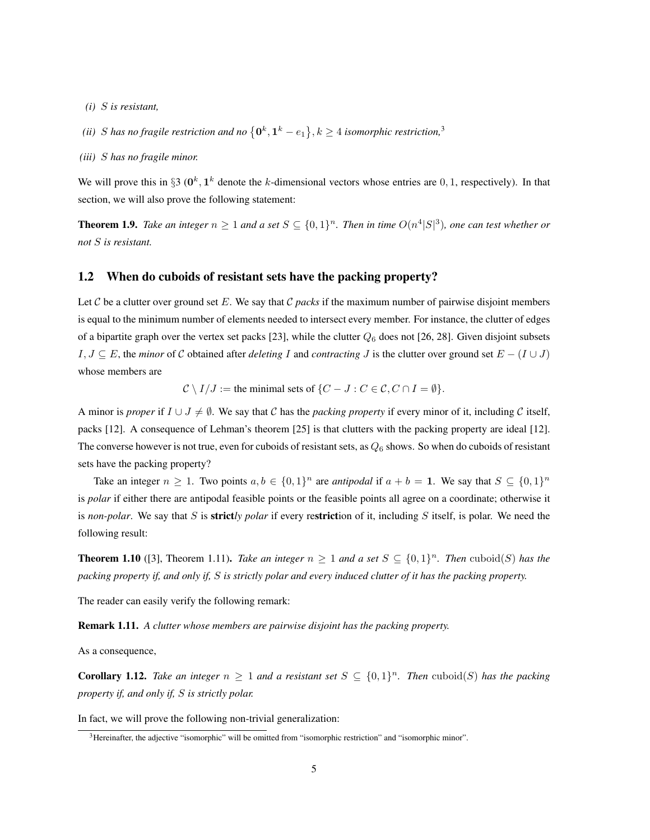- *(i)* S *is resistant,*
- (ii) S has no fragile restriction and no  $\left\{ \mathbf{0}^{k},\mathbf{1}^{k}-e_{1}\right\} ,k\geq4$  isomorphic restriction,<sup>3</sup>
- *(iii)* S *has no fragile minor.*

We will prove this in §3 ( $0^k$ ,  $1^k$  denote the k-dimensional vectors whose entries are 0, 1, respectively). In that section, we will also prove the following statement:

**Theorem 1.9.** Take an integer  $n \geq 1$  and a set  $S \subseteq \{0,1\}^n$ . Then in time  $O(n^4|S|^3)$ , one can test whether or *not* S *is resistant.*

### 1.2 When do cuboids of resistant sets have the packing property?

Let C be a clutter over ground set E. We say that C *packs* if the maximum number of pairwise disjoint members is equal to the minimum number of elements needed to intersect every member. For instance, the clutter of edges of a bipartite graph over the vertex set packs [23], while the clutter  $Q_6$  does not [26, 28]. Given disjoint subsets  $I, J \subseteq E$ , the *minor* of C obtained after *deleting* I and *contracting* J is the clutter over ground set  $E - (I \cup J)$ whose members are

 $\mathcal{C} \setminus I/J :=$  the minimal sets of  $\{C - J : C \in \mathcal{C}, C \cap I = \emptyset\}.$ 

A minor is *proper* if  $I \cup J \neq \emptyset$ . We say that C has the *packing property* if every minor of it, including C itself, packs [12]. A consequence of Lehman's theorem [25] is that clutters with the packing property are ideal [12]. The converse however is not true, even for cuboids of resistant sets, as  $Q_6$  shows. So when do cuboids of resistant sets have the packing property?

Take an integer  $n \geq 1$ . Two points  $a, b \in \{0, 1\}^n$  are *antipodal* if  $a + b = 1$ . We say that  $S \subseteq \{0, 1\}^n$ is *polar* if either there are antipodal feasible points or the feasible points all agree on a coordinate; otherwise it is *non-polar*. We say that S is strict*ly polar* if every restriction of it, including S itself, is polar. We need the following result:

**Theorem 1.10** ([3], Theorem 1.11). *Take an integer*  $n \geq 1$  *and a set*  $S \subseteq \{0,1\}^n$ . *Then* cuboid(S) *has the packing property if, and only if,* S *is strictly polar and every induced clutter of it has the packing property.*

The reader can easily verify the following remark:

Remark 1.11. *A clutter whose members are pairwise disjoint has the packing property.*

As a consequence,

**Corollary 1.12.** Take an integer  $n \geq 1$  and a resistant set  $S \subseteq \{0,1\}^n$ . Then cuboid(S) has the packing *property if, and only if,* S *is strictly polar.*

In fact, we will prove the following non-trivial generalization:

<sup>&</sup>lt;sup>3</sup>Hereinafter, the adjective "isomorphic" will be omitted from "isomorphic restriction" and "isomorphic minor".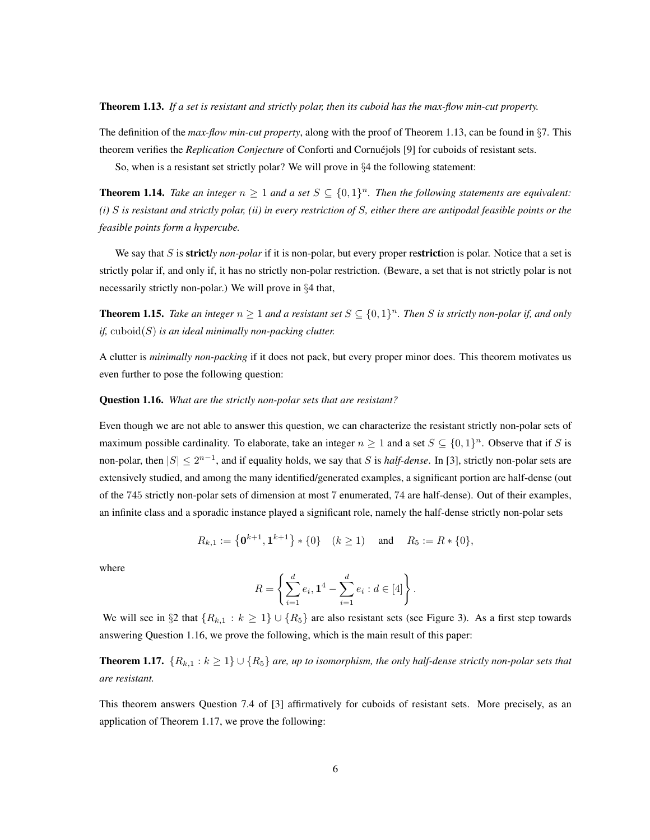Theorem 1.13. *If a set is resistant and strictly polar, then its cuboid has the max-flow min-cut property.*

The definition of the *max-flow min-cut property*, along with the proof of Theorem 1.13, can be found in §7. This theorem verifies the *Replication Conjecture* of Conforti and Cornuejols [9] for cuboids of resistant sets.

So, when is a resistant set strictly polar? We will prove in §4 the following statement:

**Theorem 1.14.** Take an integer  $n \geq 1$  and a set  $S \subseteq \{0,1\}^n$ . Then the following statements are equivalent: *(i)* S *is resistant and strictly polar, (ii) in every restriction of* S*, either there are antipodal feasible points or the feasible points form a hypercube.*

We say that S is **strict**ly *non-polar* if it is non-polar, but every proper restriction is polar. Notice that a set is strictly polar if, and only if, it has no strictly non-polar restriction. (Beware, a set that is not strictly polar is not necessarily strictly non-polar.) We will prove in §4 that,

**Theorem 1.15.** Take an integer  $n \geq 1$  and a resistant set  $S \subseteq \{0,1\}^n$ . Then S is strictly non-polar if, and only *if,* cuboid(S) *is an ideal minimally non-packing clutter.*

A clutter is *minimally non-packing* if it does not pack, but every proper minor does. This theorem motivates us even further to pose the following question:

#### Question 1.16. *What are the strictly non-polar sets that are resistant?*

Even though we are not able to answer this question, we can characterize the resistant strictly non-polar sets of maximum possible cardinality. To elaborate, take an integer  $n \geq 1$  and a set  $S \subseteq \{0,1\}^n$ . Observe that if S is non-polar, then  $|S| \le 2^{n-1}$ , and if equality holds, we say that S is *half-dense*. In [3], strictly non-polar sets are extensively studied, and among the many identified/generated examples, a significant portion are half-dense (out of the 745 strictly non-polar sets of dimension at most 7 enumerated, 74 are half-dense). Out of their examples, an infinite class and a sporadic instance played a significant role, namely the half-dense strictly non-polar sets

$$
R_{k,1} := \left\{ \mathbf{0}^{k+1}, \mathbf{1}^{k+1} \right\} * \{0\} \quad (k \ge 1) \quad \text{ and } \quad R_5 := R * \{0\},
$$

where

$$
R = \left\{ \sum_{i=1}^d e_i, \mathbf{1}^4 - \sum_{i=1}^d e_i : d \in [4] \right\}.
$$

We will see in §2 that  $\{R_{k,1} : k \geq 1\} \cup \{R_5\}$  are also resistant sets (see Figure 3). As a first step towards answering Question 1.16, we prove the following, which is the main result of this paper:

**Theorem 1.17.**  ${R_{k,1} : k ≥ 1} ∪ {R_5}$  *are, up to isomorphism, the only half-dense strictly non-polar sets that are resistant.*

This theorem answers Question 7.4 of [3] affirmatively for cuboids of resistant sets. More precisely, as an application of Theorem 1.17, we prove the following: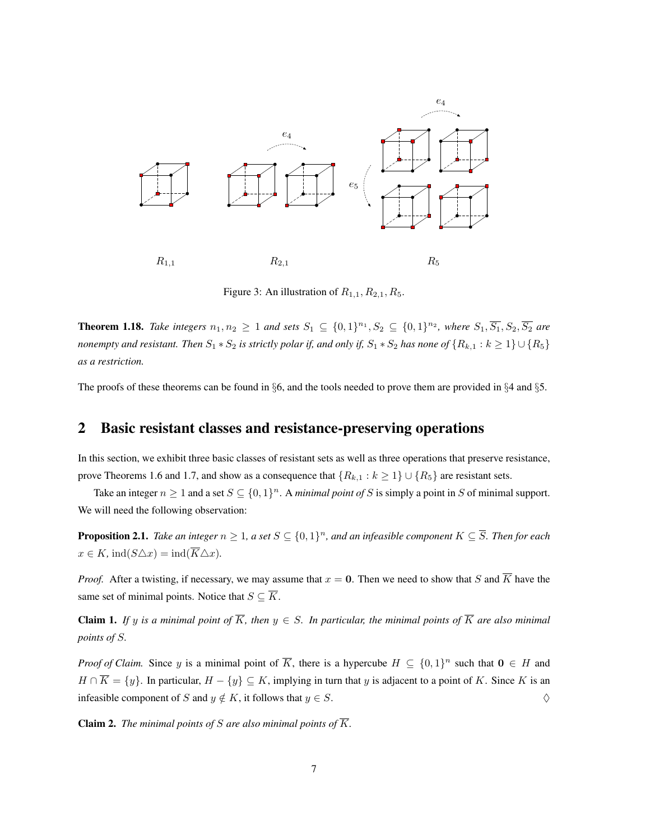

Figure 3: An illustration of  $R_{1,1}, R_{2,1}, R_5$ .

**Theorem 1.18.** *Take integers*  $n_1, n_2 ≥ 1$  *and sets*  $S_1 ⊆ \{0, 1\}^{n_1}, S_2 ⊆ \{0, 1\}^{n_2}$ , *where*  $S_1, \overline{S_1}, S_2, \overline{S_2}$  *are nonempty and resistant. Then*  $S_1 * S_2$  *is strictly polar if, and only if,*  $S_1 * S_2$  *has none of*  $\{R_{k,1} : k \ge 1\} \cup \{R_5\}$ *as a restriction.*

The proofs of these theorems can be found in §6, and the tools needed to prove them are provided in §4 and §5.

## 2 Basic resistant classes and resistance-preserving operations

In this section, we exhibit three basic classes of resistant sets as well as three operations that preserve resistance, prove Theorems 1.6 and 1.7, and show as a consequence that  $\{R_{k,1} : k \geq 1\} \cup \{R_5\}$  are resistant sets.

Take an integer  $n \geq 1$  and a set  $S \subseteq \{0,1\}^n$ . A *minimal point of* S is simply a point in S of minimal support. We will need the following observation:

**Proposition 2.1.** Take an integer  $n \geq 1$ , a set  $S \subseteq \{0,1\}^n$ , and an infeasible component  $K \subseteq \overline{S}$ . Then for each  $x \in K$ , ind $(S \triangle x) = \text{ind}(\overline{K} \triangle x)$ .

*Proof.* After a twisting, if necessary, we may assume that  $x = 0$ . Then we need to show that S and  $\overline{K}$  have the same set of minimal points. Notice that  $S \subseteq \overline{K}$ .

**Claim 1.** If y is a minimal point of  $\overline{K}$ , then  $y \in S$ . In particular, the minimal points of  $\overline{K}$  are also minimal *points of* S*.*

*Proof of Claim.* Since y is a minimal point of  $\overline{K}$ , there is a hypercube  $H \subseteq \{0,1\}^n$  such that  $\mathbf{0} \in H$  and  $H \cap \overline{K} = \{y\}$ . In particular,  $H - \{y\} \subseteq K$ , implying in turn that y is adjacent to a point of K. Since K is an infeasible component of S and  $y \notin K$ , it follows that  $y \in S$ .  $\Diamond$ 

**Claim 2.** *The minimal points of S are also minimal points of*  $\overline{K}$ *.*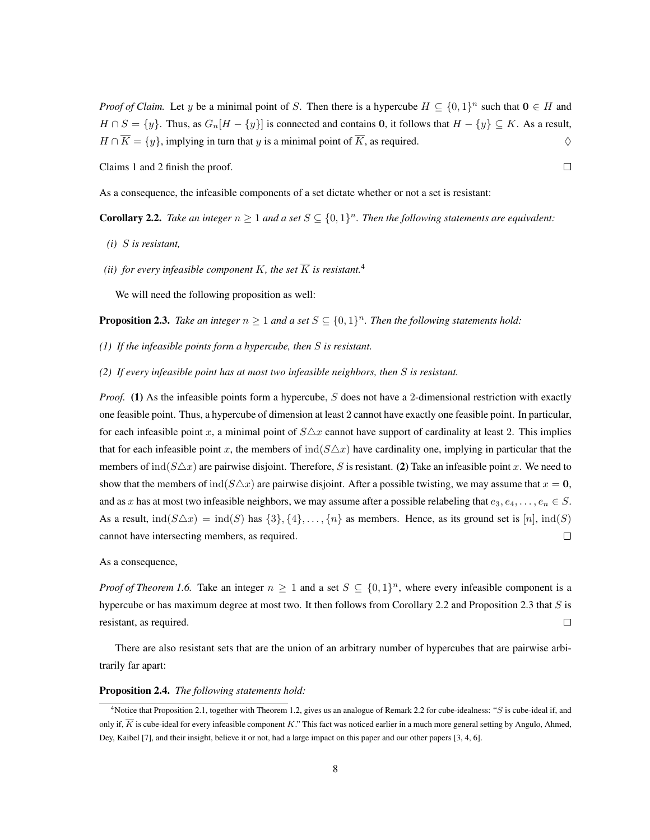*Proof of Claim.* Let y be a minimal point of S. Then there is a hypercube  $H \subseteq \{0,1\}^n$  such that  $0 \in H$  and  $H \cap S = \{y\}$ . Thus, as  $G_n[H - \{y\}]$  is connected and contains 0, it follows that  $H - \{y\} \subseteq K$ . As a result,  $H \cap \overline{K} = \{y\}$ , implying in turn that y is a minimal point of  $\overline{K}$ , as required.  $\diamondsuit$ 

Claims 1 and 2 finish the proof.

As a consequence, the infeasible components of a set dictate whether or not a set is resistant:

**Corollary 2.2.** *Take an integer*  $n \geq 1$  *and a set*  $S \subseteq \{0,1\}^n$ *. Then the following statements are equivalent:* 

- *(i)* S *is resistant,*
- *(ii)* for every infeasible component K, the set  $\overline{K}$  is resistant.<sup>4</sup>

We will need the following proposition as well:

**Proposition 2.3.** Take an integer  $n \geq 1$  and a set  $S \subseteq \{0,1\}^n$ . Then the following statements hold:

- *(1) If the infeasible points form a hypercube, then* S *is resistant.*
- *(2) If every infeasible point has at most two infeasible neighbors, then* S *is resistant.*

*Proof.* (1) As the infeasible points form a hypercube, S does not have a 2-dimensional restriction with exactly one feasible point. Thus, a hypercube of dimension at least 2 cannot have exactly one feasible point. In particular, for each infeasible point x, a minimal point of  $S\Delta x$  cannot have support of cardinality at least 2. This implies that for each infeasible point x, the members of  $\text{ind}(S\triangle x)$  have cardinality one, implying in particular that the members of  $\text{ind}(S\triangle x)$  are pairwise disjoint. Therefore, S is resistant. (2) Take an infeasible point x. We need to show that the members of  $\text{ind}(S\triangle x)$  are pairwise disjoint. After a possible twisting, we may assume that  $x = 0$ , and as x has at most two infeasible neighbors, we may assume after a possible relabeling that  $e_3, e_4, \ldots, e_n \in S$ . As a result,  $\text{ind}(S \triangle x) = \text{ind}(S)$  has  $\{3\}, \{4\}, \ldots, \{n\}$  as members. Hence, as its ground set is  $[n]$ ,  $\text{ind}(S)$ cannot have intersecting members, as required.  $\Box$ 

As a consequence,

*Proof of Theorem 1.6.* Take an integer  $n \geq 1$  and a set  $S \subseteq \{0,1\}^n$ , where every infeasible component is a hypercube or has maximum degree at most two. It then follows from Corollary 2.2 and Proposition 2.3 that S is resistant, as required.  $\Box$ 

There are also resistant sets that are the union of an arbitrary number of hypercubes that are pairwise arbitrarily far apart:

#### Proposition 2.4. *The following statements hold:*

 $\Box$ 

<sup>&</sup>lt;sup>4</sup>Notice that Proposition 2.1, together with Theorem 1.2, gives us an analogue of Remark 2.2 for cube-idealness: "S is cube-ideal if, and only if,  $\overline{K}$  is cube-ideal for every infeasible component K." This fact was noticed earlier in a much more general setting by Angulo, Ahmed, Dey, Kaibel [7], and their insight, believe it or not, had a large impact on this paper and our other papers [3, 4, 6].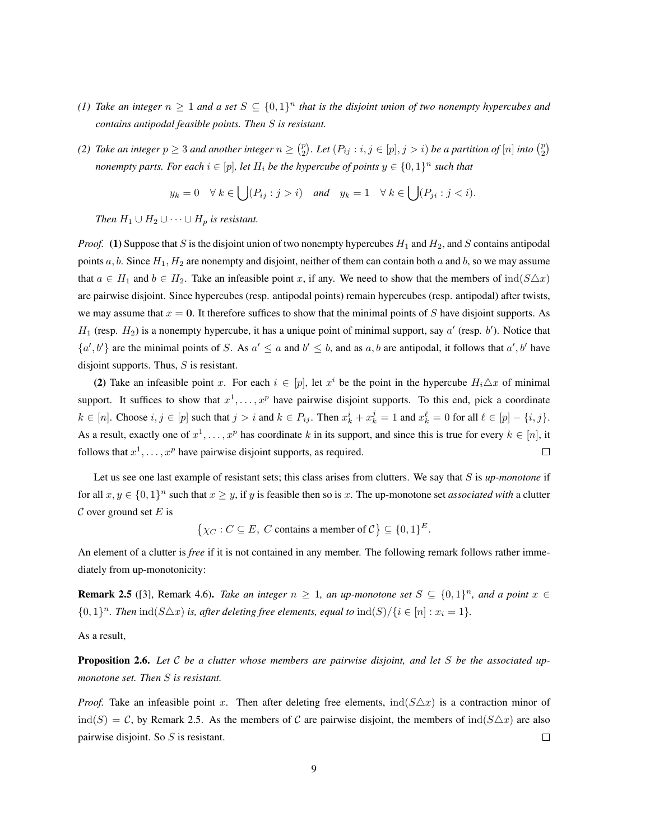- *(1)* Take an integer  $n \ge 1$  and a set  $S \subseteq \{0,1\}^n$  that is the disjoint union of two nonempty hypercubes and *contains antipodal feasible points. Then* S *is resistant.*
- (2) Take an integer  $p \ge 3$  and another integer  $n \ge \binom{p}{2}$ . Let  $(P_{ij} : i, j \in [p], j > i)$  be a partition of  $[n]$  into  $\binom{p}{2}$ *nonempty parts. For each*  $i \in [p]$ *, let*  $H_i$  *be the hypercube of points*  $y \in \{0,1\}^n$  *such that*

$$
y_k = 0 \quad \forall \ k \in \bigcup (P_{ij} : j > i)
$$
 and  $y_k = 1 \quad \forall \ k \in \bigcup (P_{ji} : j < i).$ 

*Then*  $H_1 \cup H_2 \cup \cdots \cup H_p$  *is resistant.* 

*Proof.* (1) Suppose that S is the disjoint union of two nonempty hypercubes  $H_1$  and  $H_2$ , and S contains antipodal points  $a, b$ . Since  $H_1, H_2$  are nonempty and disjoint, neither of them can contain both  $a$  and  $b$ , so we may assume that  $a \in H_1$  and  $b \in H_2$ . Take an infeasible point x, if any. We need to show that the members of  $\text{ind}(S \triangle x)$ are pairwise disjoint. Since hypercubes (resp. antipodal points) remain hypercubes (resp. antipodal) after twists, we may assume that  $x = 0$ . It therefore suffices to show that the minimal points of S have disjoint supports. As  $H_1$  (resp.  $H_2$ ) is a nonempty hypercube, it has a unique point of minimal support, say  $a'$  (resp.  $b'$ ). Notice that  $\{a', b'\}$  are the minimal points of S. As  $a' \le a$  and  $b' \le b$ , and as a, b are antipodal, it follows that  $a', b'$  have disjoint supports. Thus,  $S$  is resistant.

(2) Take an infeasible point x. For each  $i \in [p]$ , let  $x^i$  be the point in the hypercube  $H_i \triangle x$  of minimal support. It suffices to show that  $x^1, \ldots, x^p$  have pairwise disjoint supports. To this end, pick a coordinate  $k \in [n]$ . Choose  $i, j \in [p]$  such that  $j > i$  and  $k \in P_{ij}$ . Then  $x_k^i + x_k^j = 1$  and  $x_k^{\ell} = 0$  for all  $\ell \in [p] - \{i, j\}$ . As a result, exactly one of  $x^1, \ldots, x^p$  has coordinate k in its support, and since this is true for every  $k \in [n]$ , it follows that  $x^1, \ldots, x^p$  have pairwise disjoint supports, as required.  $\Box$ 

Let us see one last example of resistant sets; this class arises from clutters. We say that S is *up-monotone* if for all  $x, y \in \{0, 1\}^n$  such that  $x \geq y$ , if y is feasible then so is x. The up-monotone set *associated with* a clutter  $\mathcal C$  over ground set  $E$  is

 $\{\chi_C : C \subseteq E, C \text{ contains a member of } C\} \subseteq \{0,1\}^E.$ 

An element of a clutter is *free* if it is not contained in any member. The following remark follows rather immediately from up-monotonicity:

**Remark 2.5** ([3], Remark 4.6). *Take an integer*  $n \ge 1$ , an up-monotone set  $S \subseteq \{0,1\}^n$ , and a point  $x \in$  $\{0,1\}^n$ . Then  $\text{ind}(S\triangle x)$  *is, after deleting free elements, equal to*  $\text{ind}(S)/\{i \in [n]: x_i = 1\}$ .

As a result,

Proposition 2.6. *Let* C *be a clutter whose members are pairwise disjoint, and let* S *be the associated upmonotone set. Then* S *is resistant.*

*Proof.* Take an infeasible point x. Then after deleting free elements,  $\text{ind}(S \triangle x)$  is a contraction minor of  $\text{ind}(S) = C$ , by Remark 2.5. As the members of C are pairwise disjoint, the members of  $\text{ind}(S \triangle x)$  are also pairwise disjoint. So S is resistant.  $\Box$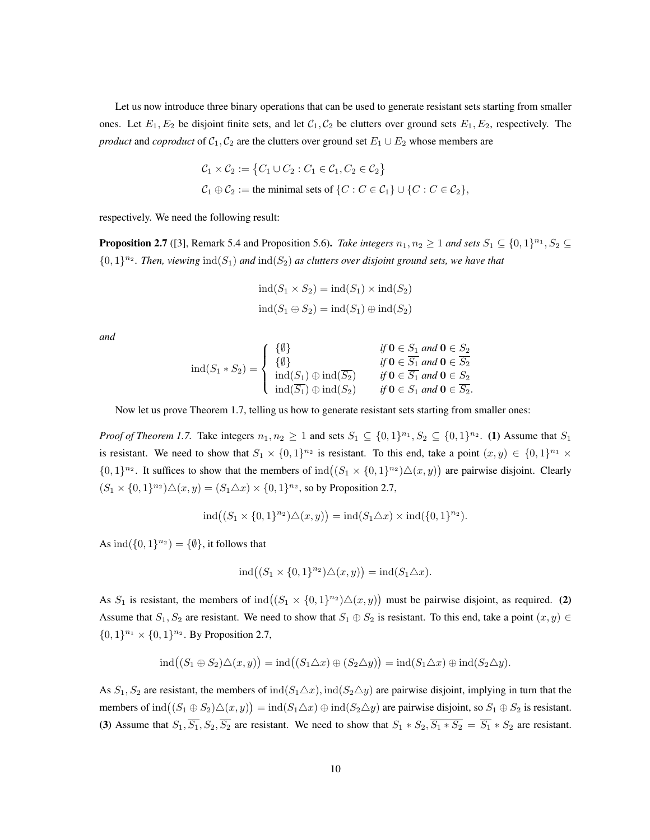Let us now introduce three binary operations that can be used to generate resistant sets starting from smaller ones. Let  $E_1, E_2$  be disjoint finite sets, and let  $C_1, C_2$  be clutters over ground sets  $E_1, E_2$ , respectively. The *product* and *coproduct* of  $C_1$ ,  $C_2$  are the clutters over ground set  $E_1 \cup E_2$  whose members are

$$
C_1 \times C_2 := \{ C_1 \cup C_2 : C_1 \in C_1, C_2 \in C_2 \}
$$
  

$$
C_1 \oplus C_2 := \text{the minimal sets of } \{ C : C \in C_1 \} \cup \{ C : C \in C_2 \},
$$

respectively. We need the following result:

**Proposition 2.7** ([3], Remark 5.4 and Proposition 5.6). *Take integers*  $n_1, n_2 \ge 1$  *and sets*  $S_1 \subseteq \{0, 1\}^{n_1}, S_2 \subseteq$  $\{0,1\}^{n_2}$ . Then, viewing  $\text{ind}(S_1)$  and  $\text{ind}(S_2)$  as clutters over disjoint ground sets, we have that

$$
ind(S_1 \times S_2) = ind(S_1) \times ind(S_2)
$$
  

$$
ind(S_1 \oplus S_2) = ind(S_1) \oplus ind(S_2)
$$

*and*

$$
\operatorname{ind}(S_1 * S_2) = \begin{cases} \{ \emptyset \} & \text{if } \mathbf{0} \in S_1 \text{ and } \mathbf{0} \in S_2 \\ \{ \emptyset \} & \text{if } \mathbf{0} \in \overline{S_1} \text{ and } \mathbf{0} \in \overline{S_2} \\ \operatorname{ind}(S_1) \oplus \operatorname{ind}(\overline{S_2}) & \text{if } \mathbf{0} \in \overline{S_1} \text{ and } \mathbf{0} \in S_2 \\ \operatorname{ind}(\overline{S_1}) \oplus \operatorname{ind}(S_2) & \text{if } \mathbf{0} \in S_1 \text{ and } \mathbf{0} \in \overline{S_2}. \end{cases}
$$

Now let us prove Theorem 1.7, telling us how to generate resistant sets starting from smaller ones:

*Proof of Theorem 1.7.* Take integers  $n_1, n_2 \ge 1$  and sets  $S_1 \subseteq \{0,1\}^{n_1}, S_2 \subseteq \{0,1\}^{n_2}$ . (1) Assume that  $S_1$ is resistant. We need to show that  $S_1 \times \{0,1\}^{n_2}$  is resistant. To this end, take a point  $(x, y) \in \{0,1\}^{n_1} \times$  $\{0,1\}^{n_2}$ . It suffices to show that the members of  $\text{ind}\left((S_1 \times \{0,1\}^{n_2})\triangle(x,y)\right)$  are pairwise disjoint. Clearly  $(S_1 \times \{0,1\}^{n_2}) \triangle (x,y) = (S_1 \triangle x) \times \{0,1\}^{n_2}$ , so by Proposition 2.7,

$$
ind((S_1 \times \{0,1\}^{n_2}) \triangle (x,y)) = ind(S_1 \triangle x) \times ind(\{0,1\}^{n_2}).
$$

As  $\text{ind}(\{0,1\}^{n_2}) = \{\emptyset\}$ , it follows that

$$
ind((S_1 \times \{0,1\}^{n_2}) \triangle (x,y)) = ind(S_1 \triangle x).
$$

As  $S_1$  is resistant, the members of  $\text{ind}\left((S_1 \times \{0,1\}^{n_2})\triangle(x,y)\right)$  must be pairwise disjoint, as required. (2) Assume that  $S_1, S_2$  are resistant. We need to show that  $S_1 \oplus S_2$  is resistant. To this end, take a point  $(x, y) \in$  $\{0,1\}^{n_1} \times \{0,1\}^{n_2}$ . By Proposition 2.7,

$$
ind((S_1 \oplus S_2) \triangle (x, y)) = ind((S_1 \triangle x) \oplus (S_2 \triangle y)) = ind(S_1 \triangle x) \oplus ind(S_2 \triangle y).
$$

As  $S_1, S_2$  are resistant, the members of  $\text{ind}(S_1\triangle x)$ ,  $\text{ind}(S_2\triangle y)$  are pairwise disjoint, implying in turn that the members of  $\text{ind}((S_1 \oplus S_2) \triangle (x, y)) = \text{ind}(S_1 \triangle x) \oplus \text{ind}(S_2 \triangle y)$  are pairwise disjoint, so  $S_1 \oplus S_2$  is resistant. (3) Assume that  $S_1$ ,  $\overline{S_1}$ ,  $S_2$ ,  $\overline{S_2}$  are resistant. We need to show that  $S_1 * S_2$ ,  $\overline{S_1 * S_2} = \overline{S_1} * S_2$  are resistant.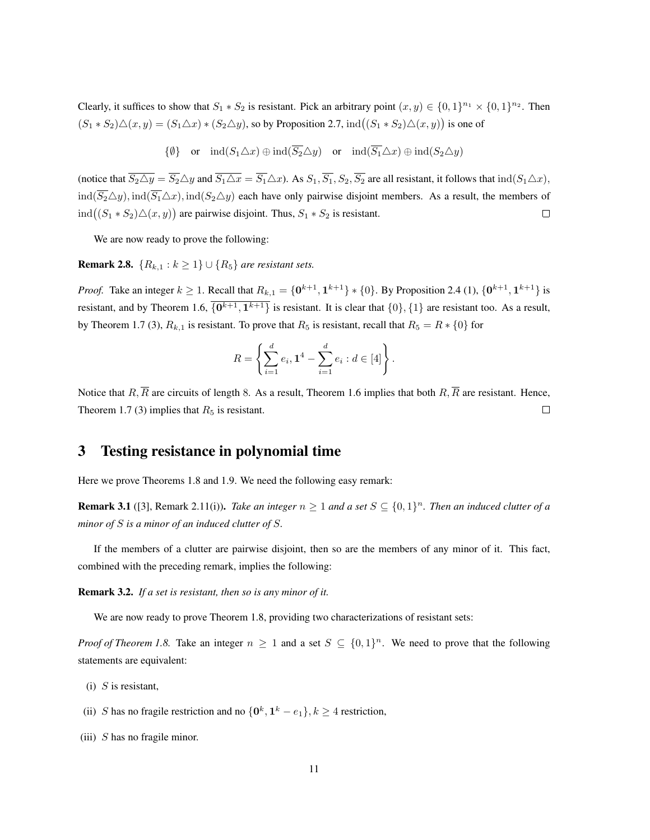Clearly, it suffices to show that  $S_1 * S_2$  is resistant. Pick an arbitrary point  $(x, y) \in \{0, 1\}^{n_1} \times \{0, 1\}^{n_2}$ . Then  $(S_1 * S_2) \triangle (x, y) = (S_1 \triangle x) * (S_2 \triangle y)$ , so by Proposition 2.7,  $ind((S_1 * S_2) \triangle (x, y))$  is one of

$$
\{\emptyset\} \quad \text{or} \quad \text{ind}(S_1 \triangle x) \oplus \text{ind}(\overline{S_2} \triangle y) \quad \text{or} \quad \text{ind}(\overline{S_1} \triangle x) \oplus \text{ind}(S_2 \triangle y)
$$

(notice that  $\overline{S_2 \triangle y} = \overline{S_2} \triangle y$  and  $\overline{S_1 \triangle x} = \overline{S_1} \triangle x$ ). As  $S_1, \overline{S_1}, S_2, \overline{S_2}$  are all resistant, it follows that  $\text{ind}(S_1 \triangle x)$ ,  $ind(\overline{S_2}\triangle y)$ ,  $ind(\overline{S_1}\triangle x)$ ,  $ind(S_2\triangle y)$  each have only pairwise disjoint members. As a result, the members of  $\text{ind}((S_1 * S_2) \triangle (x, y))$  are pairwise disjoint. Thus,  $S_1 * S_2$  is resistant.  $\Box$ 

We are now ready to prove the following:

**Remark 2.8.**  ${R_{k,1} : k \ge 1} \cup {R_5}$  *are resistant sets.* 

*Proof.* Take an integer  $k \ge 1$ . Recall that  $R_{k,1} = \{0^{k+1}, 1^{k+1}\} * \{0\}$ . By Proposition 2.4 (1),  $\{0^{k+1}, 1^{k+1}\}$  is resistant, and by Theorem 1.6,  $\{0^{k+1}, 1^{k+1}\}$  is resistant. It is clear that  $\{0\}, \{1\}$  are resistant too. As a result, by Theorem 1.7 (3),  $R_{k,1}$  is resistant. To prove that  $R_5$  is resistant, recall that  $R_5 = R * \{0\}$  for

$$
R = \left\{ \sum_{i=1}^{d} e_i, 1^4 - \sum_{i=1}^{d} e_i : d \in [4] \right\}.
$$

Notice that  $R, \overline{R}$  are circuits of length 8. As a result, Theorem 1.6 implies that both  $R, \overline{R}$  are resistant. Hence, Theorem 1.7 (3) implies that  $R_5$  is resistant.  $\Box$ 

## 3 Testing resistance in polynomial time

Here we prove Theorems 1.8 and 1.9. We need the following easy remark:

**Remark 3.1** ([3], Remark 2.11(i)). *Take an integer*  $n \geq 1$  *and a set*  $S \subseteq \{0,1\}^n$ . *Then an induced clutter of a minor of* S *is a minor of an induced clutter of* S*.*

If the members of a clutter are pairwise disjoint, then so are the members of any minor of it. This fact, combined with the preceding remark, implies the following:

Remark 3.2. *If a set is resistant, then so is any minor of it.*

We are now ready to prove Theorem 1.8, providing two characterizations of resistant sets:

*Proof of Theorem 1.8.* Take an integer  $n \geq 1$  and a set  $S \subseteq \{0,1\}^n$ . We need to prove that the following statements are equivalent:

- $(i)$  S is resistant,
- (ii) S has no fragile restriction and no  $\{0^k, 1^k e_1\}$ ,  $k \ge 4$  restriction,
- (iii)  $S$  has no fragile minor.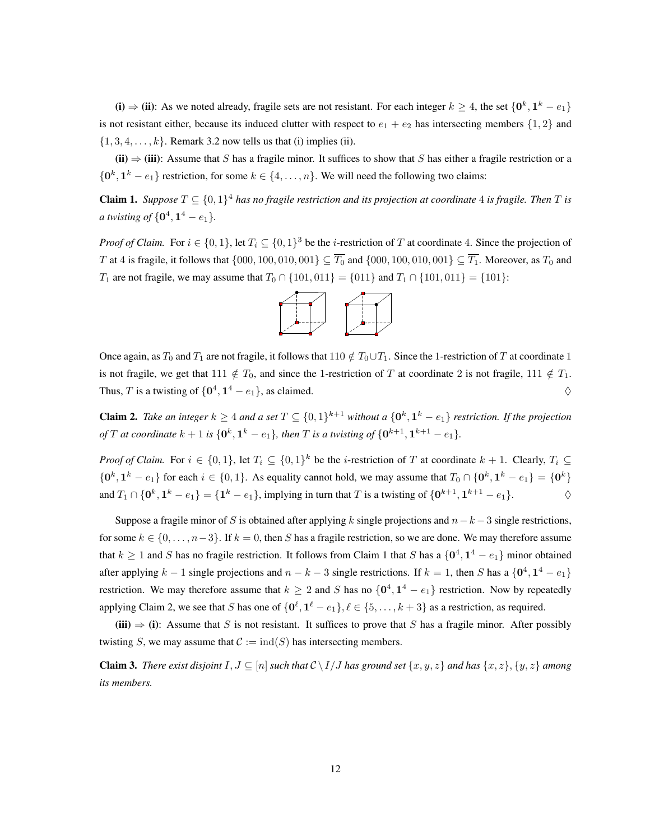(i)  $\Rightarrow$  (ii): As we noted already, fragile sets are not resistant. For each integer  $k \ge 4$ , the set  $\{0^k, 1^k - e_1\}$ is not resistant either, because its induced clutter with respect to  $e_1 + e_2$  has intersecting members  $\{1, 2\}$  and  $\{1, 3, 4, \ldots, k\}$ . Remark 3.2 now tells us that (i) implies (ii).

(ii)  $\Rightarrow$  (iii): Assume that S has a fragile minor. It suffices to show that S has either a fragile restriction or a  $\{0^k, 1^k - e_1\}$  restriction, for some  $k \in \{4, ..., n\}$ . We will need the following two claims:

**Claim 1.** Suppose  $T \subseteq \{0,1\}^4$  has no fragile restriction and its projection at coordinate 4 is fragile. Then T is *a twisting of*  $\{0^4, 1^4 - e_1\}.$ 

*Proof of Claim.* For  $i \in \{0, 1\}$ , let  $T_i \subseteq \{0, 1\}^3$  be the *i*-restriction of T at coordinate 4. Since the projection of T at 4 is fragile, it follows that  $\{000, 100, 010, 001\} \subseteq \overline{T_0}$  and  $\{000, 100, 010, 001\} \subseteq \overline{T_1}$ . Moreover, as  $T_0$  and T<sub>1</sub> are not fragile, we may assume that  $T_0 \cap \{101, 011\} = \{011\}$  and  $T_1 \cap \{101, 011\} = \{101\}$ :



Once again, as  $T_0$  and  $T_1$  are not fragile, it follows that  $110 \notin T_0 \cup T_1$ . Since the 1-restriction of T at coordinate 1 is not fragile, we get that 111  $\notin T_0$ , and since the 1-restriction of T at coordinate 2 is not fragile, 111  $\notin T_1$ . Thus, T is a twisting of  $\{0^4, 1^4 - e_1\}$ , as claimed.  $\diamond$ 

**Claim 2.** Take an integer  $k \geq 4$  and a set  $T \subseteq \{0,1\}^{k+1}$  without a  $\{0^k, 1^k - e_1\}$  restriction. If the projection *of*  $T$  *at coordinate*  $k + 1$  *is*  $\{\mathbf{0}^k, \mathbf{1}^k - e_1\}$ *, then*  $T$  *is a twisting of*  $\{\mathbf{0}^{k+1}, \mathbf{1}^{k+1} - e_1\}$ *.* 

*Proof of Claim.* For  $i \in \{0,1\}$ , let  $T_i \subseteq \{0,1\}^k$  be the *i*-restriction of T at coordinate  $k+1$ . Clearly,  $T_i \subseteq$  $\{0^k, 1^k - e_1\}$  for each  $i \in \{0, 1\}$ . As equality cannot hold, we may assume that  $T_0 \cap \{0^k, 1^k - e_1\} = \{0^k\}$ and  $T_1 \cap \{0^k, 1^k - e_1\} = \{1^k - e_1\}$ , implying in turn that T is a twisting of  $\{0^{k+1}, 1^{k+1} - e_1\}$ .  $\diamond$ 

Suppose a fragile minor of S is obtained after applying k single projections and  $n-k-3$  single restrictions, for some  $k \in \{0, \ldots, n-3\}$ . If  $k = 0$ , then S has a fragile restriction, so we are done. We may therefore assume that  $k \ge 1$  and S has no fragile restriction. It follows from Claim 1 that S has a  $\{0^4, 1^4 - e_1\}$  minor obtained after applying  $k-1$  single projections and  $n-k-3$  single restrictions. If  $k=1$ , then S has a  $\{0^4, 1^4 - e_1\}$ restriction. We may therefore assume that  $k \geq 2$  and S has no  $\{0^4, 1^4 - e_1\}$  restriction. Now by repeatedly applying Claim 2, we see that S has one of  $\{0^{\ell}, 1^{\ell} - e_1\}, \ell \in \{5, \ldots, k+3\}$  as a restriction, as required.

(iii)  $\Rightarrow$  (i): Assume that S is not resistant. It suffices to prove that S has a fragile minor. After possibly twisting S, we may assume that  $C := \text{ind}(S)$  has intersecting members.

**Claim 3.** *There exist disjoint*  $I, J \subseteq [n]$  *such that*  $C \setminus I/J$  *has ground set*  $\{x, y, z\}$  *and has*  $\{x, z\}, \{y, z\}$  *among its members.*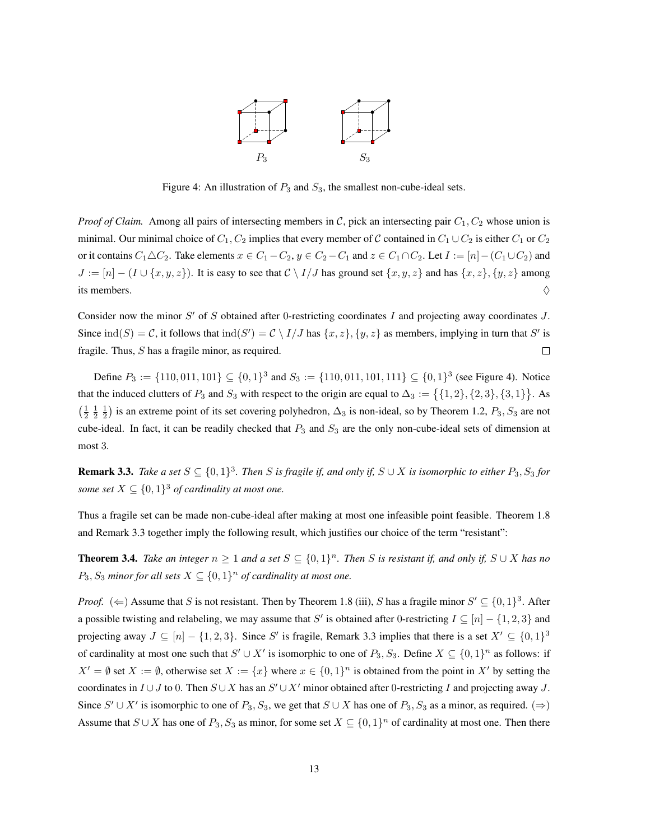

Figure 4: An illustration of  $P_3$  and  $S_3$ , the smallest non-cube-ideal sets.

*Proof of Claim.* Among all pairs of intersecting members in C, pick an intersecting pair  $C_1$ ,  $C_2$  whose union is minimal. Our minimal choice of  $C_1$ ,  $C_2$  implies that every member of C contained in  $C_1 \cup C_2$  is either  $C_1$  or  $C_2$ or it contains  $C_1 \triangle C_2$ . Take elements  $x \in C_1 - C_2$ ,  $y \in C_2 - C_1$  and  $z \in C_1 \cap C_2$ . Let  $I := [n] - (C_1 \cup C_2)$  and  $J := [n] - (I \cup \{x, y, z\})$ . It is easy to see that  $C \setminus I/J$  has ground set  $\{x, y, z\}$  and has  $\{x, z\}$ ,  $\{y, z\}$  among its members.  $\Diamond$ 

Consider now the minor  $S'$  of S obtained after 0-restricting coordinates I and projecting away coordinates  $J$ . Since  $\text{ind}(S) = C$ , it follows that  $\text{ind}(S') = C \setminus I/J$  has  $\{x, z\}$ ,  $\{y, z\}$  as members, implying in turn that S' is fragile. Thus, S has a fragile minor, as required.  $\Box$ 

Define  $P_3 := \{110, 011, 101\} \subseteq \{0, 1\}^3$  and  $S_3 := \{110, 011, 101, 111\} \subseteq \{0, 1\}^3$  (see Figure 4). Notice that the induced clutters of  $P_3$  and  $S_3$  with respect to the origin are equal to  $\Delta_3 := \{ \{1, 2\}, \{2, 3\}, \{3, 1\} \}$ . As  $(\frac{1}{2}, \frac{1}{2}, \frac{1}{2})$  is an extreme point of its set covering polyhedron,  $\Delta_3$  is non-ideal, so by Theorem 1.2,  $P_3$ ,  $S_3$  are not cube-ideal. In fact, it can be readily checked that  $P_3$  and  $S_3$  are the only non-cube-ideal sets of dimension at most 3.

**Remark 3.3.** Take a set  $S \subseteq \{0,1\}^3$ . Then S is fragile if, and only if,  $S \cup X$  is isomorphic to either  $P_3$ ,  $S_3$  for *some set*  $X \subseteq \{0,1\}^3$  *of cardinality at most one.* 

Thus a fragile set can be made non-cube-ideal after making at most one infeasible point feasible. Theorem 1.8 and Remark 3.3 together imply the following result, which justifies our choice of the term "resistant":

**Theorem 3.4.** *Take an integer*  $n \ge 1$  *and a set*  $S \subseteq \{0,1\}^n$ *. Then* S *is resistant if, and only if,*  $S \cup X$  *has no*  $P_3, S_3$  *minor for all sets*  $X \subseteq \{0, 1\}^n$  *of cardinality at most one.* 

*Proof.* ( $\Leftarrow$ ) Assume that S is not resistant. Then by Theorem 1.8 (iii), S has a fragile minor  $S' \subseteq \{0,1\}^3$ . After a possible twisting and relabeling, we may assume that S' is obtained after 0-restricting  $I \subseteq [n] - \{1, 2, 3\}$  and projecting away  $J \subseteq [n] - \{1, 2, 3\}$ . Since S' is fragile, Remark 3.3 implies that there is a set  $X' \subseteq \{0, 1\}^3$ of cardinality at most one such that  $S' \cup X'$  is isomorphic to one of  $P_3, S_3$ . Define  $X \subseteq \{0,1\}^n$  as follows: if  $X' = \emptyset$  set  $X := \emptyset$ , otherwise set  $X := \{x\}$  where  $x \in \{0,1\}^n$  is obtained from the point in  $X'$  by setting the coordinates in  $I \cup J$  to 0. Then  $S \cup X$  has an  $S' \cup X'$  minor obtained after 0-restricting I and projecting away J. Since  $S' \cup X'$  is isomorphic to one of  $P_3, S_3$ , we get that  $S \cup X$  has one of  $P_3, S_3$  as a minor, as required. ( $\Rightarrow$ ) Assume that  $S \cup X$  has one of  $P_3$ ,  $S_3$  as minor, for some set  $X \subseteq \{0,1\}^n$  of cardinality at most one. Then there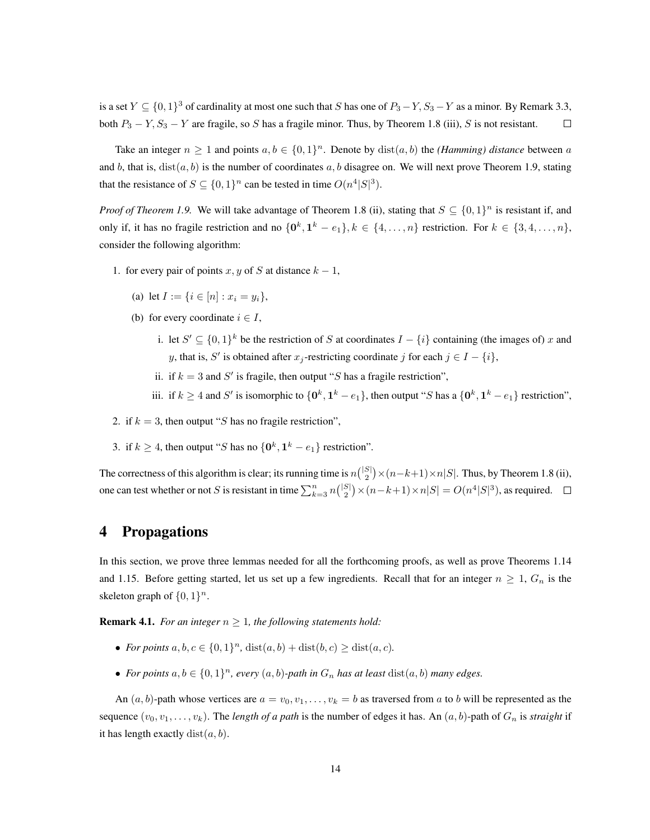is a set  $Y \subseteq \{0,1\}^3$  of cardinality at most one such that S has one of  $P_3 - Y, S_3 - Y$  as a minor. By Remark 3.3, both  $P_3 - Y$ ,  $S_3 - Y$  are fragile, so S has a fragile minor. Thus, by Theorem 1.8 (iii), S is not resistant.  $\Box$ 

Take an integer  $n \geq 1$  and points  $a, b \in \{0, 1\}^n$ . Denote by  $dist(a, b)$  the *(Hamming) distance* between a and b, that is,  $dist(a, b)$  is the number of coordinates a, b disagree on. We will next prove Theorem 1.9, stating that the resistance of  $S \subseteq \{0,1\}^n$  can be tested in time  $O(n^4|S|^3)$ .

*Proof of Theorem 1.9.* We will take advantage of Theorem 1.8 (ii), stating that  $S \subseteq \{0,1\}^n$  is resistant if, and only if, it has no fragile restriction and no  $\{0^k, 1^k - e_1\}$ ,  $k \in \{4, ..., n\}$  restriction. For  $k \in \{3, 4, ..., n\}$ , consider the following algorithm:

- 1. for every pair of points x, y of S at distance  $k 1$ ,
	- (a) let  $I := \{i \in [n] : x_i = y_i\},\$
	- (b) for every coordinate  $i \in I$ ,
		- i. let  $S' \subseteq \{0,1\}^k$  be the restriction of S at coordinates  $I \{i\}$  containing (the images of) x and y, that is, S' is obtained after  $x_j$ -restricting coordinate j for each  $j \in I - \{i\}$ ,
		- ii. if  $k = 3$  and  $S'$  is fragile, then output "S has a fragile restriction",
		- iii. if  $k \geq 4$  and S' is isomorphic to  $\{0^k, 1^k e_1\}$ , then output "S has a  $\{0^k, 1^k e_1\}$  restriction",
- 2. if  $k = 3$ , then output "S has no fragile restriction",
- 3. if  $k \ge 4$ , then output "S has no  $\{0^k, 1^k e_1\}$  restriction".

The correctness of this algorithm is clear; its running time is  $n{|\binom{|S|}{2}} \times (n-k+1) \times n|S|$ . Thus, by Theorem 1.8 (ii), one can test whether or not S is resistant in time  $\sum_{k=3}^{n} n { |S| \choose 2} \times (n-k+1) \times n |S| = O(n^4 |S|^3)$ , as required.

## 4 Propagations

In this section, we prove three lemmas needed for all the forthcoming proofs, as well as prove Theorems 1.14 and 1.15. Before getting started, let us set up a few ingredients. Recall that for an integer  $n \geq 1$ ,  $G_n$  is the skeleton graph of  $\{0, 1\}^n$ .

**Remark 4.1.** *For an integer*  $n \geq 1$ *, the following statements hold:* 

- *For points*  $a, b, c \in \{0, 1\}^n$ ,  $dist(a, b) + dist(b, c) \geq dist(a, c)$ *.*
- For points  $a, b \in \{0, 1\}^n$ , every  $(a, b)$ -path in  $G_n$  has at least  $dist(a, b)$  many edges.

An  $(a, b)$ -path whose vertices are  $a = v_0, v_1, \ldots, v_k = b$  as traversed from a to b will be represented as the sequence  $(v_0, v_1, \ldots, v_k)$ . The *length of a path* is the number of edges it has. An  $(a, b)$ -path of  $G_n$  is *straight* if it has length exactly  $dist(a, b)$ .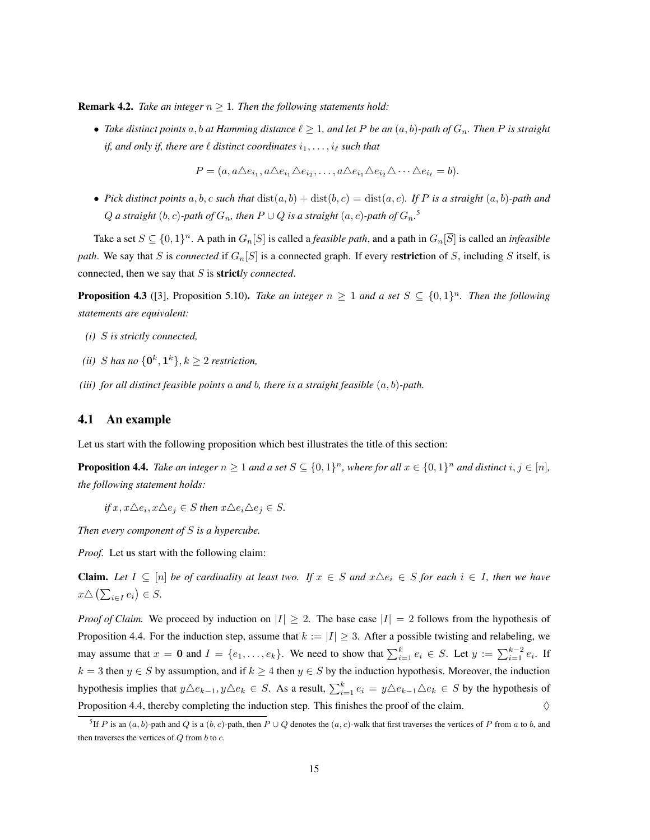**Remark 4.2.** *Take an integer*  $n \geq 1$ *. Then the following statements hold:* 

• Take distinct points  $a, b$  at Hamming distance  $\ell \geq 1$ , and let P be an  $(a, b)$ -path of  $G_n$ . Then P is straight *if, and only if, there are*  $\ell$  *distinct coordinates*  $i_1, \ldots, i_\ell$  *such that* 

 $P = (a, a \triangle e_{i_1}, a \triangle e_{i_1} \triangle e_{i_2}, \dots, a \triangle e_{i_1} \triangle e_{i_2} \triangle \cdots \triangle e_{i_\ell} = b).$ 

• *Pick distinct points*  $a, b, c$  *such that*  $dist(a, b) + dist(b, c) = dist(a, c)$ *. If P is a straight*  $(a, b)$ *-path and*  $Q$  a straight  $(b, c)$ -path of  $G_n$ , then  $P \cup Q$  is a straight  $(a, c)$ -path of  $G_n$ .<sup>5</sup>

Take a set  $S \subseteq \{0,1\}^n$ . A path in  $G_n[S]$  is called a *feasible path*, and a path in  $G_n[\overline{S}]$  is called an *infeasible path.* We say that S is *connected* if  $G_n[S]$  is a connected graph. If every restriction of S, including S itself, is connected, then we say that S is strict*ly connected*.

**Proposition 4.3** ([3], Proposition 5.10). *Take an integer*  $n \geq 1$  *and a set*  $S \subseteq \{0,1\}^n$ . *Then the following statements are equivalent:*

- *(i)* S *is strictly connected,*
- (*ii*) *S* has no  $\{0^k, 1^k\}, k \geq 2$  restriction,
- *(iii) for all distinct feasible points* a *and* b*, there is a straight feasible* (a, b)*-path.*

## 4.1 An example

Let us start with the following proposition which best illustrates the title of this section:

**Proposition 4.4.** Take an integer  $n \geq 1$  and a set  $S \subseteq \{0,1\}^n$ , where for all  $x \in \{0,1\}^n$  and distinct  $i, j \in [n]$ , *the following statement holds:*

 $if x, x \triangle e_i, x \triangle e_j \in S$  *then*  $x \triangle e_i \triangle e_j \in S$ *.* 

*Then every component of* S *is a hypercube.*

*Proof.* Let us start with the following claim:

**Claim.** Let  $I \subseteq [n]$  be of cardinality at least two. If  $x \in S$  and  $x \triangle e_i \in S$  for each  $i \in I$ , then we have  $x \triangle \left( \sum_{i \in I} e_i \right) \in S.$ 

*Proof of Claim.* We proceed by induction on  $|I| \geq 2$ . The base case  $|I| = 2$  follows from the hypothesis of Proposition 4.4. For the induction step, assume that  $k := |I| \geq 3$ . After a possible twisting and relabeling, we may assume that  $x = 0$  and  $I = \{e_1, \ldots, e_k\}$ . We need to show that  $\sum_{i=1}^k e_i \in S$ . Let  $y := \sum_{i=1}^{k-2} e_i$ . If  $k = 3$  then  $y \in S$  by assumption, and if  $k \ge 4$  then  $y \in S$  by the induction hypothesis. Moreover, the induction hypothesis implies that  $y \triangle e_{k-1}, y \triangle e_k \in S$ . As a result,  $\sum_{i=1}^k e_i = y \triangle e_{k-1} \triangle e_k \in S$  by the hypothesis of Proposition 4.4, thereby completing the induction step. This finishes the proof of the claim.  $\diamond$ 

<sup>&</sup>lt;sup>5</sup>If P is an  $(a, b)$ -path and Q is a  $(b, c)$ -path, then  $P \cup Q$  denotes the  $(a, c)$ -walk that first traverses the vertices of P from a to b, and then traverses the vertices of  $Q$  from  $b$  to  $c$ .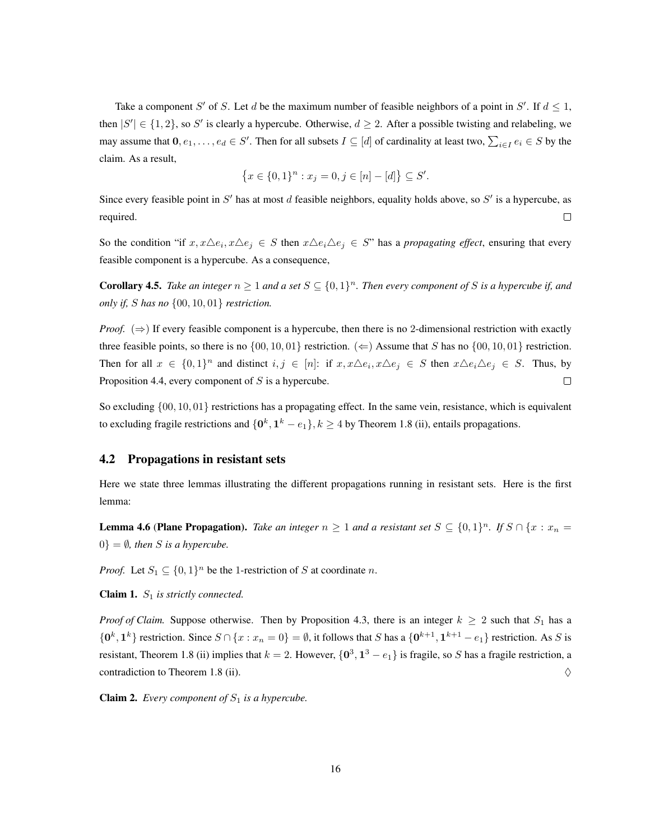Take a component S' of S. Let d be the maximum number of feasible neighbors of a point in S'. If  $d \leq 1$ , then  $|S'| \in \{1, 2\}$ , so S' is clearly a hypercube. Otherwise,  $d \geq 2$ . After a possible twisting and relabeling, we may assume that  $0, e_1, \ldots, e_d \in S'$ . Then for all subsets  $I \subseteq [d]$  of cardinality at least two,  $\sum_{i \in I} e_i \in S$  by the claim. As a result,

$$
\{x \in \{0,1\}^n : x_j = 0, j \in [n] - [d]\} \subseteq S'.
$$

Since every feasible point in S' has at most d feasible neighbors, equality holds above, so S' is a hypercube, as required.  $\Box$ 

So the condition "if  $x, x \triangle e_i, x \triangle e_j \in S$  then  $x \triangle e_i \triangle e_j \in S$ " has a *propagating effect*, ensuring that every feasible component is a hypercube. As a consequence,

**Corollary 4.5.** *Take an integer*  $n \geq 1$  *and a set*  $S \subseteq \{0,1\}^n$ *. Then every component of* S *is a hypercube if, and only if,* S *has no* {00, 10, 01} *restriction.*

*Proof.* ( $\Rightarrow$ ) If every feasible component is a hypercube, then there is no 2-dimensional restriction with exactly three feasible points, so there is no  $\{00, 10, 01\}$  restriction.  $(\Leftarrow)$  Assume that S has no  $\{00, 10, 01\}$  restriction. Then for all  $x \in \{0,1\}^n$  and distinct  $i, j \in [n]$ : if  $x, x \triangle e_i, x \triangle e_j \in S$  then  $x \triangle e_i \triangle e_j \in S$ . Thus, by Proposition 4.4, every component of S is a hypercube.  $\Box$ 

So excluding {00, 10, 01} restrictions has a propagating effect. In the same vein, resistance, which is equivalent to excluding fragile restrictions and  $\{0^k, 1^k - e_1\}$ ,  $k \ge 4$  by Theorem 1.8 (ii), entails propagations.

#### 4.2 Propagations in resistant sets

Here we state three lemmas illustrating the different propagations running in resistant sets. Here is the first lemma:

**Lemma 4.6 (Plane Propagation).** *Take an integer*  $n \geq 1$  *and a resistant set*  $S \subseteq \{0,1\}^n$ *. If*  $S \cap \{x : x_n = 1\}$  $0$ } =  $\emptyset$ *, then S is a hypercube.* 

*Proof.* Let  $S_1 \subseteq \{0,1\}^n$  be the 1-restriction of S at coordinate n.

**Claim 1.**  $S_1$  *is strictly connected.* 

*Proof of Claim.* Suppose otherwise. Then by Proposition 4.3, there is an integer  $k \ge 2$  such that  $S_1$  has a  $\{0^k, 1^k\}$  restriction. Since  $S \cap \{x : x_n = 0\} = \emptyset$ , it follows that S has a  $\{0^{k+1}, 1^{k+1} - e_1\}$  restriction. As S is resistant, Theorem 1.8 (ii) implies that  $k = 2$ . However,  $\{0^3, 1^3 - e_1\}$  is fragile, so S has a fragile restriction, a contradiction to Theorem 1.8 (ii).  $\Diamond$ 

**Claim 2.** *Every component of*  $S_1$  *is a hypercube.*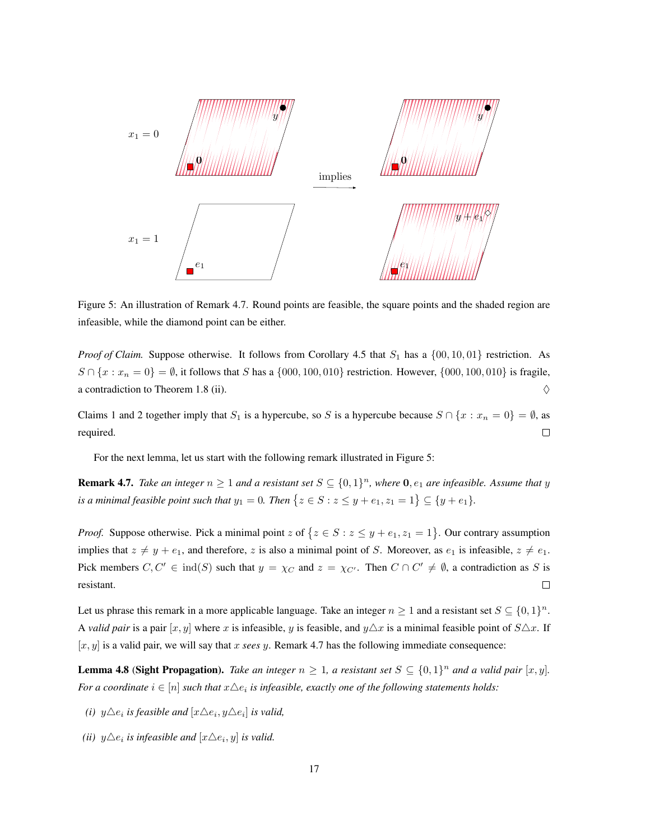

Figure 5: An illustration of Remark 4.7. Round points are feasible, the square points and the shaded region are infeasible, while the diamond point can be either.

*Proof of Claim.* Suppose otherwise. It follows from Corollary 4.5 that  $S_1$  has a  $\{00, 10, 01\}$  restriction. As  $S \cap \{x : x_n = 0\} = \emptyset$ , it follows that S has a  $\{000, 100, 010\}$  restriction. However,  $\{000, 100, 010\}$  is fragile, a contradiction to Theorem 1.8 (ii).  $\Diamond$ 

Claims 1 and 2 together imply that  $S_1$  is a hypercube, so S is a hypercube because  $S \cap \{x : x_n = 0\} = \emptyset$ , as required.  $\Box$ 

For the next lemma, let us start with the following remark illustrated in Figure 5:

**Remark 4.7.** Take an integer  $n \geq 1$  and a resistant set  $S \subseteq \{0,1\}^n$ , where  $\mathbf{0}, e_1$  are infeasible. Assume that y *is a minimal feasible point such that*  $y_1 = 0$ *. Then*  $\{z \in S : z \leq y + e_1, z_1 = 1\} \subseteq \{y + e_1\}$ *.* 

*Proof.* Suppose otherwise. Pick a minimal point z of  $\{z \in S : z \leq y + e_1, z_1 = 1\}$ . Our contrary assumption implies that  $z \neq y + e_1$ , and therefore, z is also a minimal point of S. Moreover, as  $e_1$  is infeasible,  $z \neq e_1$ . Pick members  $C, C' \in \text{ind}(S)$  such that  $y = \chi_C$  and  $z = \chi_{C'}$ . Then  $C \cap C' \neq \emptyset$ , a contradiction as S is resistant.  $\Box$ 

Let us phrase this remark in a more applicable language. Take an integer  $n \geq 1$  and a resistant set  $S \subseteq \{0,1\}^n$ . A *valid pair* is a pair  $[x, y]$  where x is infeasible, y is feasible, and  $y \triangle x$  is a minimal feasible point of  $S \triangle x$ . If  $[x, y]$  is a valid pair, we will say that x *sees* y. Remark 4.7 has the following immediate consequence:

**Lemma 4.8 (Sight Propagation).** Take an integer  $n \geq 1$ , a resistant set  $S \subseteq \{0,1\}^n$  and a valid pair  $[x, y]$ . *For a coordinate*  $i \in [n]$  *such that*  $x \triangle e_i$  *is infeasible, exactly one of the following statements holds:* 

- *(i)*  $y \triangle e_i$  *is feasible and*  $[x \triangle e_i, y \triangle e_i]$  *is valid,*
- *(ii)*  $y \triangle e_i$  *is infeasible and*  $[x \triangle e_i, y]$  *is valid.*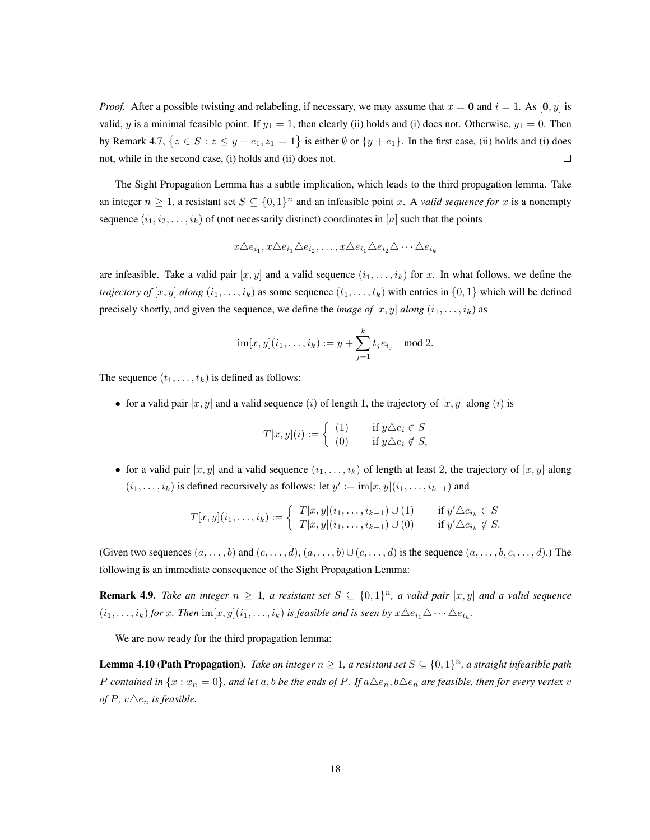*Proof.* After a possible twisting and relabeling, if necessary, we may assume that  $x = 0$  and  $i = 1$ . As [0, y] is valid, y is a minimal feasible point. If  $y_1 = 1$ , then clearly (ii) holds and (i) does not. Otherwise,  $y_1 = 0$ . Then by Remark 4.7,  $\{z \in S : z \leq y + e_1, z_1 = 1\}$  is either  $\emptyset$  or  $\{y + e_1\}$ . In the first case, (ii) holds and (i) does  $\Box$ not, while in the second case, (i) holds and (ii) does not.

The Sight Propagation Lemma has a subtle implication, which leads to the third propagation lemma. Take an integer  $n \geq 1$ , a resistant set  $S \subseteq \{0,1\}^n$  and an infeasible point x. A *valid sequence for* x is a nonempty sequence  $(i_1, i_2, \ldots, i_k)$  of (not necessarily distinct) coordinates in [n] such that the points

$$
x\triangle e_{i_1}, x\triangle e_{i_1}\triangle e_{i_2}, \ldots, x\triangle e_{i_1}\triangle e_{i_2}\triangle \cdots \triangle e_{i_k}
$$

are infeasible. Take a valid pair  $[x, y]$  and a valid sequence  $(i_1, \ldots, i_k)$  for x. In what follows, we define the *trajectory of*  $[x, y]$  *along*  $(i_1, \ldots, i_k)$  as some sequence  $(t_1, \ldots, t_k)$  with entries in  $\{0, 1\}$  which will be defined precisely shortly, and given the sequence, we define the *image of*  $[x, y]$  *along*  $(i_1, \ldots, i_k)$  as

$$
im[x, y](i_1, ..., i_k) := y + \sum_{j=1}^k t_j e_{i_j}
$$
 mod 2.

The sequence  $(t_1, \ldots, t_k)$  is defined as follows:

• for a valid pair  $[x, y]$  and a valid sequence (i) of length 1, the trajectory of  $[x, y]$  along (i) is

$$
T[x,y](i) := \begin{cases} (1) & \text{if } y \triangle e_i \in S \\ (0) & \text{if } y \triangle e_i \notin S, \end{cases}
$$

• for a valid pair  $[x, y]$  and a valid sequence  $(i_1, \ldots, i_k)$  of length at least 2, the trajectory of  $[x, y]$  along  $(i_1, \ldots, i_k)$  is defined recursively as follows: let  $y' := \text{im}[x, y](i_1, \ldots, i_{k-1})$  and

$$
T[x,y](i_1,\ldots,i_k) := \begin{cases} T[x,y](i_1,\ldots,i_{k-1}) \cup (1) & \text{if } y' \triangle e_{i_k} \in S \\ T[x,y](i_1,\ldots,i_{k-1}) \cup (0) & \text{if } y' \triangle e_{i_k} \notin S. \end{cases}
$$

(Given two sequences  $(a, \ldots, b)$  and  $(c, \ldots, d)$ ,  $(a, \ldots, b) \cup (c, \ldots, d)$  is the sequence  $(a, \ldots, b, c, \ldots, d)$ .) The following is an immediate consequence of the Sight Propagation Lemma:

**Remark 4.9.** Take an integer  $n \geq 1$ , a resistant set  $S \subseteq \{0,1\}^n$ , a valid pair  $[x, y]$  and a valid sequence  $(i_1,\ldots,i_k)$  *for* x. Then  $\text{im}[x,y](i_1,\ldots,i_k)$  *is feasible and is seen by*  $x\triangle e_{i_1}\triangle\cdots\triangle e_{i_k}$ *.* 

We are now ready for the third propagation lemma:

**Lemma 4.10 (Path Propagation).** Take an integer  $n \geq 1$ , a resistant set  $S \subseteq \{0,1\}^n$ , a straight infeasible path *P* contained in  $\{x : x_n = 0\}$ , and let a, b be the ends of P. If  $a \triangle e_n$ ,  $b \triangle e_n$  are feasible, then for every vertex v *of*  $P$ *,*  $v \triangle e_n$  *is feasible.*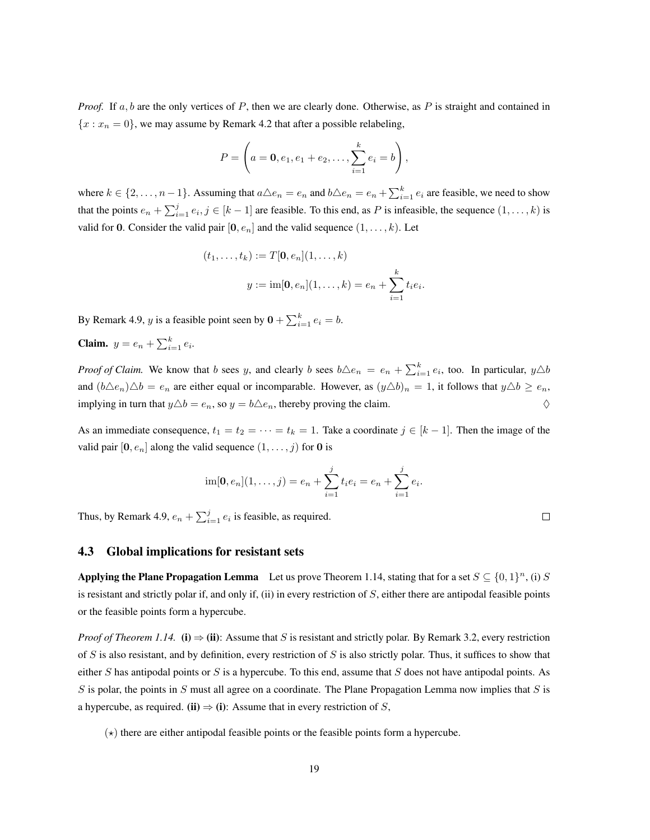*Proof.* If a, b are the only vertices of P, then we are clearly done. Otherwise, as P is straight and contained in  ${x : x_n = 0}$ , we may assume by Remark 4.2 that after a possible relabeling,

$$
P = \left(a = \mathbf{0}, e_1, e_1 + e_2, \dots, \sum_{i=1}^{k} e_i = b\right),
$$

where  $k \in \{2, \ldots, n-1\}$ . Assuming that  $a \triangle e_n = e_n$  and  $b \triangle e_n = e_n + \sum_{i=1}^{k} e_i$  are feasible, we need to show that the points  $e_n + \sum_{i=1}^j e_i, j \in [k-1]$  are feasible. To this end, as P is infeasible, the sequence  $(1, \ldots, k)$  is valid for 0. Consider the valid pair  $[0, e_n]$  and the valid sequence  $(1, \ldots, k)$ . Let

$$
(t_1, ..., t_k) := T[\mathbf{0}, e_n](1, ..., k)
$$

$$
y := \text{im}[\mathbf{0}, e_n](1, ..., k) = e_n + \sum_{i=1}^k t_i e_i.
$$

By Remark 4.9, *y* is a feasible point seen by  $\mathbf{0} + \sum_{i=1}^{k} e_i = b$ .

**Claim.**  $y = e_n + \sum_{i=1}^{k} e_i$ .

*Proof of Claim.* We know that b sees y, and clearly b sees  $b \triangle e_n = e_n + \sum_{i=1}^k e_i$ , too. In particular,  $y \triangle b$ and  $(b\triangle e_n)\triangle b = e_n$  are either equal or incomparable. However, as  $(y\triangle b)_n = 1$ , it follows that  $y\triangle b \ge e_n$ , implying in turn that  $y \triangle b = e_n$ , so  $y = b \triangle e_n$ , thereby proving the claim.

As an immediate consequence,  $t_1 = t_2 = \cdots = t_k = 1$ . Take a coordinate  $j \in [k-1]$ . Then the image of the valid pair  $[0, e_n]$  along the valid sequence  $(1, \ldots, j)$  for 0 is

$$
\operatorname{im}[\mathbf{0},e_n](1,\ldots,j)=e_n+\sum_{i=1}^j t_i e_i=e_n+\sum_{i=1}^j e_i.
$$

 $\Box$ 

Thus, by Remark 4.9,  $e_n + \sum_{i=1}^{j} e_i$  is feasible, as required.

### 4.3 Global implications for resistant sets

Applying the Plane Propagation Lemma Let us prove Theorem 1.14, stating that for a set  $S \subseteq \{0,1\}^n$ , (i) S is resistant and strictly polar if, and only if, (ii) in every restriction of  $S$ , either there are antipodal feasible points or the feasible points form a hypercube.

*Proof of Theorem 1.14.* (i)  $\Rightarrow$  (ii): Assume that S is resistant and strictly polar. By Remark 3.2, every restriction of S is also resistant, and by definition, every restriction of S is also strictly polar. Thus, it suffices to show that either S has antipodal points or S is a hypercube. To this end, assume that S does not have antipodal points. As S is polar, the points in S must all agree on a coordinate. The Plane Propagation Lemma now implies that S is a hypercube, as required. (ii)  $\Rightarrow$  (i): Assume that in every restriction of S,

 $(\star)$  there are either antipodal feasible points or the feasible points form a hypercube.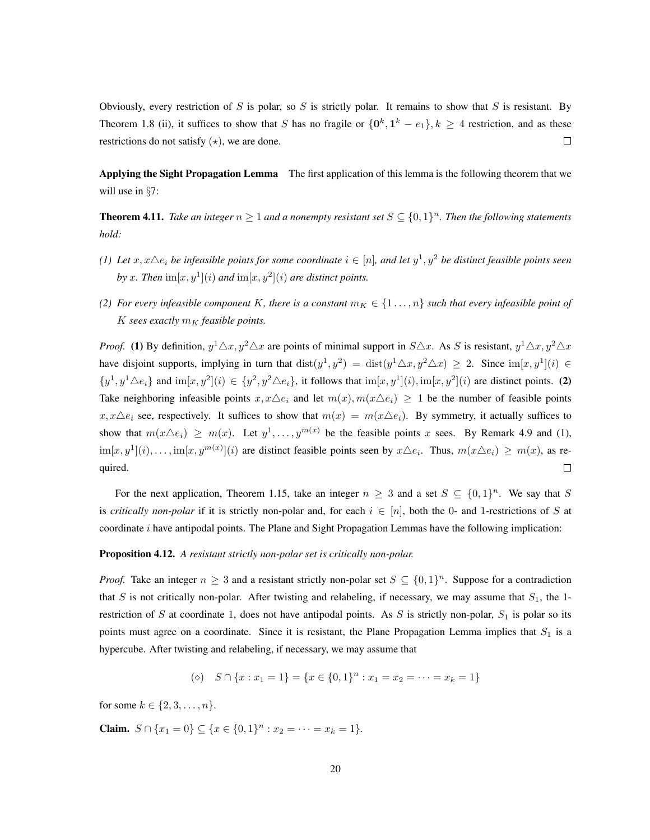Obviously, every restriction of S is polar, so S is strictly polar. It remains to show that S is resistant. By Theorem 1.8 (ii), it suffices to show that S has no fragile or  $\{0^k, 1^k - e_1\}$ ,  $k \ge 4$  restriction, and as these  $\Box$ restrictions do not satisfy  $(\star)$ , we are done.

Applying the Sight Propagation Lemma The first application of this lemma is the following theorem that we will use in §7:

**Theorem 4.11.** Take an integer  $n \geq 1$  and a nonempty resistant set  $S \subseteq \{0,1\}^n$ . Then the following statements *hold:*

- (1) Let  $x, x \triangle e_i$  be infeasible points for some coordinate  $i \in [n]$ , and let  $y^1, y^2$  be distinct feasible points seen by x. Then  $\text{im}[x, y^1](i)$  and  $\text{im}[x, y^2](i)$  are distinct points.
- *(2)* For every infeasible component K, there is a constant  $m_K \in \{1, \ldots, n\}$  *such that every infeasible point of*  $K$  sees exactly  $m_K$  *feasible points.*

*Proof.* (1) By definition,  $y^1 \triangle x, y^2 \triangle x$  are points of minimal support in  $S \triangle x$ . As S is resistant,  $y^1 \triangle x, y^2 \triangle x$ have disjoint supports, implying in turn that  $dist(y^1, y^2) = dist(y^1 \triangle x, y^2 \triangle x) \ge 2$ . Since  $im[x, y^1](i) \in$  $\{y^1, y^1 \triangle e_i\}$  and  $\text{im}[x, y^2](i) \in \{y^2, y^2 \triangle e_i\}$ , it follows that  $\text{im}[x, y^1](i)$ ,  $\text{im}[x, y^2](i)$  are distinct points. (2) Take neighboring infeasible points  $x, x \triangle e_i$  and let  $m(x), m(x \triangle e_i) \ge 1$  be the number of feasible points  $x, x \triangle e_i$  see, respectively. It suffices to show that  $m(x) = m(x \triangle e_i)$ . By symmetry, it actually suffices to show that  $m(x \triangle e_i) \geq m(x)$ . Let  $y^1, \ldots, y^{m(x)}$  be the feasible points x sees. By Remark 4.9 and (1),  $\text{im}[x, y^1](i), \ldots, \text{im}[x, y^{m(x)}](i)$  are distinct feasible points seen by  $x \triangle e_i$ . Thus,  $m(x \triangle e_i) \ge m(x)$ , as required.  $\Box$ 

For the next application, Theorem 1.15, take an integer  $n \geq 3$  and a set  $S \subseteq \{0,1\}^n$ . We say that S is *critically non-polar* if it is strictly non-polar and, for each  $i \in [n]$ , both the 0- and 1-restrictions of S at coordinate  $i$  have antipodal points. The Plane and Sight Propagation Lemmas have the following implication:

#### Proposition 4.12. *A resistant strictly non-polar set is critically non-polar.*

*Proof.* Take an integer  $n \geq 3$  and a resistant strictly non-polar set  $S \subseteq \{0,1\}^n$ . Suppose for a contradiction that S is not critically non-polar. After twisting and relabeling, if necessary, we may assume that  $S_1$ , the 1restriction of S at coordinate 1, does not have antipodal points. As S is strictly non-polar,  $S_1$  is polar so its points must agree on a coordinate. Since it is resistant, the Plane Propagation Lemma implies that  $S_1$  is a hypercube. After twisting and relabeling, if necessary, we may assume that

$$
(\diamond) \quad S \cap \{x : x_1 = 1\} = \{x \in \{0, 1\}^n : x_1 = x_2 = \dots = x_k = 1\}
$$

for some  $k \in \{2, 3, ..., n\}$ .

**Claim.**  $S \cap \{x_1 = 0\} \subseteq \{x \in \{0, 1\}^n : x_2 = \cdots = x_k = 1\}.$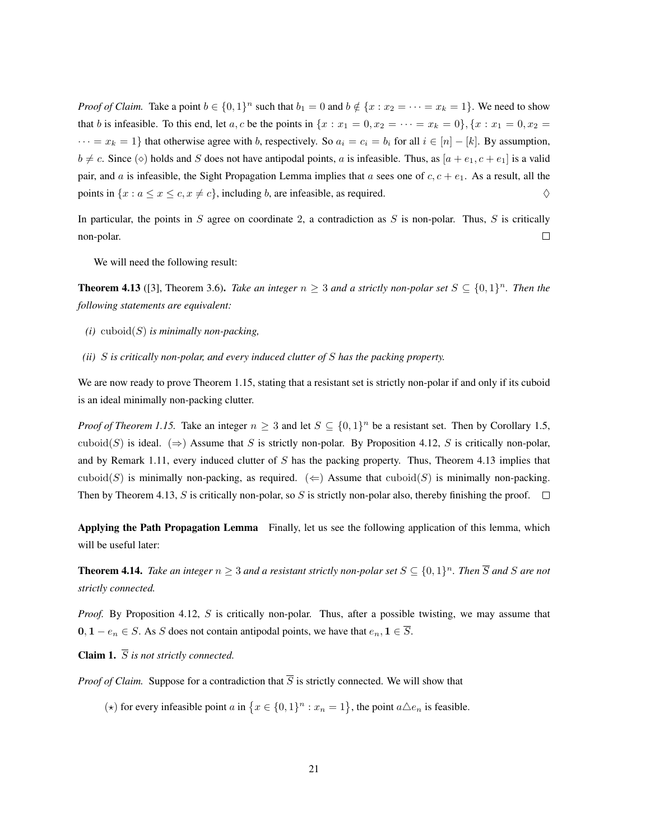*Proof of Claim.* Take a point  $b \in \{0,1\}^n$  such that  $b_1 = 0$  and  $b \notin \{x : x_2 = \cdots = x_k = 1\}$ . We need to show that b is infeasible. To this end, let a, c be the points in  $\{x : x_1 = 0, x_2 = \cdots = x_k = 0\}$ ,  $\{x : x_1 = 0, x_2 = \cdots = x_k\}$  $\cdots = x_k = 1$ } that otherwise agree with b, respectively. So  $a_i = c_i = b_i$  for all  $i \in [n] - [k]$ . By assumption,  $b \neq c$ . Since ( $\diamond$ ) holds and S does not have antipodal points, a is infeasible. Thus, as  $[a + e_1, c + e_1]$  is a valid pair, and a is infeasible, the Sight Propagation Lemma implies that a sees one of  $c, c + e_1$ . As a result, all the points in  $\{x : a \le x \le c, x \ne c\}$ , including b, are infeasible, as required.  $\diamondsuit$ 

In particular, the points in  $S$  agree on coordinate 2, a contradiction as  $S$  is non-polar. Thus,  $S$  is critically non-polar.  $\Box$ 

We will need the following result:

**Theorem 4.13** ([3], Theorem 3.6). *Take an integer*  $n \geq 3$  *and a strictly non-polar set*  $S \subseteq \{0,1\}^n$ . *Then the following statements are equivalent:*

- *(i)* cuboid(S) *is minimally non-packing,*
- *(ii)* S *is critically non-polar, and every induced clutter of* S *has the packing property.*

We are now ready to prove Theorem 1.15, stating that a resistant set is strictly non-polar if and only if its cuboid is an ideal minimally non-packing clutter.

*Proof of Theorem 1.15.* Take an integer  $n \geq 3$  and let  $S \subseteq \{0,1\}^n$  be a resistant set. Then by Corollary 1.5, cuboid(S) is ideal. ( $\Rightarrow$ ) Assume that S is strictly non-polar. By Proposition 4.12, S is critically non-polar, and by Remark 1.11, every induced clutter of  $S$  has the packing property. Thus, Theorem 4.13 implies that cuboid(S) is minimally non-packing, as required. ( $\Leftarrow$ ) Assume that cuboid(S) is minimally non-packing. Then by Theorem 4.13, S is critically non-polar, so S is strictly non-polar also, thereby finishing the proof.  $\square$ 

Applying the Path Propagation Lemma Finally, let us see the following application of this lemma, which will be useful later:

**Theorem 4.14.** Take an integer  $n \geq 3$  and a resistant strictly non-polar set  $S \subseteq \{0,1\}^n$ . Then  $\overline{S}$  and  $S$  are not *strictly connected.*

*Proof.* By Proposition 4.12, S is critically non-polar. Thus, after a possible twisting, we may assume that  $0, 1 - e_n \in S$ . As S does not contain antipodal points, we have that  $e_n, 1 \in \overline{S}$ .

**Claim 1.**  $\overline{S}$  *is not strictly connected.* 

*Proof of Claim.* Suppose for a contradiction that  $\overline{S}$  is strictly connected. We will show that

( $\star$ ) for every infeasible point a in  $\{x \in \{0,1\}^n : x_n = 1\}$ , the point  $a \triangle e_n$  is feasible.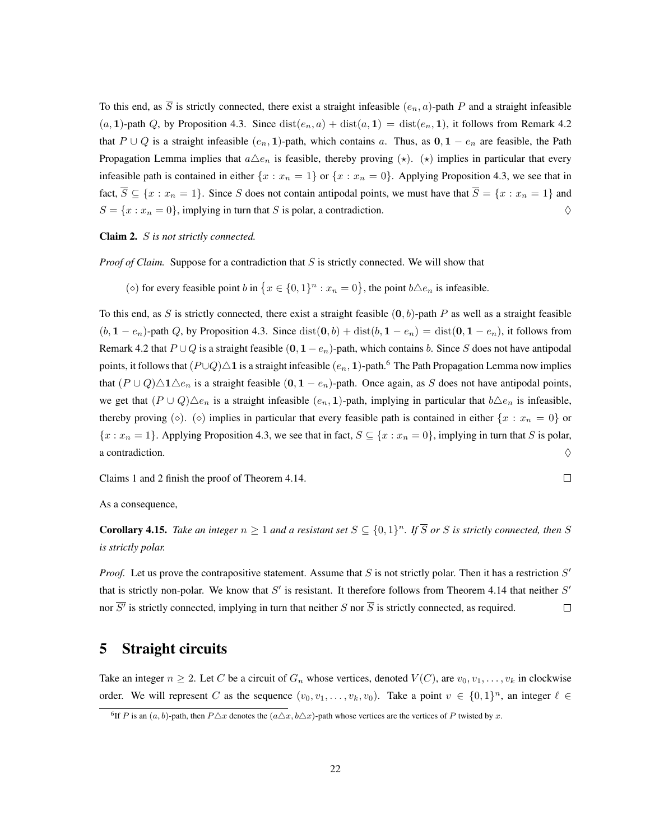To this end, as  $\overline{S}$  is strictly connected, there exist a straight infeasible  $(e_n, a)$ -path P and a straight infeasible  $(a, 1)$ -path Q, by Proposition 4.3. Since  $dist(e_n, a) + dist(a, 1) = dist(e_n, 1)$ , it follows from Remark 4.2 that P ∪ Q is a straight infeasible  $(e_n, 1)$ -path, which contains a. Thus, as  $0, 1 - e_n$  are feasible, the Path Propagation Lemma implies that  $a\Delta e_n$  is feasible, thereby proving  $(\star)$ .  $(\star)$  implies in particular that every infeasible path is contained in either  $\{x : x_n = 1\}$  or  $\{x : x_n = 0\}$ . Applying Proposition 4.3, we see that in fact,  $\overline{S} \subseteq \{x : x_n = 1\}$ . Since S does not contain antipodal points, we must have that  $\overline{S} = \{x : x_n = 1\}$  and  $S = \{x : x_n = 0\}$ , implying in turn that S is polar, a contradiction.

#### Claim 2. S *is not strictly connected.*

*Proof of Claim.* Suppose for a contradiction that S is strictly connected. We will show that

( $\diamond$ ) for every feasible point b in  $\{x \in \{0,1\}^n : x_n = 0\}$ , the point  $b \triangle e_n$  is infeasible.

To this end, as S is strictly connected, there exist a straight feasible  $(0, b)$ -path P as well as a straight feasible  $(b, 1 - e_n)$ -path Q, by Proposition 4.3. Since  $dist(0, b) + dist(b, 1 - e_n) = dist(0, 1 - e_n)$ , it follows from Remark 4.2 that  $P \cup Q$  is a straight feasible  $(0, 1 - e_n)$ -path, which contains b. Since S does not have antipodal points, it follows that  $(P\cup Q)\triangle 1$  is a straight infeasible  $(e_n, 1)$ -path.<sup>6</sup> The Path Propagation Lemma now implies that  $(P \cup Q) \triangle 1 \triangle e_n$  is a straight feasible  $(0, 1 - e_n)$ -path. Once again, as S does not have antipodal points, we get that  $(P \cup Q) \triangle e_n$  is a straight infeasible  $(e_n, 1)$ -path, implying in particular that  $b \triangle e_n$  is infeasible, thereby proving ( $\diamond$ ). ( $\diamond$ ) implies in particular that every feasible path is contained in either  $\{x : x_n = 0\}$  or  ${x : x_n = 1}$ . Applying Proposition 4.3, we see that in fact,  $S \subseteq {x : x_n = 0}$ , implying in turn that S is polar, a contradiction.  $\Diamond$ 

Claims 1 and 2 finish the proof of Theorem 4.14.

$$
\qquad \qquad \Box
$$

As a consequence,

**Corollary 4.15.** Take an integer  $n \geq 1$  and a resistant set  $S \subseteq \{0,1\}^n$ . If  $\overline{S}$  or S is strictly connected, then S *is strictly polar.*

*Proof.* Let us prove the contrapositive statement. Assume that  $S$  is not strictly polar. Then it has a restriction  $S'$ that is strictly non-polar. We know that  $S'$  is resistant. It therefore follows from Theorem 4.14 that neither  $S'$  $\Box$ nor  $S<sup>'</sup>$  is strictly connected, implying in turn that neither  $S$  nor  $S$  is strictly connected, as required.

## 5 Straight circuits

Take an integer  $n \geq 2$ . Let C be a circuit of  $G_n$  whose vertices, denoted  $V(C)$ , are  $v_0, v_1, \ldots, v_k$  in clockwise order. We will represent C as the sequence  $(v_0, v_1, \ldots, v_k, v_0)$ . Take a point  $v \in \{0,1\}^n$ , an integer  $\ell \in$ 

<sup>&</sup>lt;sup>6</sup>If P is an  $(a, b)$ -path, then  $P\Delta x$  denotes the  $(a\Delta x, b\Delta x)$ -path whose vertices are the vertices of P twisted by x.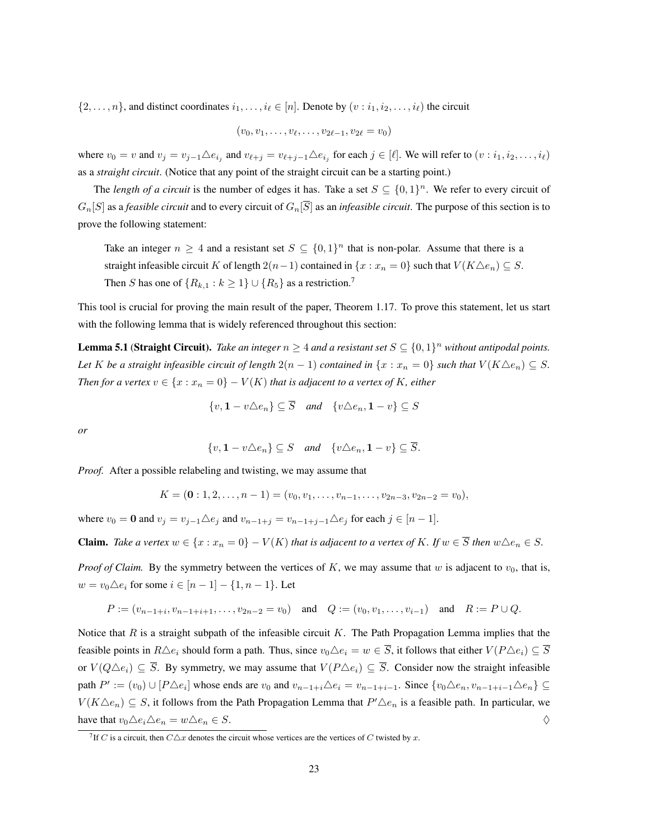$\{2, \ldots, n\}$ , and distinct coordinates  $i_1, \ldots, i_\ell \in [n]$ . Denote by  $(v : i_1, i_2, \ldots, i_\ell)$  the circuit

$$
(v_0, v_1, \ldots, v_{\ell}, \ldots, v_{2\ell-1}, v_{2\ell} = v_0)
$$

where  $v_0 = v$  and  $v_j = v_{j-1} \triangle e_{i_j}$  and  $v_{\ell+j} = v_{\ell+j-1} \triangle e_{i_j}$  for each  $j \in [\ell]$ . We will refer to  $(v : i_1, i_2, \ldots, i_\ell)$ as a *straight circuit*. (Notice that any point of the straight circuit can be a starting point.)

The *length of a circuit* is the number of edges it has. Take a set  $S \subseteq \{0,1\}^n$ . We refer to every circuit of  $G_n[S]$  as a *feasible circuit* and to every circuit of  $G_n[\overline{S}]$  as an *infeasible circuit*. The purpose of this section is to prove the following statement:

Take an integer  $n \geq 4$  and a resistant set  $S \subseteq \{0,1\}^n$  that is non-polar. Assume that there is a straight infeasible circuit K of length  $2(n-1)$  contained in  $\{x : x_n = 0\}$  such that  $V(K \triangle e_n) \subseteq S$ . Then S has one of  $\{R_{k,1} : k \geq 1\} \cup \{R_5\}$  as a restriction.<sup>7</sup>

This tool is crucial for proving the main result of the paper, Theorem 1.17. To prove this statement, let us start with the following lemma that is widely referenced throughout this section:

**Lemma 5.1 (Straight Circuit).** Take an integer  $n \geq 4$  and a resistant set  $S \subseteq \{0,1\}^n$  without antipodal points. *Let* K *be a straight infeasible circuit of length*  $2(n - 1)$  *contained in*  $\{x : x_n = 0\}$  *such that*  $V(K \triangle e_n) \subseteq S$ *. Then for a vertex*  $v \in \{x : x_n = 0\} - V(K)$  *that is adjacent to a vertex of* K, *either* 

$$
\{v, \mathbf{1} - v \triangle e_n\} \subseteq \overline{S} \quad and \quad \{v \triangle e_n, \mathbf{1} - v\} \subseteq S
$$

*or*

$$
\{v, \mathbf{1} - v \triangle e_n\} \subseteq S \quad and \quad \{v \triangle e_n, \mathbf{1} - v\} \subseteq \overline{S}.
$$

*Proof.* After a possible relabeling and twisting, we may assume that

$$
K = (\mathbf{0}:1,2,\ldots,n-1) = (v_0,v_1,\ldots,v_{n-1},\ldots,v_{2n-3},v_{2n-2} = v_0),
$$

where  $v_0 = \mathbf{0}$  and  $v_j = v_{j-1} \triangle e_j$  and  $v_{n-1+j} = v_{n-1+j-1} \triangle e_j$  for each  $j \in [n-1]$ .

**Claim.** Take a vertex  $w \in \{x : x_n = 0\} - V(K)$  that is adjacent to a vertex of K. If  $w \in \overline{S}$  then  $w \triangle e_n \in S$ .

*Proof of Claim.* By the symmetry between the vertices of K, we may assume that w is adjacent to  $v_0$ , that is,  $w = v_0 \triangle e_i$  for some  $i \in [n-1] - \{1, n-1\}$ . Let

$$
P := (v_{n-1+i}, v_{n-1+i+1}, \dots, v_{2n-2} = v_0) \text{ and } Q := (v_0, v_1, \dots, v_{i-1}) \text{ and } R := P \cup Q.
$$

Notice that R is a straight subpath of the infeasible circuit K. The Path Propagation Lemma implies that the feasible points in  $R\Delta e_i$  should form a path. Thus, since  $v_0\Delta e_i = w \in \overline{S}$ , it follows that either  $V(P\Delta e_i) \subseteq \overline{S}$ or  $V(Q \triangle e_i) \subseteq \overline{S}$ . By symmetry, we may assume that  $V(P \triangle e_i) \subseteq \overline{S}$ . Consider now the straight infeasible path  $P' := (v_0) \cup [P \triangle e_i]$  whose ends are  $v_0$  and  $v_{n-1+i} \triangle e_i = v_{n-1+i-1}$ . Since  $\{v_0 \triangle e_n, v_{n-1+i-1} \triangle e_n\} \subseteq$  $V(K \triangle e_n) \subseteq S$ , it follows from the Path Propagation Lemma that  $P' \triangle e_n$  is a feasible path. In particular, we have that  $v_0 \triangle e_i \triangle e_n = w \triangle e_n \in S$ .

<sup>&</sup>lt;sup>7</sup>If C is a circuit, then  $C\Delta x$  denotes the circuit whose vertices are the vertices of C twisted by x.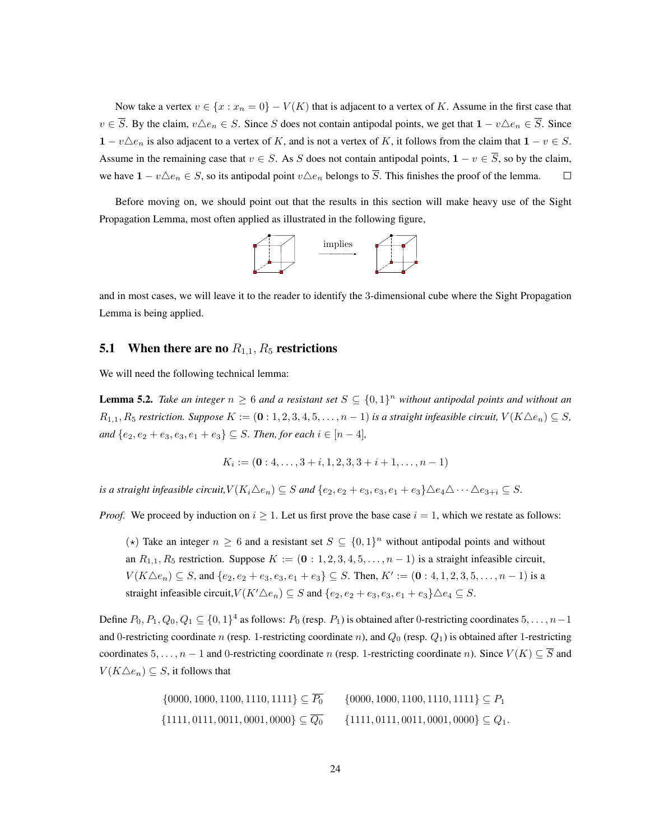Now take a vertex  $v \in \{x : x_n = 0\} - V(K)$  that is adjacent to a vertex of K. Assume in the first case that  $v \in \overline{S}$ . By the claim,  $v \triangle e_n \in S$ . Since S does not contain antipodal points, we get that  $1 - v \triangle e_n \in \overline{S}$ . Since  $1 - v \triangle e_n$  is also adjacent to a vertex of K, and is not a vertex of K, it follows from the claim that  $1 - v \in S$ . Assume in the remaining case that  $v \in S$ . As S does not contain antipodal points,  $1 - v \in \overline{S}$ , so by the claim, we have  $1 - v\Delta e_n \in S$ , so its antipodal point  $v\Delta e_n$  belongs to  $\overline{S}$ . This finishes the proof of the lemma.  $\Box$ 

Before moving on, we should point out that the results in this section will make heavy use of the Sight Propagation Lemma, most often applied as illustrated in the following figure,



and in most cases, we will leave it to the reader to identify the 3-dimensional cube where the Sight Propagation Lemma is being applied.

## **5.1** When there are no  $R_{1,1}$ ,  $R_5$  restrictions

We will need the following technical lemma:

**Lemma 5.2.** Take an integer  $n \geq 6$  and a resistant set  $S \subseteq \{0,1\}^n$  without antipodal points and without an  $R_{1,1}, R_5$  restriction. Suppose  $K := (\mathbf{0}:1,2,3,4,5,\ldots,n-1)$  is a straight infeasible circuit,  $V(K \triangle e_n) \subseteq S$ , *and*  ${e_2, e_2 + e_3, e_3, e_1 + e_3}$  ⊆ *S. Then, for each*  $i \in [n-4]$ *,* 

$$
K_i := (\mathbf{0}: 4, \dots, 3+i, 1, 2, 3, 3+i+1, \dots, n-1)
$$

*is a straight infeasible circuit,* $V(K_i \triangle e_n) \subseteq S$  *and*  $\{e_2, e_2 + e_3, e_3, e_1 + e_3\} \triangle e_4 \triangle \cdots \triangle e_{3+i} \subseteq S$ .

*Proof.* We proceed by induction on  $i \geq 1$ . Let us first prove the base case  $i = 1$ , which we restate as follows:

( $\star$ ) Take an integer  $n \geq 6$  and a resistant set  $S \subseteq \{0,1\}^n$  without antipodal points and without an  $R_{1,1}, R_5$  restriction. Suppose  $K := (0:1, 2, 3, 4, 5, \ldots, n-1)$  is a straight infeasible circuit,  $V(K \triangle e_n) \subseteq S$ , and  $\{e_2, e_2 + e_3, e_3, e_1 + e_3\} \subseteq S$ . Then,  $K' := (\mathbf{0} : 4, 1, 2, 3, 5, \dots, n - 1)$  is a straight infeasible circuit, $V(K'\triangle e_n) \subseteq S$  and  $\{e_2, e_2 + e_3, e_3, e_1 + e_3\} \triangle e_4 \subseteq S$ .

Define  $P_0, P_1, Q_0, Q_1 \subseteq \{0, 1\}^4$  as follows:  $P_0$  (resp.  $P_1$ ) is obtained after 0-restricting coordinates  $5, \ldots, n-1$ and 0-restricting coordinate n (resp. 1-restricting coordinate n), and  $Q_0$  (resp.  $Q_1$ ) is obtained after 1-restricting coordinates  $5, \ldots, n-1$  and 0-restricting coordinate n (resp. 1-restricting coordinate n). Since  $V(K) \subseteq \overline{S}$  and  $V(K\triangle e_n) \subseteq S$ , it follows that

> $\{0000, 1000, 1100, 1110, 1111\} \subseteq \overline{P_0}$  {0000, 1000, 1100, 1110, 1111}  $\subseteq P_1$  $\{1111, 0111, 0011, 0001, 0000\} \subset \overline{Q_0}$   $\{1111, 0111, 0011, 0001, 0000\} \subset Q_1$ .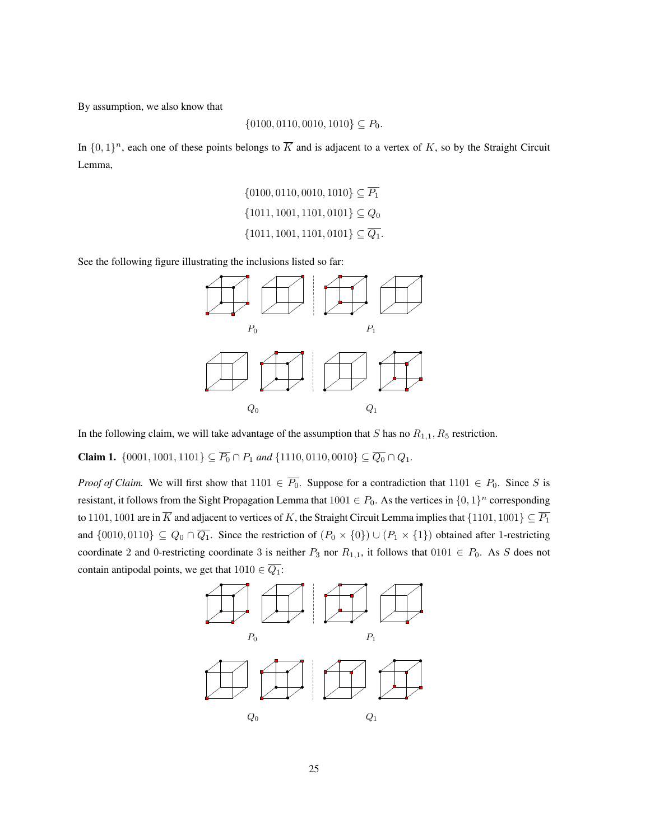By assumption, we also know that

$$
\{0100, 0110, 0010, 1010\} \subseteq P_0.
$$

In  $\{0,1\}^n$ , each one of these points belongs to  $\overline{K}$  and is adjacent to a vertex of K, so by the Straight Circuit Lemma,

$$
\{0100, 0110, 0010, 1010\} \subseteq \overline{P_1}
$$

$$
\{1011, 1001, 1101, 0101\} \subseteq Q_0
$$

$$
\{1011, 1001, 1101, 0101\} \subseteq \overline{Q_1}.
$$

See the following figure illustrating the inclusions listed so far:



In the following claim, we will take advantage of the assumption that  $S$  has no  $R_{1,1}, R_5$  restriction.

**Claim 1.**  $\{0001, 1001, 1101\} \subseteq \overline{P_0} \cap P_1$  and  $\{1110, 0110, 0010\} \subseteq \overline{Q_0} \cap Q_1$ .

*Proof of Claim.* We will first show that  $1101 \in \overline{P_0}$ . Suppose for a contradiction that  $1101 \in P_0$ . Since S is resistant, it follows from the Sight Propagation Lemma that  $1001 \in P_0$ . As the vertices in  $\{0,1\}^n$  corresponding to 1101, 1001 are in  $\overline{K}$  and adjacent to vertices of K, the Straight Circuit Lemma implies that  $\{1101, 1001\} \subseteq \overline{P_1}$ and  $\{0010, 0110\} \subseteq Q_0 \cap \overline{Q_1}$ . Since the restriction of  $(P_0 \times \{0\}) \cup (P_1 \times \{1\})$  obtained after 1-restricting coordinate 2 and 0-restricting coordinate 3 is neither  $P_3$  nor  $R_{1,1}$ , it follows that  $0101 \in P_0$ . As S does not contain antipodal points, we get that  $1010 \in \overline{Q_1}$ :

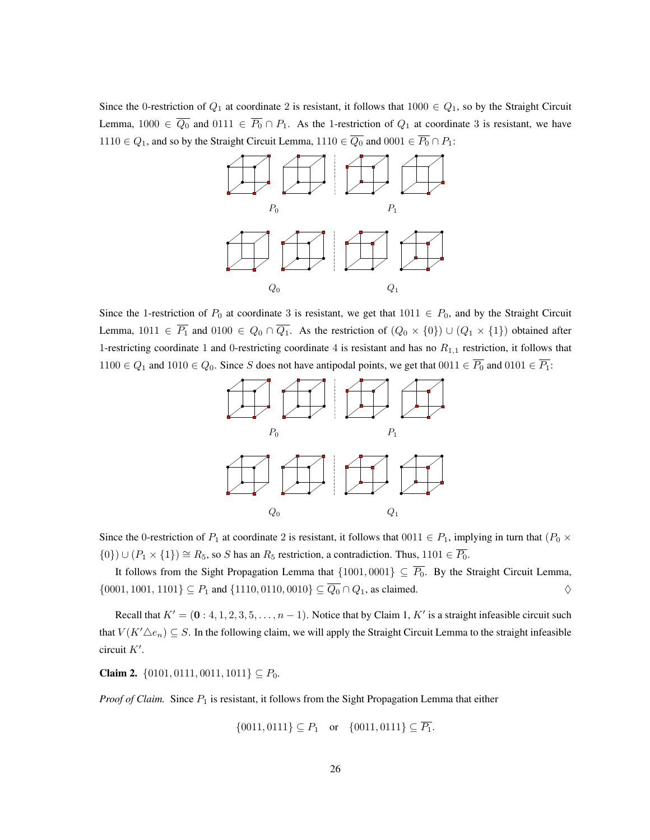Since the 0-restriction of  $Q_1$  at coordinate 2 is resistant, it follows that  $1000 \in Q_1$ , so by the Straight Circuit Lemma,  $1000 \in \overline{Q_0}$  and  $0111 \in \overline{P_0} \cap P_1$ . As the 1-restriction of  $Q_1$  at coordinate 3 is resistant, we have 1110 ∈  $Q_1$ , and so by the Straight Circuit Lemma, 1110 ∈  $\overline{Q_0}$  and 0001 ∈  $\overline{P_0} \cap P_1$ :



Since the 1-restriction of  $P_0$  at coordinate 3 is resistant, we get that  $1011 \in P_0$ , and by the Straight Circuit Lemma,  $1011 \in \overline{P_1}$  and  $0100 \in Q_0 \cap \overline{Q_1}$ . As the restriction of  $(Q_0 \times \{0\}) \cup (Q_1 \times \{1\})$  obtained after 1-restricting coordinate 1 and 0-restricting coordinate 4 is resistant and has no  $R_{1,1}$  restriction, it follows that 1100  $\in Q_1$  and 1010  $\in Q_0$ . Since S does not have antipodal points, we get that  $0011 \in \overline{P_0}$  and  $0101 \in \overline{P_1}$ :



Since the 0-restriction of  $P_1$  at coordinate 2 is resistant, it follows that  $0011 \in P_1$ , implying in turn that  $(P_0 \times P_1)$  $\{0\}$ ) ∪  $(P_1 \times \{1\}) \cong R_5$ , so S has an  $R_5$  restriction, a contradiction. Thus, 1101  $\in \overline{P_0}$ .

It follows from the Sight Propagation Lemma that  $\{1001, 0001\} \subseteq \overline{P_0}$ . By the Straight Circuit Lemma,  $\{0001, 1001, 1101\} \subseteq P_1$  and  $\{1110, 0110, 0010\} \subseteq \overline{Q_0} \cap Q_1$ , as claimed.  $\diamondsuit$ 

Recall that  $K' = (0 : 4, 1, 2, 3, 5, \dots, n - 1)$ . Notice that by Claim 1, K' is a straight infeasible circuit such that  $V(K'\Delta e_n) \subseteq S$ . In the following claim, we will apply the Straight Circuit Lemma to the straight infeasible circuit  $K'$ .

**Claim 2.** {0101, 0111, 0011, 1011}  $\subseteq P_0$ .

*Proof of Claim.* Since  $P_1$  is resistant, it follows from the Sight Propagation Lemma that either

 $\{0011, 0111\} \subseteq P_1$  or  $\{0011, 0111\} \subseteq \overline{P_1}$ .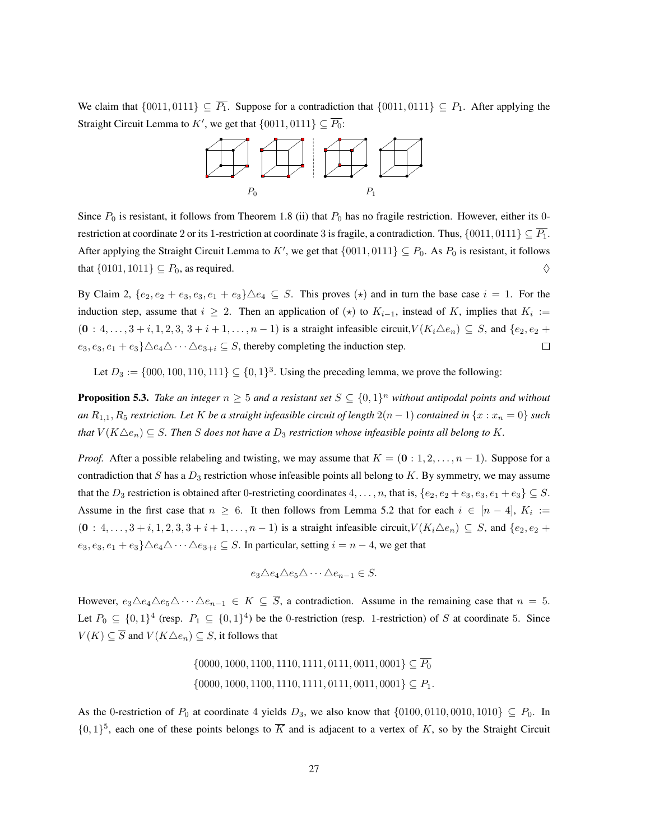We claim that  $\{0011, 0111\} \subseteq \overline{P_1}$ . Suppose for a contradiction that  $\{0011, 0111\} \subseteq P_1$ . After applying the Straight Circuit Lemma to K', we get that  $\{0011, 0111\} \subseteq \overline{P_0}$ :



Since  $P_0$  is resistant, it follows from Theorem 1.8 (ii) that  $P_0$  has no fragile restriction. However, either its 0restriction at coordinate 2 or its 1-restriction at coordinate 3 is fragile, a contradiction. Thus,  $\{0011, 0111\} \subseteq \overline{P_1}$ . After applying the Straight Circuit Lemma to K', we get that  $\{0011, 0111\} \subseteq P_0$ . As  $P_0$  is resistant, it follows that  $\{0101, 1011\} \subseteq P_0$ , as required.  $\diamondsuit$ 

By Claim 2,  $\{e_2, e_2 + e_3, e_3, e_1 + e_3\} \triangle e_4 \subseteq S$ . This proves  $(\star)$  and in turn the base case  $i = 1$ . For the induction step, assume that  $i \geq 2$ . Then an application of  $(\star)$  to  $K_{i-1}$ , instead of K, implies that  $K_i :=$  $(0: 4, \ldots, 3+i, 1, 2, 3, 3+i+1, \ldots, n-1)$  is a straight infeasible circuit,  $V(K_i \triangle e_n) \subseteq S$ , and  $\{e_2, e_2 +$  $e_3, e_3, e_1 + e_3\} \triangle e_4 \triangle \cdots \triangle e_{3+i} \subseteq S$ , thereby completing the induction step.  $\Box$ 

Let  $D_3 := \{000, 100, 110, 111\} \subseteq \{0, 1\}^3$ . Using the preceding lemma, we prove the following:

**Proposition 5.3.** Take an integer  $n \geq 5$  and a resistant set  $S \subseteq \{0,1\}^n$  without antipodal points and without *an*  $R_{1,1}, R_5$  *restriction. Let* K *be a straight infeasible circuit of length*  $2(n - 1)$  *contained in*  $\{x : x_n = 0\}$  *such that*  $V(K \triangle e_n) \subseteq S$ . Then S does not have a  $D_3$  restriction whose infeasible points all belong to K.

*Proof.* After a possible relabeling and twisting, we may assume that  $K = (0:1, 2, \ldots, n-1)$ . Suppose for a contradiction that S has a  $D_3$  restriction whose infeasible points all belong to K. By symmetry, we may assume that the  $D_3$  restriction is obtained after 0-restricting coordinates  $4, \ldots, n$ , that is,  $\{e_2, e_2 + e_3, e_3, e_1 + e_3\} \subseteq S$ . Assume in the first case that  $n \geq 6$ . It then follows from Lemma 5.2 that for each  $i \in [n-4]$ ,  $K_i :=$  $(0: 4, \ldots, 3+i, 1, 2, 3, 3+i+1, \ldots, n-1)$  is a straight infeasible circuit,  $V(K_i \triangle e_n) \subseteq S$ , and  $\{e_2, e_2+i+1, \ldots, n-1\}$  $e_3, e_3, e_1 + e_3\} \triangle e_4 \triangle \cdots \triangle e_{3+i} \subseteq S$ . In particular, setting  $i = n - 4$ , we get that

$$
e_3 \triangle e_4 \triangle e_5 \triangle \cdots \triangle e_{n-1} \in S.
$$

However,  $e_3\triangle e_4\triangle e_5\triangle \cdots \triangle e_{n-1}\in K\subseteq \overline{S}$ , a contradiction. Assume in the remaining case that  $n=5$ . Let  $P_0 \subseteq \{0,1\}^4$  (resp.  $P_1 \subseteq \{0,1\}^4$ ) be the 0-restriction (resp. 1-restriction) of S at coordinate 5. Since  $V(K) \subseteq \overline{S}$  and  $V(K \triangle e_n) \subseteq S$ , it follows that

> $\{0000, 1000, 1100, 1110, 1111, 0111, 0011, 0001\} \subseteq \overline{P_0}$  $\{0000, 1000, 1100, 1110, 1111, 0111, 0011, 0001\} \subseteq P_1.$

As the 0-restriction of  $P_0$  at coordinate 4 yields  $D_3$ , we also know that  $\{0100, 0110, 0010, 1010\} \subseteq P_0$ . In  $\{0,1\}^5$ , each one of these points belongs to  $\overline{K}$  and is adjacent to a vertex of K, so by the Straight Circuit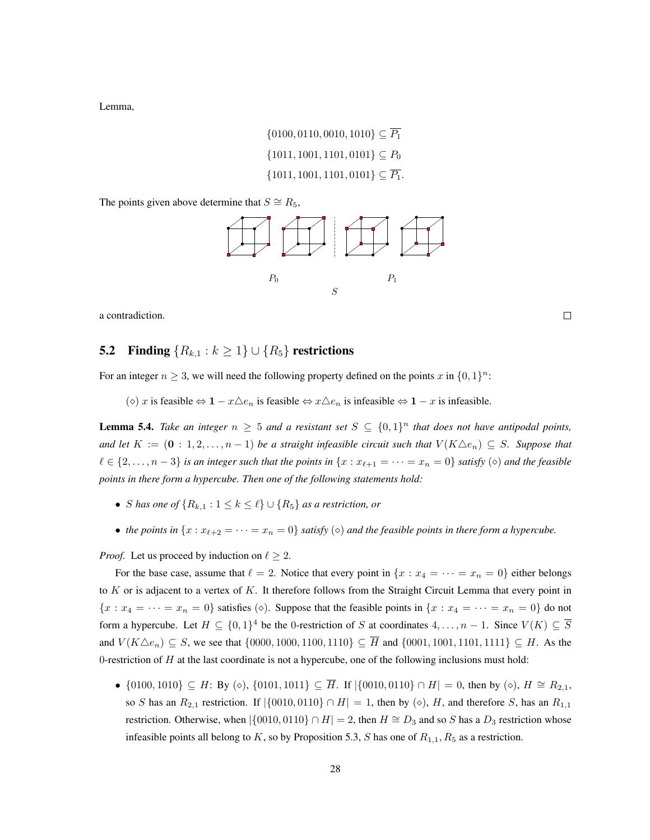Lemma,

$$
\{0100, 0110, 0010, 1010\} \subseteq \overline{P_1}
$$
  

$$
\{1011, 1001, 1101, 0101\} \subseteq P_0
$$
  

$$
\{1011, 1001, 1101, 0101\} \subseteq \overline{P_1}.
$$

The points given above determine that  $S \cong R_5$ ,



a contradiction.

 $\Box$ 

# 5.2 Finding  $\{R_{k,1} : k \geq 1\} \cup \{R_5\}$  restrictions

For an integer  $n \geq 3$ , we will need the following property defined on the points x in  $\{0,1\}^n$ :

( $\diamond$ ) x is feasible  $\Leftrightarrow$  1 −  $x \triangle e_n$  is feasible  $\Leftrightarrow$   $x \triangle e_n$  is infeasible  $\Leftrightarrow$  1 − x is infeasible.

**Lemma 5.4.** Take an integer  $n \geq 5$  and a resistant set  $S \subseteq \{0,1\}^n$  that does not have antipodal points, *and let*  $K := (0 : 1, 2, \ldots, n-1)$  *be a straight infeasible circuit such that*  $V(K \triangle e_n) \subseteq S$ *. Suppose that*  $\ell \in \{2, \ldots, n-3\}$  *is an integer such that the points in*  $\{x : x_{\ell+1} = \cdots = x_n = 0\}$  *satisfy*  $(\diamond)$  *and the feasible points in there form a hypercube. Then one of the following statements hold:*

- *S* has one of  $\{R_{k,1} : 1 \leq k \leq \ell\} \cup \{R_5\}$  as a restriction, or
- the points in  $\{x : x_{\ell+2} = \cdots = x_n = 0\}$  *satisfy*  $(\diamond)$  *and the feasible points in there form a hypercube.*

*Proof.* Let us proceed by induction on  $\ell \geq 2$ .

For the base case, assume that  $\ell = 2$ . Notice that every point in  $\{x : x_4 = \cdots = x_n = 0\}$  either belongs to  $K$  or is adjacent to a vertex of  $K$ . It therefore follows from the Straight Circuit Lemma that every point in  ${x : x_4 = \cdots = x_n = 0}$  satisfies ( $\diamond$ ). Suppose that the feasible points in  ${x : x_4 = \cdots = x_n = 0}$  do not form a hypercube. Let  $H \subseteq \{0,1\}^4$  be the 0-restriction of S at coordinates  $4,\ldots,n-1$ . Since  $V(K) \subseteq \overline{S}$ and  $V(K\Delta e_n) \subseteq S$ , we see that  $\{0000, 1000, 1100, 1110\} \subseteq \overline{H}$  and  $\{0001, 1001, 1101, 1111\} \subseteq H$ . As the 0-restriction of  $H$  at the last coordinate is not a hypercube, one of the following inclusions must hold:

•  $\{0100, 1010\} \subseteq H$ : By  $\langle \diamond \rangle$ ,  $\{0101, 1011\} \subseteq \overline{H}$ . If  $|\{0010, 0110\} \cap H| = 0$ , then by  $\langle \diamond \rangle$ ,  $H \cong R_{2,1}$ , so S has an  $R_{2,1}$  restriction. If  $|\{0010, 0110\} \cap H| = 1$ , then by  $(\diamond)$ , H, and therefore S, has an  $R_{1,1}$ restriction. Otherwise, when  $|\{0010, 0110\} \cap H| = 2$ , then  $H \cong D_3$  and so S has a  $D_3$  restriction whose infeasible points all belong to K, so by Proposition 5.3, S has one of  $R_{1,1}$ ,  $R_5$  as a restriction.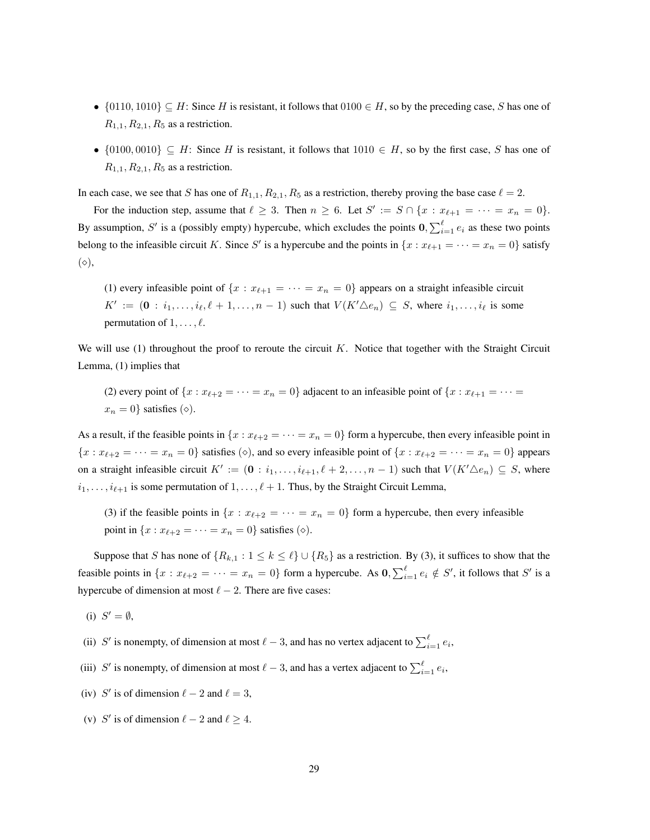- $\{0110, 1010\} \subseteq H$ : Since H is resistant, it follows that  $0100 \in H$ , so by the preceding case, S has one of  $R_{1,1}, R_{2,1}, R_5$  as a restriction.
- $\{0100, 0010\} \subseteq H$ : Since H is resistant, it follows that  $1010 \in H$ , so by the first case, S has one of  $R_{1,1}, R_{2,1}, R_5$  as a restriction.

In each case, we see that S has one of  $R_{1,1}, R_{2,1}, R_5$  as a restriction, thereby proving the base case  $\ell = 2$ .

For the induction step, assume that  $\ell \geq 3$ . Then  $n \geq 6$ . Let  $S' := S \cap \{x : x_{\ell+1} = \cdots = x_n = 0\}$ . By assumption, S' is a (possibly empty) hypercube, which excludes the points  $0, \sum_{i=1}^{\ell} e_i$  as these two points belong to the infeasible circuit K. Since S' is a hypercube and the points in  $\{x : x_{\ell+1} = \cdots = x_n = 0\}$  satisfy  $(\diamond),$ 

(1) every infeasible point of  $\{x : x_{\ell+1} = \cdots = x_n = 0\}$  appears on a straight infeasible circuit  $K' := (\mathbf{0} : i_1, \ldots, i_\ell, \ell + 1, \ldots, n - 1)$  such that  $V(K' \triangle e_n) \subseteq S$ , where  $i_1, \ldots, i_\ell$  is some permutation of  $1, \ldots, \ell$ .

We will use  $(1)$  throughout the proof to reroute the circuit K. Notice that together with the Straight Circuit Lemma, (1) implies that

(2) every point of  $\{x : x_{\ell+2} = \cdots = x_n = 0\}$  adjacent to an infeasible point of  $\{x : x_{\ell+1} = \cdots = x_n\}$  $x_n = 0$ } satisfies ( $\diamond$ ).

As a result, if the feasible points in  $\{x : x_{\ell+2} = \cdots = x_n = 0\}$  form a hypercube, then every infeasible point in  ${x : x_{\ell+2} = \cdots = x_n = 0}$  satisfies ( $\diamond$ ), and so every infeasible point of  ${x : x_{\ell+2} = \cdots = x_n = 0}$  appears on a straight infeasible circuit  $K' := (\mathbf{0} : i_1, \ldots, i_{\ell+1}, \ell+2, \ldots, n-1)$  such that  $V(K' \triangle e_n) \subseteq S$ , where  $i_1, \ldots, i_{\ell+1}$  is some permutation of  $1, \ldots, \ell + 1$ . Thus, by the Straight Circuit Lemma,

(3) if the feasible points in  $\{x : x_{\ell+2} = \cdots = x_n = 0\}$  form a hypercube, then every infeasible point in  $\{x : x_{\ell+2} = \cdots = x_n = 0\}$  satisfies  $(\diamond)$ .

Suppose that S has none of  $\{R_{k,1} : 1 \le k \le \ell\} \cup \{R_5\}$  as a restriction. By (3), it suffices to show that the feasible points in  $\{x : x_{\ell+2} = \cdots = x_n = 0\}$  form a hypercube. As  $\mathbf{0}, \sum_{i=1}^{\ell} e_i \notin S'$ , it follows that  $S'$  is a hypercube of dimension at most  $\ell - 2$ . There are five cases:

(i)  $S' = \emptyset$ ,

- (ii) S' is nonempty, of dimension at most  $\ell 3$ , and has no vertex adjacent to  $\sum_{i=1}^{\ell} e_i$ ,
- (iii) S' is nonempty, of dimension at most  $\ell 3$ , and has a vertex adjacent to  $\sum_{i=1}^{\ell} e_i$ ,
- (iv) S' is of dimension  $\ell 2$  and  $\ell = 3$ ,
- (v) S' is of dimension  $\ell 2$  and  $\ell \geq 4$ .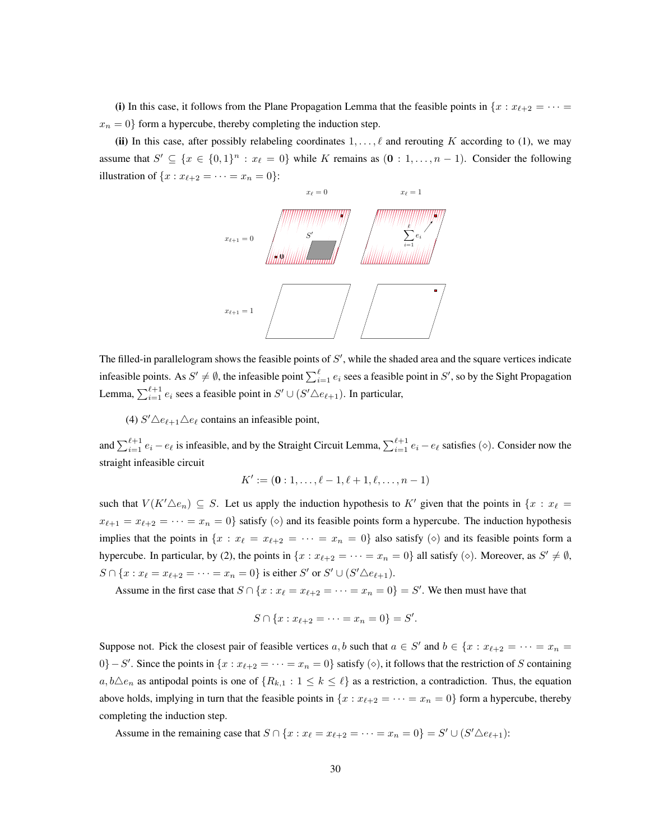(i) In this case, it follows from the Plane Propagation Lemma that the feasible points in  $\{x : x_{\ell+2} = \cdots =$  $x_n = 0$ } form a hypercube, thereby completing the induction step.

(ii) In this case, after possibly relabeling coordinates  $1, \ldots, \ell$  and rerouting K according to (1), we may assume that  $S' \subseteq \{x \in \{0,1\}^n : x_{\ell} = 0\}$  while K remains as  $(0 : 1, \ldots, n-1)$ . Consider the following illustration of  $\{x : x_{\ell+2} = \cdots = x_n = 0\}$ :



The filled-in parallelogram shows the feasible points of  $S'$ , while the shaded area and the square vertices indicate infeasible points. As  $S' \neq \emptyset$ , the infeasible point  $\sum_{i=1}^{\ell} e_i$  sees a feasible point in  $S'$ , so by the Sight Propagation Lemma,  $\sum_{i=1}^{\ell+1} e_i$  sees a feasible point in  $S' \cup (S' \triangle e_{\ell+1})$ . In particular,

(4)  $S' \triangle e_{\ell+1} \triangle e_{\ell}$  contains an infeasible point,

and  $\sum_{i=1}^{\ell+1} e_i - e_\ell$  is infeasible, and by the Straight Circuit Lemma,  $\sum_{i=1}^{\ell+1} e_i - e_\ell$  satisfies ( $\diamond$ ). Consider now the straight infeasible circuit

$$
K' := (\mathbf{0} : 1, \dots, \ell - 1, \ell + 1, \ell, \dots, n - 1)
$$

such that  $V(K'\triangle e_n) \subseteq S$ . Let us apply the induction hypothesis to K' given that the points in  $\{x : x_\ell =$  $x_{\ell+1} = x_{\ell+2} = \cdots = x_n = 0$  satisfy  $(\diamond)$  and its feasible points form a hypercube. The induction hypothesis implies that the points in  $\{x : x_{\ell} = x_{\ell+2} = \cdots = x_n = 0\}$  also satisfy  $(\diamond)$  and its feasible points form a hypercube. In particular, by (2), the points in  $\{x : x_{\ell+2} = \cdots = x_n = 0\}$  all satisfy ( $\diamond$ ). Moreover, as  $S' \neq \emptyset$ ,  $S \cap \{x : x_{\ell} = x_{\ell+2} = \cdots = x_n = 0\}$  is either S' or S'  $\cup$  (S' $\triangle e_{\ell+1}$ ).

Assume in the first case that  $S \cap \{x : x_{\ell} = x_{\ell+2} = \cdots = x_n = 0\} = S'$ . We then must have that

$$
S \cap \{x : x_{\ell+2} = \cdots = x_n = 0\} = S'.
$$

Suppose not. Pick the closest pair of feasible vertices a, b such that  $a \in S'$  and  $b \in \{x : x_{\ell+2} = \cdots = x_n =$ 0} – S'. Since the points in  $\{x : x_{\ell+2} = \cdots = x_n = 0\}$  satisfy  $(\diamond)$ , it follows that the restriction of S containing  $a, b \triangle e_n$  as antipodal points is one of  $\{R_{k,1} : 1 \le k \le \ell\}$  as a restriction, a contradiction. Thus, the equation above holds, implying in turn that the feasible points in  $\{x : x_{\ell+2} = \cdots = x_n = 0\}$  form a hypercube, thereby completing the induction step.

Assume in the remaining case that  $S \cap \{x : x_{\ell} = x_{\ell+2} = \cdots = x_n = 0\} = S' \cup (S' \triangle e_{\ell+1})$ :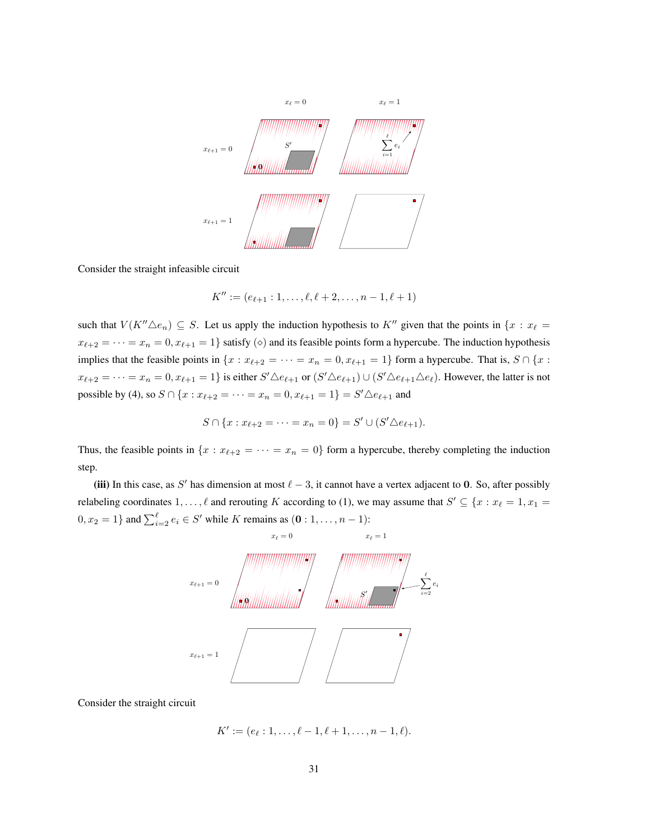

Consider the straight infeasible circuit

$$
K'' := (e_{\ell+1} : 1, \ldots, \ell, \ell+2, \ldots, n-1, \ell+1)
$$

such that  $V(K'' \triangle e_n) \subseteq S$ . Let us apply the induction hypothesis to  $K''$  given that the points in  $\{x : x_{\ell}\}$  $x_{\ell+2} = \cdots = x_n = 0, x_{\ell+1} = 1$  satisfy ( $\diamond$ ) and its feasible points form a hypercube. The induction hypothesis implies that the feasible points in  $\{x : x_{\ell+2} = \cdots = x_n = 0, x_{\ell+1} = 1\}$  form a hypercube. That is,  $S \cap \{x : x_{\ell+2} = \cdots = x_n = 0, x_{\ell+1} = 1\}$  $x_{\ell+2} = \cdots = x_n = 0, x_{\ell+1} = 1$  is either  $S' \triangle e_{\ell+1}$  or  $(S' \triangle e_{\ell+1}) \cup (S' \triangle e_{\ell+1} \triangle e_{\ell})$ . However, the latter is not possible by (4), so  $S \cap \{x : x_{\ell+2} = \cdots = x_n = 0, x_{\ell+1} = 1\} = S' \triangle e_{\ell+1}$  and

$$
S \cap \{x : x_{\ell+2} = \cdots = x_n = 0\} = S' \cup (S' \triangle e_{\ell+1}).
$$

Thus, the feasible points in  $\{x : x_{\ell+2} = \cdots = x_n = 0\}$  form a hypercube, thereby completing the induction step.

(iii) In this case, as S' has dimension at most  $\ell - 3$ , it cannot have a vertex adjacent to 0. So, after possibly relabeling coordinates  $1, \ldots, \ell$  and rerouting K according to (1), we may assume that  $S' \subseteq \{x : x_{\ell} = 1, x_1 = 1\}$  $0, x_2 = 1$ } and  $\sum_{i=2}^{\ell} e_i \in S'$  while K remains as  $(0: 1, ..., n-1)$ :



Consider the straight circuit

$$
K' := (e_{\ell} : 1, \ldots, \ell - 1, \ell + 1, \ldots, n - 1, \ell).
$$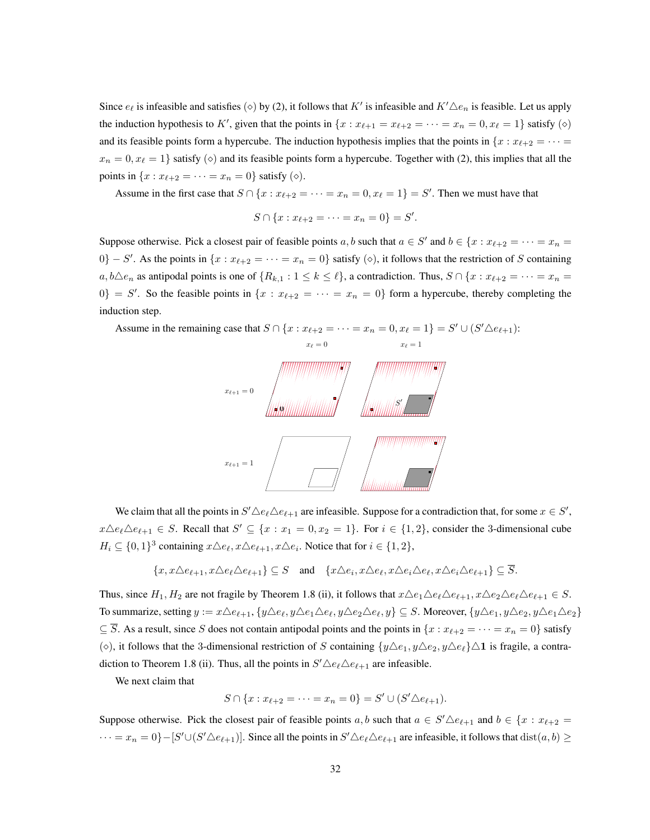Since  $e_\ell$  is infeasible and satisfies ( $\diamond$ ) by (2), it follows that K' is infeasible and  $K'\Delta e_n$  is feasible. Let us apply the induction hypothesis to K', given that the points in  $\{x : x_{\ell+1} = x_{\ell+2} = \cdots = x_n = 0, x_{\ell} = 1\}$  satisfy  $(\diamond)$ and its feasible points form a hypercube. The induction hypothesis implies that the points in  $\{x : x_{\ell+2} = \cdots =$  $x_n = 0, x_\ell = 1$  satisfy ( $\diamond$ ) and its feasible points form a hypercube. Together with (2), this implies that all the points in  $\{x : x_{\ell+2} = \cdots = x_n = 0\}$  satisfy  $(\diamond)$ .

Assume in the first case that  $S \cap \{x : x_{\ell+2} = \cdots = x_n = 0, x_{\ell} = 1\} = S'$ . Then we must have that

$$
S \cap \{x : x_{\ell+2} = \cdots = x_n = 0\} = S'.
$$

Suppose otherwise. Pick a closest pair of feasible points a, b such that  $a \in S'$  and  $b \in \{x : x_{\ell+2} = \cdots = x_n = a\}$  $0$ } – S'. As the points in  $\{x : x_{\ell+2} = \cdots = x_n = 0\}$  satisfy  $(\diamond)$ , it follows that the restriction of S containing  $a, b \triangle e_n$  as antipodal points is one of  $\{R_{k,1} : 1 \le k \le \ell\}$ , a contradiction. Thus,  $S \cap \{x : x_{\ell+2} = \cdots = x_n = \ell\}$  $0\} = S'$ . So the feasible points in  $\{x : x_{\ell+2} = \cdots = x_n = 0\}$  form a hypercube, thereby completing the induction step.

Assume in the remaining case that  $S \cap \{x : x_{\ell+2} = \cdots = x_n = 0, x_{\ell} = 1\} = S' \cup (S' \triangle e_{\ell+1})$ :



We claim that all the points in  $S' \triangle e_{\ell} \triangle e_{\ell+1}$  are infeasible. Suppose for a contradiction that, for some  $x \in S'$ ,  $x \triangle e_{\ell} \triangle e_{\ell+1} \in S$ . Recall that  $S' \subseteq \{x : x_1 = 0, x_2 = 1\}$ . For  $i \in \{1, 2\}$ , consider the 3-dimensional cube  $H_i \subseteq \{0,1\}^3$  containing  $x \triangle e_{\ell}, x \triangle e_{\ell+1}, x \triangle e_i$ . Notice that for  $i \in \{1,2\}$ ,

$$
\{x,x\triangle e_{\ell+1},x\triangle e_{\ell}\triangle e_{\ell+1}\}\subseteq S\quad\text{and}\quad\{x\triangle e_i,x\triangle e_{\ell},x\triangle e_{\ell}\triangle e_{\ell},x\triangle e_i\triangle e_{\ell+1}\}\subseteq\overline{S}.
$$

Thus, since  $H_1, H_2$  are not fragile by Theorem 1.8 (ii), it follows that  $x\Delta e_1\Delta e_\ell\Delta e_{\ell+1}, x\Delta e_2\Delta e_\ell\Delta e_{\ell+1} \in S$ . To summarize, setting  $y := x \triangle e_{\ell+1}$ ,  $\{y \triangle e_t, y \triangle e_1 \triangle e_\ell, y \triangle e_2 \triangle e_\ell, y\} \subseteq S$ . Moreover,  $\{y \triangle e_1, y \triangle e_2, y \triangle e_1 \triangle e_2\}$  $\subseteq$   $\overline{S}$ . As a result, since S does not contain antipodal points and the points in  $\{x : x_{\ell+2} = \cdots = x_n = 0\}$  satisfy ( $\diamond$ ), it follows that the 3-dimensional restriction of S containing  $\{y \triangle e_1, y \triangle e_2, y \triangle e_\ell\} \triangle 1$  is fragile, a contradiction to Theorem 1.8 (ii). Thus, all the points in  $S' \triangle e_{\ell} \triangle e_{\ell+1}$  are infeasible.

We next claim that

$$
S \cap \{x : x_{\ell+2} = \cdots = x_n = 0\} = S' \cup (S' \triangle e_{\ell+1}).
$$

Suppose otherwise. Pick the closest pair of feasible points  $a, b$  such that  $a \in S' \triangle e_{\ell+1}$  and  $b \in \{x : x_{\ell+2} = a\}$  $\cdots = x_n = 0$ } – [S' $\cup$ (S' $\triangle e_{\ell+1}$ )]. Since all the points in  $S' \triangle e_{\ell} \triangle e_{\ell+1}$  are infeasible, it follows that  $dist(a, b) \ge$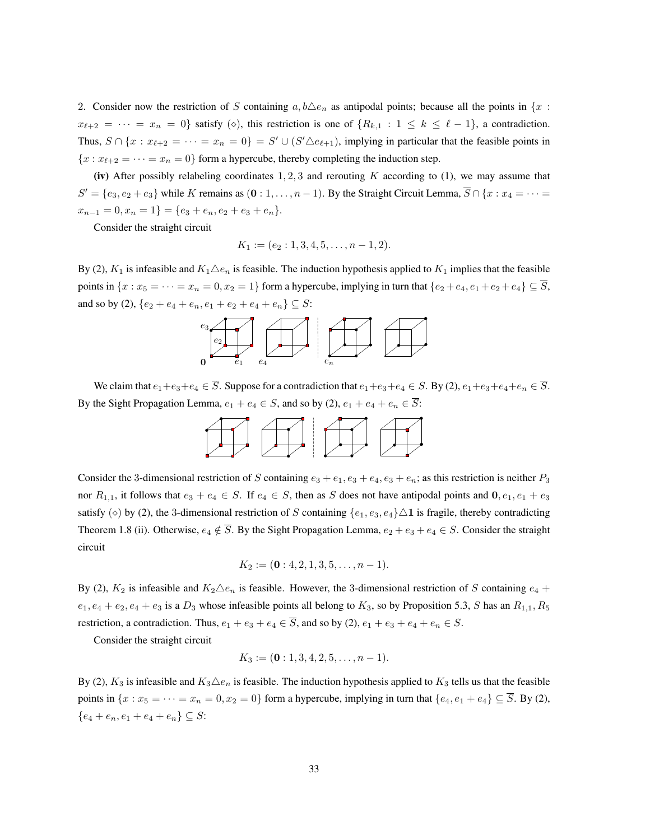2. Consider now the restriction of S containing  $a, b \triangle e_n$  as antipodal points; because all the points in  $\{x :$  $x_{\ell+2} = \cdots = x_n = 0$ } satisfy ( $\diamond$ ), this restriction is one of  $\{R_{k,1} : 1 \leq k \leq \ell - 1\}$ , a contradiction. Thus,  $S \cap \{x : x_{\ell+2} = \cdots = x_n = 0\} = S' \cup (S' \triangle e_{\ell+1})$ , implying in particular that the feasible points in  ${x : x_{\ell+2} = \cdots = x_n = 0}$  form a hypercube, thereby completing the induction step.

(iv) After possibly relabeling coordinates  $1, 2, 3$  and rerouting K according to (1), we may assume that  $S' = \{e_3, e_2 + e_3\}$  while K remains as  $(0:1,\ldots,n-1)$ . By the Straight Circuit Lemma,  $S \cap \{x: x_4 = \cdots = x_n\}$  $x_{n-1} = 0, x_n = 1$ } = { $e_3 + e_n, e_2 + e_3 + e_n$ }.

Consider the straight circuit

$$
K_1 := (e_2 : 1, 3, 4, 5, \dots, n-1, 2).
$$

By (2),  $K_1$  is infeasible and  $K_1 \triangle e_n$  is feasible. The induction hypothesis applied to  $K_1$  implies that the feasible points in  $\{x : x_5 = \cdots = x_n = 0, x_2 = 1\}$  form a hypercube, implying in turn that  $\{e_2 + e_4, e_1 + e_2 + e_4\} \subseteq \overline{S}$ , and so by (2),  $\{e_2 + e_4 + e_n, e_1 + e_2 + e_4 + e_n\} \subseteq S$ :



We claim that  $e_1+e_3+e_4 \in \overline{S}$ . Suppose for a contradiction that  $e_1+e_3+e_4 \in S$ . By (2),  $e_1+e_3+e_4+e_n \in \overline{S}$ . By the Sight Propagation Lemma,  $e_1 + e_4 \in S$ , and so by (2),  $e_1 + e_4 + e_n \in \overline{S}$ :



Consider the 3-dimensional restriction of S containing  $e_3 + e_1, e_3 + e_4, e_3 + e_n$ ; as this restriction is neither  $P_3$ nor  $R_{1,1}$ , it follows that  $e_3 + e_4 \in S$ . If  $e_4 \in S$ , then as S does not have antipodal points and  $0, e_1, e_1 + e_3$ satisfy ( $\diamond$ ) by (2), the 3-dimensional restriction of S containing  $\{e_1, e_3, e_4\} \triangle 1$  is fragile, thereby contradicting Theorem 1.8 (ii). Otherwise,  $e_4 \notin \overline{S}$ . By the Sight Propagation Lemma,  $e_2 + e_3 + e_4 \in S$ . Consider the straight circuit

$$
K_2 := (\mathbf{0}: 4, 2, 1, 3, 5, \dots, n-1).
$$

By (2),  $K_2$  is infeasible and  $K_2 \triangle e_n$  is feasible. However, the 3-dimensional restriction of S containing  $e_4$  +  $e_1, e_4 + e_2, e_4 + e_3$  is a  $D_3$  whose infeasible points all belong to  $K_3$ , so by Proposition 5.3, S has an  $R_{1,1}, R_5$ restriction, a contradiction. Thus,  $e_1 + e_3 + e_4 \in \overline{S}$ , and so by (2),  $e_1 + e_3 + e_4 + e_n \in S$ .

Consider the straight circuit

$$
K_3 := (\mathbf{0}: 1, 3, 4, 2, 5, \dots, n-1).
$$

By (2),  $K_3$  is infeasible and  $K_3\triangle e_n$  is feasible. The induction hypothesis applied to  $K_3$  tells us that the feasible points in  $\{x : x_5 = \cdots = x_n = 0, x_2 = 0\}$  form a hypercube, implying in turn that  $\{e_4, e_1 + e_4\} \subseteq \overline{S}$ . By (2),  ${e_4 + e_n, e_1 + e_4 + e_n} \subseteq S$ :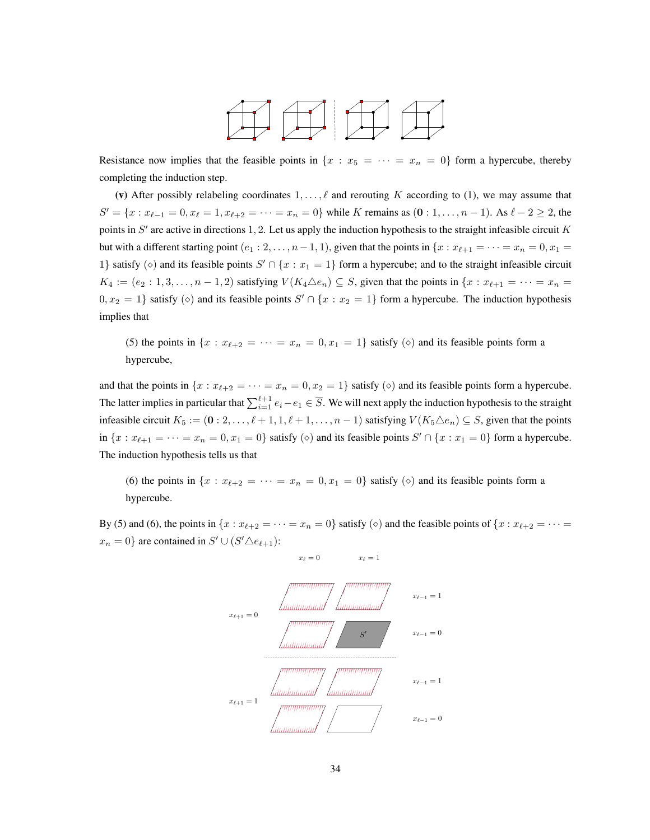

Resistance now implies that the feasible points in  $\{x : x_5 = \cdots = x_n = 0\}$  form a hypercube, thereby completing the induction step.

(v) After possibly relabeling coordinates  $1, \ldots, \ell$  and rerouting K according to (1), we may assume that  $S' = \{x : x_{\ell-1} = 0, x_{\ell} = 1, x_{\ell+2} = \cdots = x_n = 0\}$  while K remains as  $(0 : 1, \ldots, n-1)$ . As  $\ell - 2 \ge 2$ , the points in  $S'$  are active in directions 1, 2. Let us apply the induction hypothesis to the straight infeasible circuit K but with a different starting point  $(e_1 : 2, \ldots, n-1, 1)$ , given that the points in  $\{x : x_{\ell+1} = \cdots = x_n = 0, x_1 = 1\}$ 1} satisfy ( $\diamond$ ) and its feasible points  $S' \cap \{x : x_1 = 1\}$  form a hypercube; and to the straight infeasible circuit  $K_4 := (e_2 : 1, 3, \ldots, n-1, 2)$  satisfying  $V(K_4 \triangle e_n) \subseteq S$ , given that the points in  $\{x : x_{\ell+1} = \cdots = x_n = 1\}$  $0, x_2 = 1$ } satisfy  $(\diamond)$  and its feasible points  $S' \cap \{x : x_2 = 1\}$  form a hypercube. The induction hypothesis implies that

(5) the points in  $\{x : x_{\ell+2} = \cdots = x_n = 0, x_1 = 1\}$  satisfy ( $\diamond$ ) and its feasible points form a hypercube,

and that the points in  $\{x : x_{\ell+2} = \cdots = x_n = 0, x_2 = 1\}$  satisfy  $(\diamond)$  and its feasible points form a hypercube. The latter implies in particular that  $\sum_{i=1}^{\ell+1} e_i - e_1 \in \overline{S}$ . We will next apply the induction hypothesis to the straight infeasible circuit  $K_5 := (0: 2, \ldots, \ell + 1, 1, \ell + 1, \ldots, n - 1)$  satisfying  $V(K_5 \triangle e_n) \subseteq S$ , given that the points in  $\{x : x_{\ell+1} = \cdots = x_n = 0, x_1 = 0\}$  satisfy  $(\diamond)$  and its feasible points  $S' \cap \{x : x_1 = 0\}$  form a hypercube. The induction hypothesis tells us that

(6) the points in  $\{x : x_{\ell+2} = \cdots = x_n = 0, x_1 = 0\}$  satisfy  $(\diamond)$  and its feasible points form a hypercube.

By (5) and (6), the points in  $\{x : x_{\ell+2} = \cdots = x_n = 0\}$  satisfy  $(\diamond)$  and the feasible points of  $\{x : x_{\ell+2} = \cdots = x_n\}$  $x_n = 0$ } are contained in  $S' \cup (S' \triangle e_{\ell+1})$ :

 $x_{\ell} = 0$   $x_{\ell} = 1$ 

x`+1 =1 x`+1 =0 x`<sup>1</sup> =0 x`<sup>1</sup> =0 x`<sup>1</sup> =1 x`<sup>1</sup> =1 S0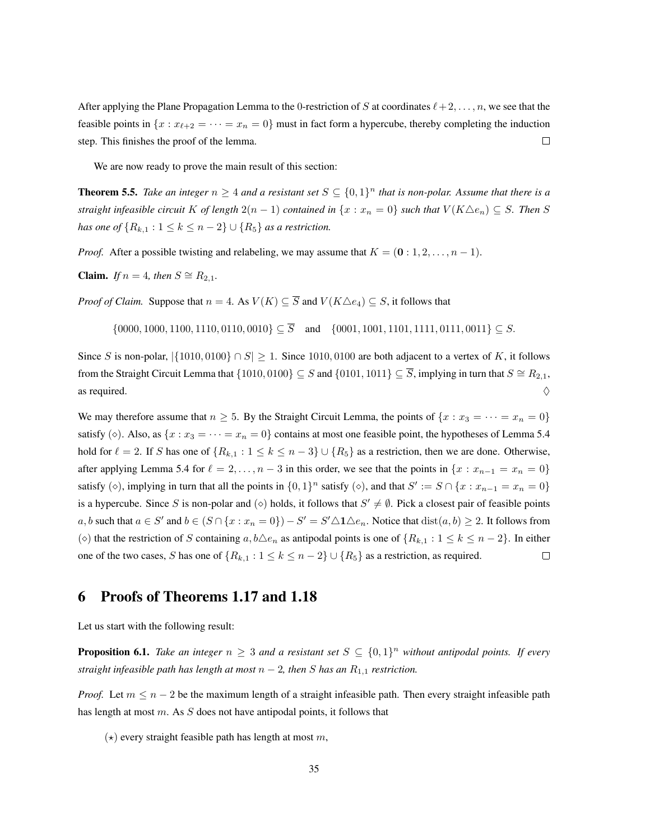After applying the Plane Propagation Lemma to the 0-restriction of S at coordinates  $\ell + 2, \ldots, n$ , we see that the feasible points in  $\{x : x_{\ell+2} = \cdots = x_n = 0\}$  must in fact form a hypercube, thereby completing the induction  $\Box$ step. This finishes the proof of the lemma.

We are now ready to prove the main result of this section:

**Theorem 5.5.** Take an integer  $n \geq 4$  and a resistant set  $S \subseteq \{0,1\}^n$  that is non-polar. Assume that there is a *straight infeasible circuit* K *of length*  $2(n-1)$  *contained in*  $\{x : x_n = 0\}$  *such that*  $V(K \triangle e_n) \subseteq S$ *. Then* S *has one of*  $\{R_{k,1} : 1 \leq k \leq n-2\} \cup \{R_5\}$  *as a restriction.* 

*Proof.* After a possible twisting and relabeling, we may assume that  $K = (0:1,2,\ldots,n-1)$ .

**Claim.** *If*  $n = 4$ *, then*  $S \cong R_{2,1}$ *.* 

*Proof of Claim.* Suppose that  $n = 4$ . As  $V(K) \subseteq \overline{S}$  and  $V(K \triangle e_4) \subseteq S$ , it follows that

$$
\{0000, 1000, 1100, 1110, 0110, 0010\} \subseteq \overline{S} \quad \text{and} \quad \{0001, 1001, 1101, 1111, 0111, 0011\} \subseteq S.
$$

Since S is non-polar,  $|\{1010, 0100\} \cap S| \ge 1$ . Since 1010, 0100 are both adjacent to a vertex of K, it follows from the Straight Circuit Lemma that  $\{1010, 0100\} \subseteq S$  and  $\{0101, 1011\} \subseteq \overline{S}$ , implying in turn that  $S \cong R_{2,1}$ , as required.  $\Diamond$ 

We may therefore assume that  $n \geq 5$ . By the Straight Circuit Lemma, the points of  $\{x : x_3 = \cdots = x_n = 0\}$ satisfy ( $\diamond$ ). Also, as  $\{x : x_3 = \cdots = x_n = 0\}$  contains at most one feasible point, the hypotheses of Lemma 5.4 hold for  $\ell = 2$ . If S has one of  $\{R_{k,1} : 1 \le k \le n-3\} \cup \{R_5\}$  as a restriction, then we are done. Otherwise, after applying Lemma 5.4 for  $\ell = 2, \ldots, n - 3$  in this order, we see that the points in  $\{x : x_{n-1} = x_n = 0\}$ satisfy ( $\diamond$ ), implying in turn that all the points in  $\{0,1\}^n$  satisfy ( $\diamond$ ), and that  $S' := S \cap \{x : x_{n-1} = x_n = 0\}$ is a hypercube. Since S is non-polar and ( $\diamond$ ) holds, it follows that  $S' \neq \emptyset$ . Pick a closest pair of feasible points a, b such that  $a \in S'$  and  $b \in (S \cap \{x : x_n = 0\}) - S' = S' \triangle 1 \triangle e_n$ . Notice that  $dist(a, b) \ge 2$ . It follows from ( $\diamond$ ) that the restriction of S containing a,  $b\triangle e_n$  as antipodal points is one of  $\{R_{k,1} : 1 \leq k \leq n-2\}$ . In either one of the two cases, S has one of  $\{R_{k,1} : 1 \le k \le n-2\} \cup \{R_5\}$  as a restriction, as required.  $\Box$ 

## 6 Proofs of Theorems 1.17 and 1.18

Let us start with the following result:

**Proposition 6.1.** Take an integer  $n \geq 3$  and a resistant set  $S \subseteq \{0,1\}^n$  without antipodal points. If every *straight infeasible path has length at most*  $n-2$ , then S has an  $R_{1,1}$  restriction.

*Proof.* Let  $m \leq n - 2$  be the maximum length of a straight infeasible path. Then every straight infeasible path has length at most  $m$ . As  $S$  does not have antipodal points, it follows that

 $(\star)$  every straight feasible path has length at most m,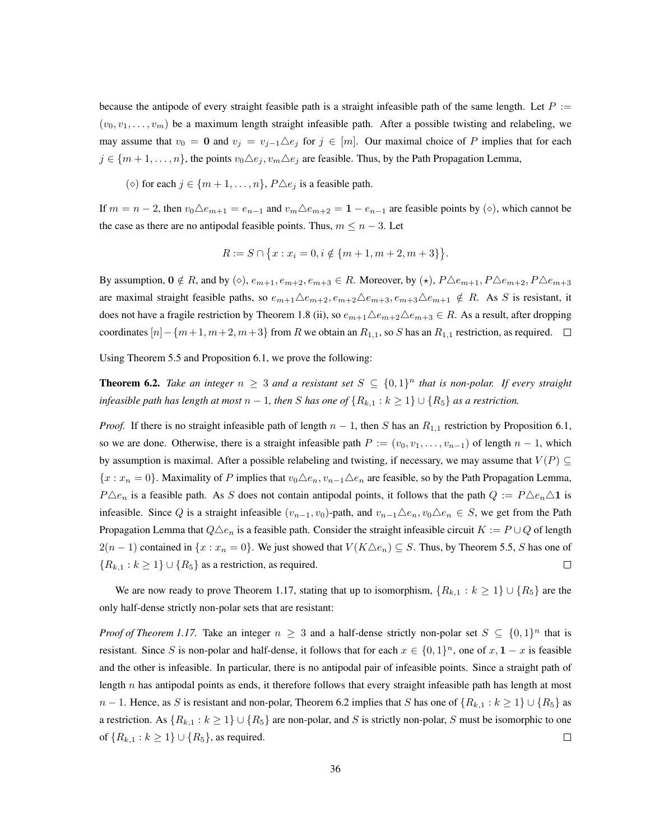because the antipode of every straight feasible path is a straight infeasible path of the same length. Let  $P :=$  $(v_0, v_1, \ldots, v_m)$  be a maximum length straight infeasible path. After a possible twisting and relabeling, we may assume that  $v_0 = 0$  and  $v_j = v_{j-1} \triangle e_j$  for  $j \in [m]$ . Our maximal choice of P implies that for each  $j \in \{m+1,\ldots,n\}$ , the points  $v_0\Delta e_j, v_m\Delta e_j$  are feasible. Thus, by the Path Propagation Lemma,

( $\diamond$ ) for each  $j \in \{m+1,\ldots,n\}$ ,  $P \triangle e_j$  is a feasible path.

If  $m = n - 2$ , then  $v_0 \triangle e_{m+1} = e_{n-1}$  and  $v_m \triangle e_{m+2} = 1 - e_{n-1}$  are feasible points by ( $\diamond$ ), which cannot be the case as there are no antipodal feasible points. Thus,  $m \leq n - 3$ . Let

$$
R := S \cap \{x : x_i = 0, i \notin \{m+1, m+2, m+3\}\}.
$$

By assumption,  $0 \notin R$ , and by ( $\diamond$ ),  $e_{m+1}, e_{m+2}, e_{m+3} \in R$ . Moreover, by  $(\star)$ ,  $P \triangle e_{m+1}, P \triangle e_{m+2}, P \triangle e_{m+3}$ are maximal straight feasible paths, so  $e_{m+1}\Delta e_{m+2}, e_{m+2}\Delta e_{m+3}, e_{m+3}\Delta e_{m+1} \notin R$ . As S is resistant, it does not have a fragile restriction by Theorem 1.8 (ii), so  $e_{m+1}\triangle e_{m+2}\triangle e_{m+3} \in R$ . As a result, after dropping coordinates  $[n]-\{m+1,m+2,m+3\}$  from R we obtain an  $R_{1,1}$ , so S has an  $R_{1,1}$  restriction, as required.  $\square$ 

Using Theorem 5.5 and Proposition 6.1, we prove the following:

**Theorem 6.2.** Take an integer  $n \geq 3$  and a resistant set  $S \subseteq \{0,1\}^n$  that is non-polar. If every straight *infeasible path has length at most*  $n - 1$ , then S has one of  $\{R_{k,1} : k \geq 1\} \cup \{R_5\}$  as a restriction.

*Proof.* If there is no straight infeasible path of length  $n - 1$ , then S has an  $R_{1,1}$  restriction by Proposition 6.1, so we are done. Otherwise, there is a straight infeasible path  $P := (v_0, v_1, \ldots, v_{n-1})$  of length  $n-1$ , which by assumption is maximal. After a possible relabeling and twisting, if necessary, we may assume that  $V(P) \subseteq$  ${x : x_n = 0}$ . Maximality of P implies that  $v_0 \triangle e_n, v_{n-1} \triangle e_n$  are feasible, so by the Path Propagation Lemma,  $P\Delta e_n$  is a feasible path. As S does not contain antipodal points, it follows that the path  $Q := P\Delta e_n\Delta 1$  is infeasible. Since Q is a straight infeasible  $(v_{n-1}, v_0)$ -path, and  $v_{n-1}\triangle e_n, v_0\triangle e_n \in S$ , we get from the Path Propagation Lemma that  $Q\Delta e_n$  is a feasible path. Consider the straight infeasible circuit  $K := P \cup Q$  of length  $2(n-1)$  contained in  $\{x : x_n = 0\}$ . We just showed that  $V(K \triangle e_n) \subseteq S$ . Thus, by Theorem 5.5, S has one of  ${R_{k,1} : k \ge 1} \cup {R_5}$  as a restriction, as required.  $\Box$ 

We are now ready to prove Theorem 1.17, stating that up to isomorphism,  $\{R_{k,1} : k \geq 1\} \cup \{R_5\}$  are the only half-dense strictly non-polar sets that are resistant:

*Proof of Theorem 1.17.* Take an integer  $n \geq 3$  and a half-dense strictly non-polar set  $S \subseteq \{0,1\}^n$  that is resistant. Since S is non-polar and half-dense, it follows that for each  $x \in \{0,1\}^n$ , one of  $x, 1-x$  is feasible and the other is infeasible. In particular, there is no antipodal pair of infeasible points. Since a straight path of length  $n$  has antipodal points as ends, it therefore follows that every straight infeasible path has length at most  $n-1$ . Hence, as S is resistant and non-polar, Theorem 6.2 implies that S has one of  $\{R_{k,1}: k \geq 1\} \cup \{R_5\}$  as a restriction. As  $\{R_{k,1} : k \geq 1\} \cup \{R_5\}$  are non-polar, and S is strictly non-polar, S must be isomorphic to one of  $\{R_{k,1} : k \ge 1\} \cup \{R_5\}$ , as required.  $\Box$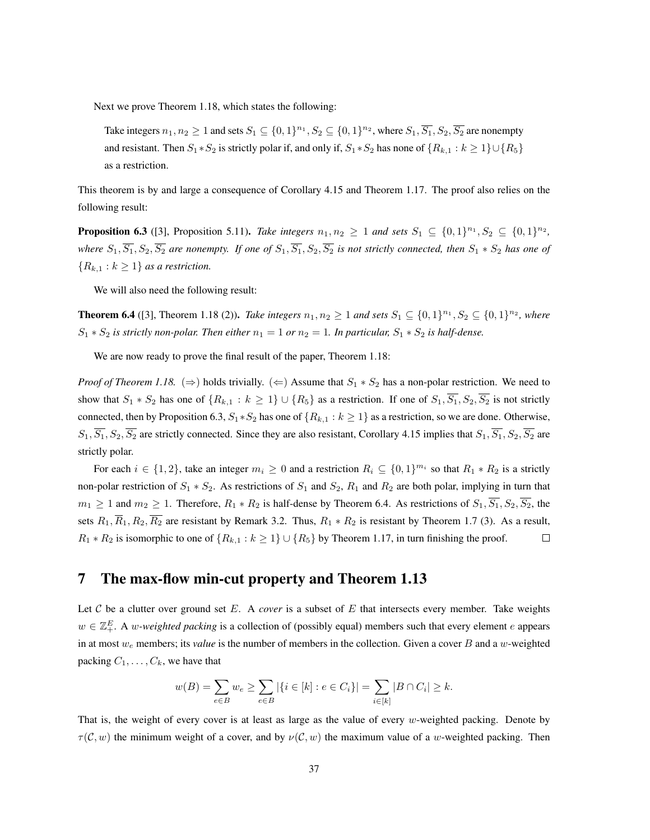Next we prove Theorem 1.18, which states the following:

Take integers  $n_1, n_2 \geq 1$  and sets  $S_1 \subseteq \{0,1\}^{n_1}, S_2 \subseteq \{0,1\}^{n_2}$ , where  $S_1, \overline{S_1}, S_2, \overline{S_2}$  are nonempty and resistant. Then  $S_1 * S_2$  is strictly polar if, and only if,  $S_1 * S_2$  has none of  $\{R_{k,1} : k \geq 1\} \cup \{R_5\}$ as a restriction.

This theorem is by and large a consequence of Corollary 4.15 and Theorem 1.17. The proof also relies on the following result:

**Proposition 6.3** ([3], Proposition 5.11). *Take integers*  $n_1, n_2 \ge 1$  *and sets*  $S_1 \subseteq \{0, 1\}^{n_1}, S_2 \subseteq \{0, 1\}^{n_2}$ , *where*  $S_1$ ,  $\overline{S_1}$ ,  $S_2$ ,  $\overline{S_2}$  *are nonempty. If one of*  $S_1$ ,  $\overline{S_1}$ ,  $S_2$ ,  $\overline{S_2}$  *is not strictly connected, then*  $S_1 * S_2$  *has one of*  ${R_{k,1} : k \geq 1}$  *as a restriction.* 

We will also need the following result:

**Theorem 6.4** ([3], Theorem 1.18 (2)). *Take integers*  $n_1, n_2 \ge 1$  *and sets*  $S_1 \subseteq \{0, 1\}^{n_1}, S_2 \subseteq \{0, 1\}^{n_2}$ , where  $S_1 * S_2$  *is strictly non-polar. Then either*  $n_1 = 1$  *or*  $n_2 = 1$ *. In particular,*  $S_1 * S_2$  *is half-dense.* 

We are now ready to prove the final result of the paper, Theorem 1.18:

*Proof of Theorem 1.18.* ( $\Rightarrow$ ) holds trivially. ( $\Leftarrow$ ) Assume that  $S_1 * S_2$  has a non-polar restriction. We need to show that  $S_1 * S_2$  has one of  $\{R_{k,1} : k \ge 1\} \cup \{R_5\}$  as a restriction. If one of  $S_1, \overline{S_1}, S_2, \overline{S_2}$  is not strictly connected, then by Proposition 6.3,  $S_1 * S_2$  has one of  $\{R_{k,1} : k \ge 1\}$  as a restriction, so we are done. Otherwise,  $S_1, \overline{S_1}, S_2, \overline{S_2}$  are strictly connected. Since they are also resistant, Corollary 4.15 implies that  $S_1, \overline{S_1}, S_2, \overline{S_2}$  are strictly polar.

For each  $i \in \{1,2\}$ , take an integer  $m_i \geq 0$  and a restriction  $R_i \subseteq \{0,1\}^{m_i}$  so that  $R_1 * R_2$  is a strictly non-polar restriction of  $S_1 * S_2$ . As restrictions of  $S_1$  and  $S_2$ ,  $R_1$  and  $R_2$  are both polar, implying in turn that  $m_1 \geq 1$  and  $m_2 \geq 1$ . Therefore,  $R_1 * R_2$  is half-dense by Theorem 6.4. As restrictions of  $S_1$ ,  $\overline{S_1}$ ,  $S_2$ ,  $\overline{S_2}$ , the sets  $R_1, \overline{R}_1, R_2, \overline{R_2}$  are resistant by Remark 3.2. Thus,  $R_1 * R_2$  is resistant by Theorem 1.7 (3). As a result,  $R_1 * R_2$  is isomorphic to one of  $\{R_{k,1} : k \geq 1\} \cup \{R_5\}$  by Theorem 1.17, in turn finishing the proof.  $\Box$ 

## 7 The max-flow min-cut property and Theorem 1.13

Let  $C$  be a clutter over ground set  $E$ . A *cover* is a subset of  $E$  that intersects every member. Take weights  $w \in \mathbb{Z}_+^E$ . A *w*-weighted packing is a collection of (possibly equal) members such that every element e appears in at most  $w_e$  members; its *value* is the number of members in the collection. Given a cover B and a w-weighted packing  $C_1, \ldots, C_k$ , we have that

$$
w(B) = \sum_{e \in B} w_e \ge \sum_{e \in B} |\{i \in [k] : e \in C_i\}| = \sum_{i \in [k]} |B \cap C_i| \ge k.
$$

That is, the weight of every cover is at least as large as the value of every  $w$ -weighted packing. Denote by  $\tau(C, w)$  the minimum weight of a cover, and by  $\nu(C, w)$  the maximum value of a w-weighted packing. Then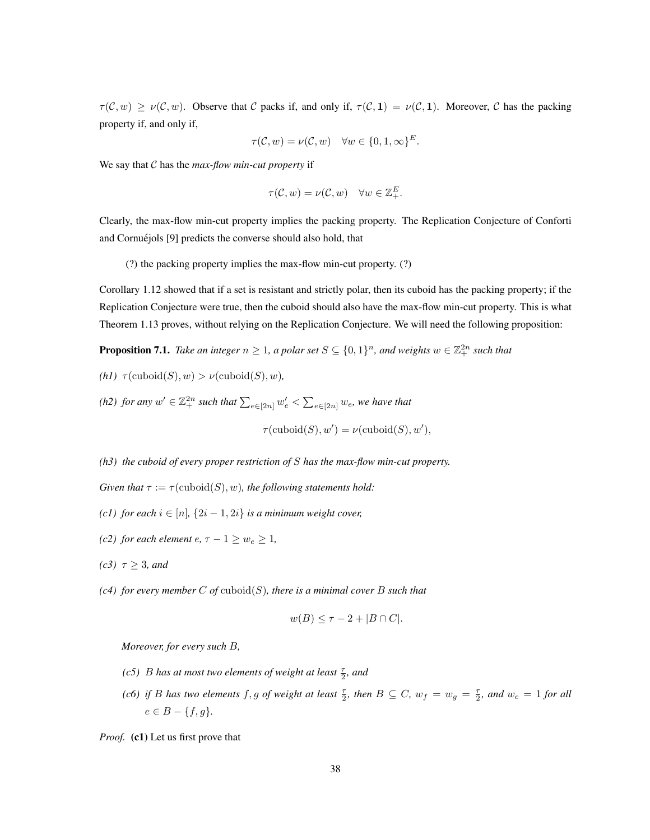$\tau(\mathcal{C}, w) \geq \nu(\mathcal{C}, w)$ . Observe that C packs if, and only if,  $\tau(\mathcal{C}, 1) = \nu(\mathcal{C}, 1)$ . Moreover, C has the packing property if, and only if,

$$
\tau(\mathcal{C}, w) = \nu(\mathcal{C}, w) \quad \forall w \in \{0, 1, \infty\}^E.
$$

We say that C has the *max-flow min-cut property* if

$$
\tau(\mathcal{C},w)=\nu(\mathcal{C},w)\quad \forall w\in \mathbb{Z}_+^E.
$$

Clearly, the max-flow min-cut property implies the packing property. The Replication Conjecture of Conforti and Cornuéjols [9] predicts the converse should also hold, that

(?) the packing property implies the max-flow min-cut property. (?)

Corollary 1.12 showed that if a set is resistant and strictly polar, then its cuboid has the packing property; if the Replication Conjecture were true, then the cuboid should also have the max-flow min-cut property. This is what Theorem 1.13 proves, without relying on the Replication Conjecture. We will need the following proposition:

**Proposition 7.1.** Take an integer  $n \geq 1$ , a polar set  $S \subseteq \{0,1\}^n$ , and weights  $w \in \mathbb{Z}_+^{2n}$  such that

*(h1)*  $\tau$ (cuboid(S), *w*) >  $\nu$ (cuboid(S), *w*),

(h2) for any  $w' \in \mathbb{Z}_+^{2n}$  such that  $\sum_{e \in [2n]} w'_e < \sum_{e \in [2n]} w_e$ , we have that

 $\tau(\mathrm{cuboid}(S), w') = \nu(\mathrm{cuboid}(S), w'),$ 

*(h3) the cuboid of every proper restriction of* S *has the max-flow min-cut property.*

*Given that*  $\tau := \tau(\text{cuboid}(S), w)$ *, the following statements hold:* 

*(c1) for each*  $i \in [n]$ ,  $\{2i - 1, 2i\}$  *is a minimum weight cover,* 

- *(c2) for each element*  $e, \tau 1 \geq w_e \geq 1$ *,*
- *(c3)*  $\tau \geq 3$ *, and*
- *(c4) for every member* C *of* cuboid(S)*, there is a minimal cover* B *such that*

$$
w(B) \le \tau - 2 + |B \cap C|.
$$

*Moreover, for every such* B*,*

- *(c5) B* has at most two elements of weight at least  $\frac{\tau}{2}$ , and
- (*c6*) if *B* has two elements  $f, g$  of weight at least  $\frac{\tau}{2}$ , then  $B \subseteq C$ ,  $w_f = w_g = \frac{\tau}{2}$ , and  $w_e = 1$  for all  $e \in B - \{f, g\}.$

*Proof.* (c1) Let us first prove that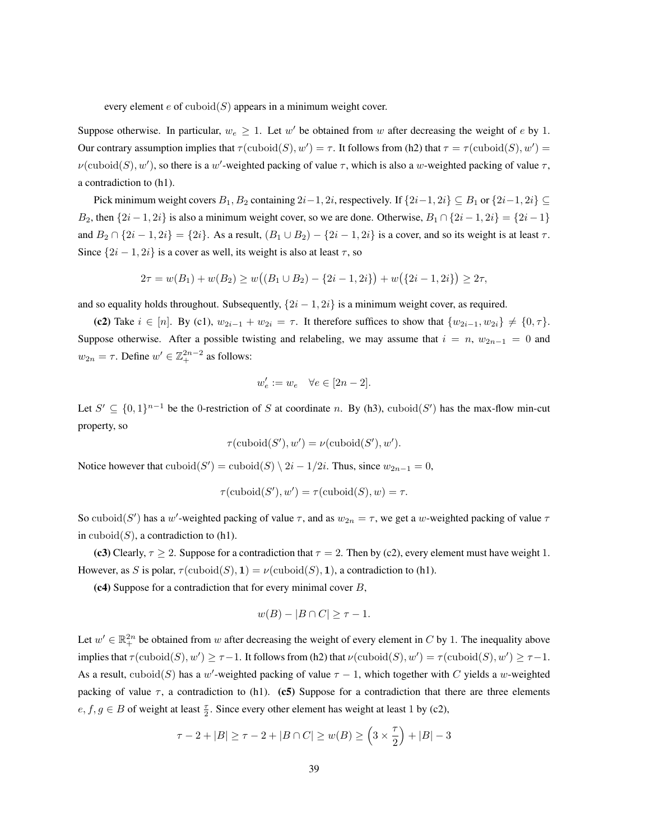every element  $e$  of  $\mathrm{cuboid}(S)$  appears in a minimum weight cover.

Suppose otherwise. In particular,  $w_e \geq 1$ . Let w' be obtained from w after decreasing the weight of e by 1. Our contrary assumption implies that  $\tau(\text{cuboid}(S), w') = \tau$ . It follows from (h2) that  $\tau = \tau(\text{cuboid}(S), w') =$  $\nu(\text{cuboid}(S), w')$ , so there is a w'-weighted packing of value  $\tau$ , which is also a w-weighted packing of value  $\tau$ , a contradiction to (h1).

Pick minimum weight covers  $B_1, B_2$  containing  $2i-1, 2i$ , respectively. If  $\{2i-1, 2i\} \subseteq B_1$  or  $\{2i-1, 2i\} \subseteq$ B<sub>2</sub>, then  $\{2i - 1, 2i\}$  is also a minimum weight cover, so we are done. Otherwise,  $B_1 \cap \{2i - 1, 2i\} = \{2i - 1\}$ and  $B_2 \cap \{2i-1, 2i\} = \{2i\}$ . As a result,  $(B_1 \cup B_2) - \{2i-1, 2i\}$  is a cover, and so its weight is at least  $\tau$ . Since  $\{2i - 1, 2i\}$  is a cover as well, its weight is also at least  $\tau$ , so

$$
2\tau = w(B_1) + w(B_2) \ge w((B_1 \cup B_2) - \{2i - 1, 2i\}) + w(\{2i - 1, 2i\}) \ge 2\tau,
$$

and so equality holds throughout. Subsequently,  $\{2i - 1, 2i\}$  is a minimum weight cover, as required.

(c2) Take  $i \in [n]$ . By (c1),  $w_{2i-1} + w_{2i} = \tau$ . It therefore suffices to show that  $\{w_{2i-1}, w_{2i}\} \neq \{0, \tau\}$ . Suppose otherwise. After a possible twisting and relabeling, we may assume that  $i = n$ ,  $w_{2n-1} = 0$  and  $w_{2n} = \tau$ . Define  $w' \in \mathbb{Z}_+^{2n-2}$  as follows:

$$
w'_e := w_e \quad \forall e \in [2n - 2].
$$

Let  $S' \subseteq \{0,1\}^{n-1}$  be the 0-restriction of S at coordinate n. By (h3), cuboid(S') has the max-flow min-cut property, so

$$
\tau(\mathrm{cuboid}(S'), w') = \nu(\mathrm{cuboid}(S'), w').
$$

Notice however that  $\text{cuboid}(S') = \text{cuboid}(S) \setminus 2i - 1/2i$ . Thus, since  $w_{2n-1} = 0$ ,

$$
\tau(\mathrm{cuboid}(S'), w') = \tau(\mathrm{cuboid}(S), w) = \tau.
$$

So cuboid(S') has a w'-weighted packing of value  $\tau$ , and as  $w_{2n} = \tau$ , we get a w-weighted packing of value  $\tau$ in cuboid $(S)$ , a contradiction to  $(h1)$ .

(c3) Clearly,  $\tau \geq 2$ . Suppose for a contradiction that  $\tau = 2$ . Then by (c2), every element must have weight 1. However, as S is polar,  $\tau(\text{cuboid}(S), 1) = \nu(\text{cuboid}(S), 1)$ , a contradiction to (h1).

 $(c4)$  Suppose for a contradiction that for every minimal cover B,

$$
w(B) - |B \cap C| \ge \tau - 1.
$$

Let  $w' \in \mathbb{R}^{2n}_+$  be obtained from w after decreasing the weight of every element in C by 1. The inequality above implies that  $\tau(\text{cuboid}(S), w') \geq \tau - 1$ . It follows from (h2) that  $\nu(\text{cuboid}(S), w') = \tau(\text{cuboid}(S), w') \geq \tau - 1$ . As a result, cuboid(S) has a w'-weighted packing of value  $\tau - 1$ , which together with C yields a w-weighted packing of value  $\tau$ , a contradiction to (h1). (c5) Suppose for a contradiction that there are three elements  $e, f, g \in B$  of weight at least  $\frac{\tau}{2}$ . Since every other element has weight at least 1 by (c2),

$$
\tau - 2 + |B| \ge \tau - 2 + |B \cap C| \ge w(B) \ge \left(3 \times \frac{\tau}{2}\right) + |B| - 3
$$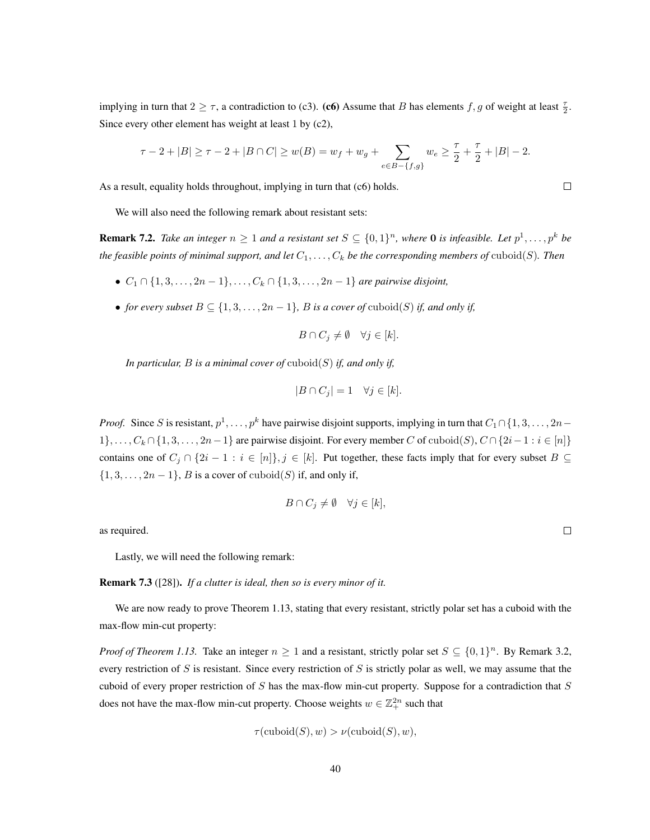implying in turn that  $2 \ge \tau$ , a contradiction to (c3). (c6) Assume that B has elements  $f, g$  of weight at least  $\frac{\tau}{2}$ . Since every other element has weight at least 1 by (c2),

$$
\tau-2+|B|\geq \tau-2+|B\cap C|\geq w(B)=w_f+w_g+\sum_{e\in B-\{f,g\}}w_e\geq \frac{\tau}{2}+\frac{\tau}{2}+|B|-2.
$$

As a result, equality holds throughout, implying in turn that (c6) holds.

We will also need the following remark about resistant sets:

**Remark 7.2.** Take an integer  $n \geq 1$  and a resistant set  $S \subseteq \{0,1\}^n$ , where 0 is infeasible. Let  $p^1, \ldots, p^k$  be *the feasible points of minimal support, and let*  $C_1, \ldots, C_k$  *be the corresponding members of*  $\text{cuboid}(S)$ *. Then* 

- $C_1 \cap \{1, 3, \ldots, 2n 1\}, \ldots, C_k \cap \{1, 3, \ldots, 2n 1\}$  *are pairwise disjoint,*
- *for every subset*  $B \subseteq \{1, 3, \ldots, 2n 1\}$ *, B is a cover of cuboid(S) if, and only if,*

$$
B \cap C_j \neq \emptyset \quad \forall j \in [k].
$$

*In particular,* B *is a minimal cover of* cuboid(S) *if, and only if,*

$$
|B \cap C_j| = 1 \quad \forall j \in [k].
$$

*Proof.* Since S is resistant,  $p^1, \ldots, p^k$  have pairwise disjoint supports, implying in turn that  $C_1 \cap \{1, 3, \ldots, 2n-1\}$  $1\}, \ldots, C_k \cap \{1, 3, \ldots, 2n-1\}$  are pairwise disjoint. For every member C of cuboid(S),  $C \cap \{2i-1 : i \in [n]\}$ contains one of  $C_j \cap \{2i-1 : i \in [n]\}, j \in [k]$ . Put together, these facts imply that for every subset  $B \subseteq$  $\{1, 3, \ldots, 2n-1\}$ , *B* is a cover of cuboid(*S*) if, and only if,

$$
B \cap C_j \neq \emptyset \quad \forall j \in [k],
$$

as required.

Lastly, we will need the following remark:

Remark 7.3 ([28]). *If a clutter is ideal, then so is every minor of it.*

We are now ready to prove Theorem 1.13, stating that every resistant, strictly polar set has a cuboid with the max-flow min-cut property:

*Proof of Theorem 1.13.* Take an integer  $n \ge 1$  and a resistant, strictly polar set  $S \subseteq \{0,1\}^n$ . By Remark 3.2, every restriction of S is resistant. Since every restriction of S is strictly polar as well, we may assume that the cuboid of every proper restriction of S has the max-flow min-cut property. Suppose for a contradiction that S does not have the max-flow min-cut property. Choose weights  $w \in \mathbb{Z}_+^{2n}$  such that

$$
\tau(\mathrm{cuboid}(S), w) > \nu(\mathrm{cuboid}(S), w),
$$

 $\Box$ 

 $\Box$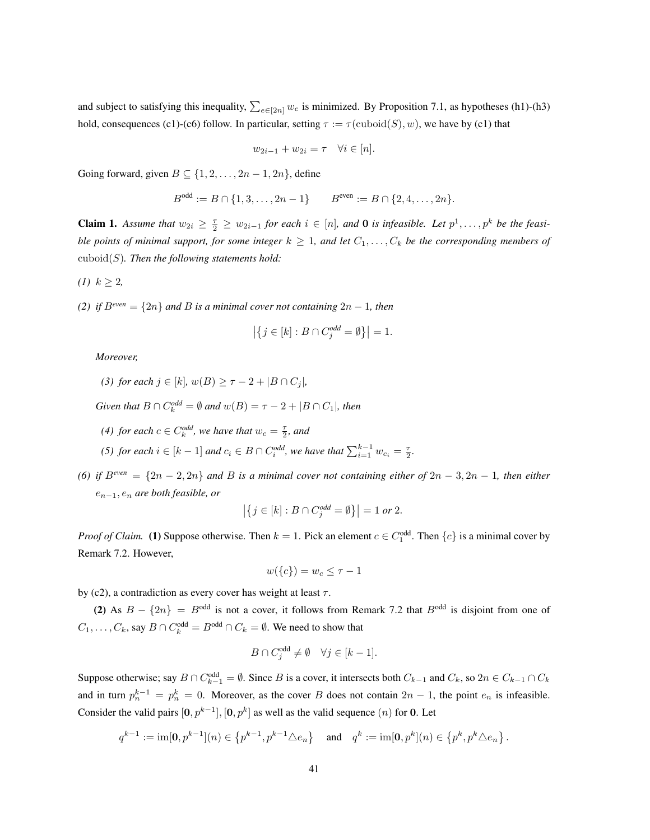and subject to satisfying this inequality,  $\sum_{e \in [2n]} w_e$  is minimized. By Proposition 7.1, as hypotheses (h1)-(h3) hold, consequences (c1)-(c6) follow. In particular, setting  $\tau := \tau(\text{cuboid}(S), w)$ , we have by (c1) that

$$
w_{2i-1} + w_{2i} = \tau \quad \forall i \in [n].
$$

Going forward, given  $B \subseteq \{1, 2, \ldots, 2n-1, 2n\}$ , define

$$
B^{\text{odd}} := B \cap \{1, 3, \dots, 2n - 1\} \qquad B^{\text{even}} := B \cap \{2, 4, \dots, 2n\}.
$$

**Claim 1.** Assume that  $w_{2i} \geq \frac{\tau}{2} \geq w_{2i-1}$  for each  $i \in [n]$ , and **0** is infeasible. Let  $p^1, \ldots, p^k$  be the feasi*ble points of minimal support, for some integer*  $k \geq 1$ , and let  $C_1, \ldots, C_k$  be the corresponding members of cuboid(S)*. Then the following statements hold:*

$$
(1) \ k \geq 2,
$$

*(2) if*  $B^{even} = \{2n\}$  *and B is a minimal cover not containing*  $2n - 1$ *, then* 

$$
\left|\left\{j \in [k] : B \cap C_j^{odd} = \emptyset\right\}\right| = 1.
$$

*Moreover,*

(3) for each 
$$
j \in [k]
$$
,  $w(B) \ge \tau - 2 + |B \cap C_j|$ ,

*Given that*  $B \cap C_k^{odd} = \emptyset$  *and*  $w(B) = \tau - 2 + |B \cap C_1|$ *, then* 

*(4) for each*  $c \in C_k^{odd}$ *, we have that*  $w_c = \frac{\tau}{2}$ *, and* 

*(5) for each*  $i \in [k-1]$  *and*  $c_i \in B \cap C_i^{odd}$ *, we have that*  $\sum_{i=1}^{k-1} w_{c_i} = \frac{\tau}{2}$ *.* 

*(6) if*  $B^{even} = \{2n - 2, 2n\}$  *and B is a minimal cover not containing either of*  $2n - 3, 2n - 1$ *, then either* e<sup>n</sup>−<sup>1</sup>, e<sup>n</sup> *are both feasible, or*

$$
\left| \left\{ j \in [k] : B \cap C_j^{odd} = \emptyset \right\} \right| = 1 \text{ or } 2.
$$

*Proof of Claim.* (1) Suppose otherwise. Then  $k = 1$ . Pick an element  $c \in C_1^{\text{odd}}$ . Then  $\{c\}$  is a minimal cover by Remark 7.2. However,

$$
w(\{c\}) = w_c \leq \tau - 1
$$

by (c2), a contradiction as every cover has weight at least  $\tau$ .

(2) As  $B - \{2n\} = B^{odd}$  is not a cover, it follows from Remark 7.2 that  $B^{odd}$  is disjoint from one of  $C_1, \ldots, C_k$ , say  $B \cap C_k^{\text{odd}} = B^{\text{odd}} \cap C_k = \emptyset$ . We need to show that

$$
B \cap C_j^{\text{odd}} \neq \emptyset \quad \forall j \in [k-1].
$$

Suppose otherwise; say  $B \cap C_{k-1}^{\text{odd}} = \emptyset$ . Since B is a cover, it intersects both  $C_{k-1}$  and  $C_k$ , so  $2n \in C_{k-1} \cap C_k$ and in turn  $p_n^{k-1} = p_n^k = 0$ . Moreover, as the cover B does not contain  $2n - 1$ , the point  $e_n$  is infeasible. Consider the valid pairs  $[0, p^{k-1}]$ ,  $[0, p^k]$  as well as the valid sequence  $(n)$  for 0. Let

$$
q^{k-1} := \text{im}[\mathbf{0}, p^{k-1}](n) \in \left\{ p^{k-1}, p^{k-1} \triangle e_n \right\} \quad \text{and} \quad q^k := \text{im}[\mathbf{0}, p^k](n) \in \left\{ p^k, p^k \triangle e_n \right\}.
$$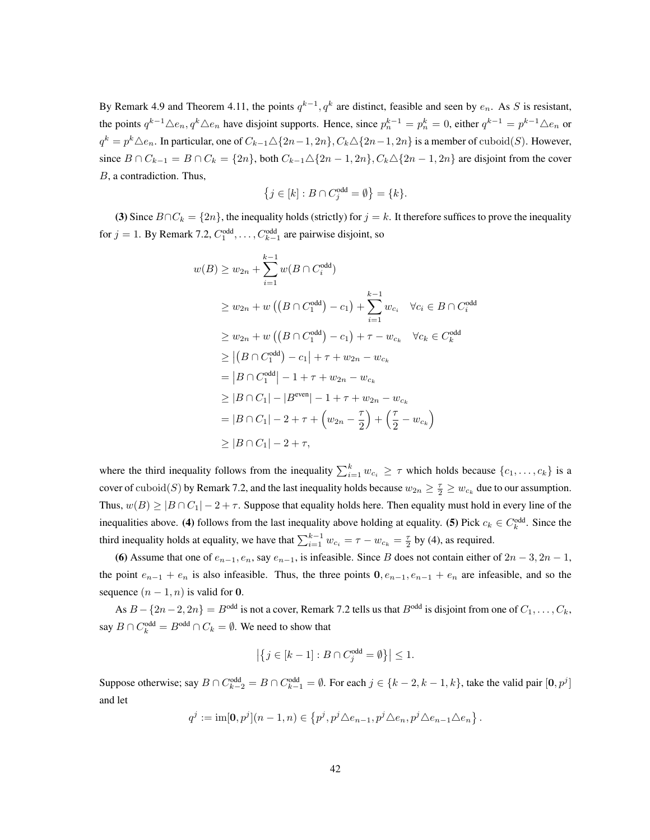By Remark 4.9 and Theorem 4.11, the points  $q^{k-1}$ ,  $q^k$  are distinct, feasible and seen by  $e_n$ . As S is resistant, the points  $q^{k-1}\triangle e_n$ ,  $q^k\triangle e_n$  have disjoint supports. Hence, since  $p_n^{k-1} = p_n^k = 0$ , either  $q^{k-1} = p^{k-1}\triangle e_n$  or  $q^k = p^k \triangle e_n$ . In particular, one of  $C_{k-1} \triangle \{2n-1, 2n\}$ ,  $C_k \triangle \{2n-1, 2n\}$  is a member of cuboid(S). However, since  $B \cap C_{k-1} = B \cap C_k = \{2n\}$ , both  $C_{k-1} \Delta \{2n-1, 2n\}$ ,  $C_k \Delta \{2n-1, 2n\}$  are disjoint from the cover B, a contradiction. Thus,

$$
\left\{j \in [k] : B \cap C_j^{\text{odd}} = \emptyset\right\} = \{k\}.
$$

(3) Since  $B \cap C_k = \{2n\}$ , the inequality holds (strictly) for  $j = k$ . It therefore suffices to prove the inequality for  $j = 1$ . By Remark 7.2,  $C_1^{\text{odd}}, \ldots, C_{k-1}^{\text{odd}}$  are pairwise disjoint, so

$$
w(B) \ge w_{2n} + \sum_{i=1}^{k-1} w(B \cap C_i^{\text{odd}})
$$
  
\n
$$
\ge w_{2n} + w ((B \cap C_1^{\text{odd}}) - c_1) + \sum_{i=1}^{k-1} w_{c_i} \quad \forall c_i \in B \cap C_i^{\text{odd}}
$$
  
\n
$$
\ge w_{2n} + w ((B \cap C_1^{\text{odd}}) - c_1) + \tau - w_{c_k} \quad \forall c_k \in C_k^{\text{odd}}
$$
  
\n
$$
\ge |(B \cap C_1^{\text{odd}}) - c_1| + \tau + w_{2n} - w_{c_k}
$$
  
\n
$$
= |B \cap C_1^{\text{odd}}| - 1 + \tau + w_{2n} - w_{c_k}
$$
  
\n
$$
\ge |B \cap C_1| - |B^{\text{even}}| - 1 + \tau + w_{2n} - w_{c_k}
$$
  
\n
$$
= |B \cap C_1| - 2 + \tau + (w_{2n} - \frac{\tau}{2}) + (\frac{\tau}{2} - w_{c_k})
$$
  
\n
$$
\ge |B \cap C_1| - 2 + \tau,
$$

where the third inequality follows from the inequality  $\sum_{i=1}^{k} w_{c_i} \geq \tau$  which holds because  $\{c_1, \ldots, c_k\}$  is a cover of cuboid(S) by Remark 7.2, and the last inequality holds because  $w_{2n} \geq \frac{\tau}{2} \geq w_{c_k}$  due to our assumption. Thus,  $w(B) \ge |B \cap C_1| - 2 + \tau$ . Suppose that equality holds here. Then equality must hold in every line of the inequalities above. (4) follows from the last inequality above holding at equality. (5) Pick  $c_k \in C_k^{\text{odd}}$ . Since the third inequality holds at equality, we have that  $\sum_{i=1}^{k-1} w_{c_i} = \tau - w_{c_k} = \frac{\tau}{2}$  by (4), as required.

(6) Assume that one of  $e_{n-1}, e_n$ , say  $e_{n-1}$ , is infeasible. Since B does not contain either of  $2n-3, 2n-1$ , the point  $e_{n-1} + e_n$  is also infeasible. Thus, the three points  $0, e_{n-1}, e_{n-1} + e_n$  are infeasible, and so the sequence  $(n-1, n)$  is valid for 0.

As  $B - \{2n-2, 2n\} = B^{odd}$  is not a cover, Remark 7.2 tells us that  $B^{odd}$  is disjoint from one of  $C_1, \ldots, C_k$ , say  $B \cap C_k^{\text{odd}} = B^{\text{odd}} \cap C_k = \emptyset$ . We need to show that

$$
\left|\left\{j \in [k-1] : B \cap C^{\text{odd}}_j = \emptyset\right\}\right| \leq 1.
$$

Suppose otherwise; say  $B \cap C_{k-2}^{\text{odd}} = B \cap C_{k-1}^{\text{odd}} = \emptyset$ . For each  $j \in \{k-2, k-1, k\}$ , take the valid pair  $[0, p^j]$ and let

$$
q^j := \operatorname{im}[\mathbf{0},p^j](n-1,n) \in \left\{p^j, p^j \triangle e_{n-1}, p^j \triangle e_n, p^j \triangle e_{n-1} \triangle e_n\right\}.
$$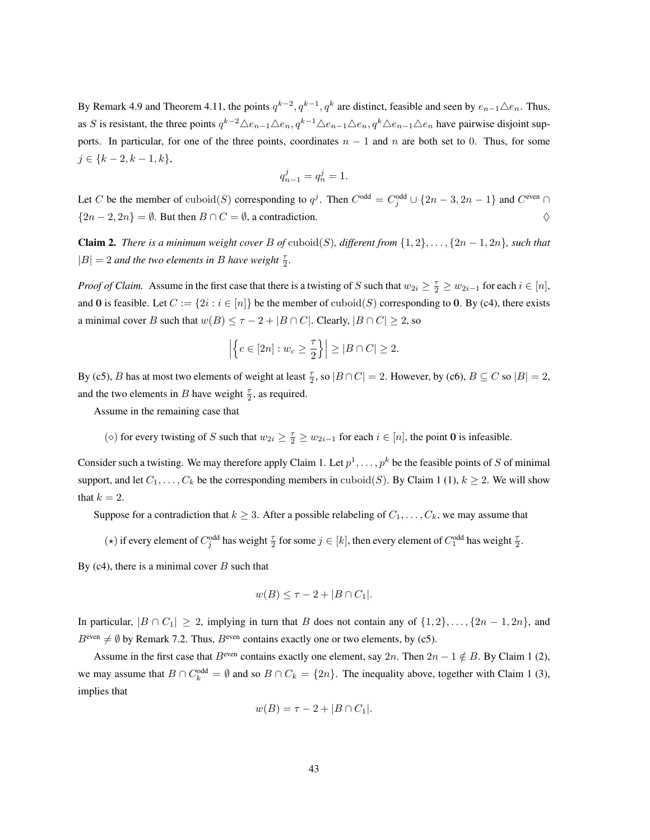By Remark 4.9 and Theorem 4.11, the points  $q^{k-2}$ ,  $q^{k-1}$ ,  $q^k$  are distinct, feasible and seen by  $e_{n-1}\triangle e_n$ . Thus, as S is resistant, the three points  $q^{k-2}\Delta e_{n-1}\Delta e_n$ ,  $q^{k-1}\Delta e_{n-1}\Delta e_n$ ,  $q^k\Delta e_{n-1}\Delta e_n$  have pairwise disjoint supports. In particular, for one of the three points, coordinates  $n - 1$  and n are both set to 0. Thus, for some  $j \in \{k-2, k-1, k\},\$ 

$$
q_{n-1}^j = q_n^j = 1.
$$

Let C be the member of cuboid(S) corresponding to  $q^j$ . Then  $C^{odd} = C_j^{odd} \cup \{2n-3, 2n-1\}$  and  $C^{even} \cap$  $\{2n-2, 2n\} = \emptyset$ . But then  $B \cap C = \emptyset$ , a contradiction.  $\diamondsuit$ 

**Claim 2.** *There is a minimum weight cover* B of cuboid(S), different from  $\{1, 2\}, \ldots, \{2n - 1, 2n\}$ , such that  $|B| = 2$  *and the two elements in B have weight*  $\frac{\tau}{2}$ *.* 

*Proof of Claim.* Assume in the first case that there is a twisting of S such that  $w_{2i} \geq \frac{\tau}{2} \geq w_{2i-1}$  for each  $i \in [n]$ , and 0 is feasible. Let  $C := \{2i : i \in [n]\}$  be the member of cuboid(S) corresponding to 0. By (c4), there exists a minimal cover B such that  $w(B) \leq \tau - 2 + |B \cap C|$ . Clearly,  $|B \cap C| \geq 2$ , so

$$
\left| \left\{ c \in [2n] : w_c \ge \frac{\tau}{2} \right\} \right| \ge |B \cap C| \ge 2.
$$

By (c5), B has at most two elements of weight at least  $\frac{\tau}{2}$ , so  $|B \cap C| = 2$ . However, by (c6),  $B \subseteq C$  so  $|B| = 2$ , and the two elements in B have weight  $\frac{\tau}{2}$ , as required.

Assume in the remaining case that

(◇) for every twisting of S such that  $w_{2i} \geq \frac{\tau}{2} \geq w_{2i-1}$  for each  $i \in [n]$ , the point 0 is infeasible.

Consider such a twisting. We may therefore apply Claim 1. Let  $p^1, \ldots, p^k$  be the feasible points of S of minimal support, and let  $C_1, \ldots, C_k$  be the corresponding members in cuboid(S). By Claim 1 (1),  $k \ge 2$ . We will show that  $k = 2$ .

Suppose for a contradiction that  $k \geq 3$ . After a possible relabeling of  $C_1, \ldots, C_k$ , we may assume that

(\*) if every element of  $C_j^{\text{odd}}$  has weight  $\frac{\tau}{2}$  for some  $j \in [k]$ , then every element of  $C_1^{\text{odd}}$  has weight  $\frac{\tau}{2}$ .

By  $(c4)$ , there is a minimal cover B such that

$$
w(B) \leq \tau - 2 + |B \cap C_1|.
$$

In particular,  $|B \cap C_1| \ge 2$ , implying in turn that B does not contain any of  $\{1, 2\}, \ldots, \{2n - 1, 2n\}$ , and  $B^{\text{even}} \neq \emptyset$  by Remark 7.2. Thus,  $B^{\text{even}}$  contains exactly one or two elements, by (c5).

Assume in the first case that  $B^{\text{even}}$  contains exactly one element, say  $2n$ . Then  $2n - 1 \notin B$ . By Claim 1 (2), we may assume that  $B \cap C_k^{\text{odd}} = \emptyset$  and so  $B \cap C_k = \{2n\}$ . The inequality above, together with Claim 1 (3), implies that

$$
w(B) = \tau - 2 + |B \cap C_1|.
$$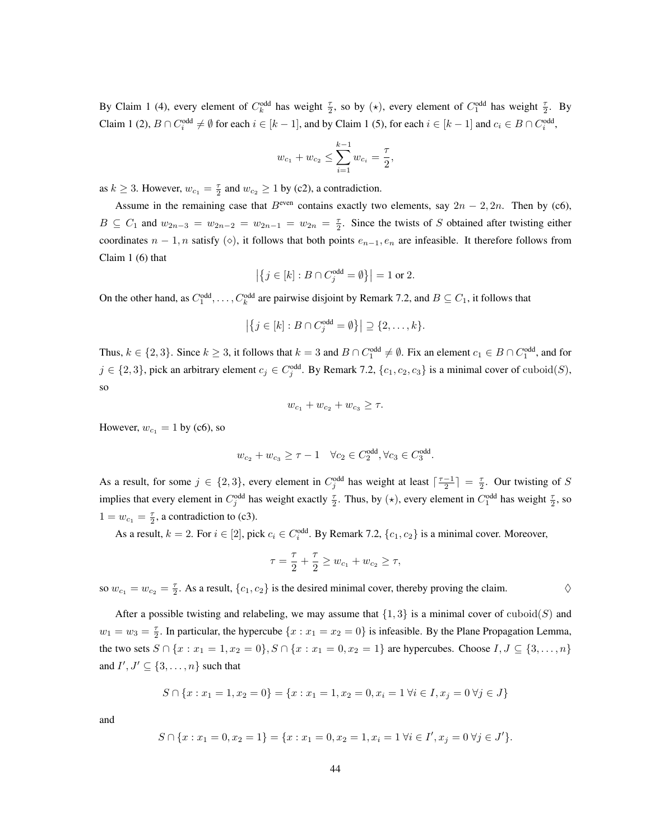By Claim 1 (4), every element of  $C_k^{\text{odd}}$  has weight  $\frac{\tau}{2}$ , so by ( $\star$ ), every element of  $C_1^{\text{odd}}$  has weight  $\frac{\tau}{2}$ . By Claim 1 (2),  $B \cap C_i^{\text{odd}} \neq \emptyset$  for each  $i \in [k-1]$ , and by Claim 1 (5), for each  $i \in [k-1]$  and  $c_i \in B \cap C_i^{\text{odd}}$ ,

$$
w_{c_1} + w_{c_2} \le \sum_{i=1}^{k-1} w_{c_i} = \frac{\tau}{2},
$$

as  $k \ge 3$ . However,  $w_{c_1} = \frac{\tau}{2}$  and  $w_{c_2} \ge 1$  by (c2), a contradiction.

Assume in the remaining case that  $B^{\text{even}}$  contains exactly two elements, say  $2n - 2$ , 2n. Then by (c6),  $B \subseteq C_1$  and  $w_{2n-3} = w_{2n-2} = w_{2n-1} = w_{2n} = \frac{\tau}{2}$ . Since the twists of S obtained after twisting either coordinates  $n-1$ , n satisfy  $(\diamond)$ , it follows that both points  $e_{n-1}$ ,  $e_n$  are infeasible. It therefore follows from Claim 1 (6) that

$$
\left|\left\{j \in [k] : B \cap C_j^{\text{odd}} = \emptyset\right\}\right| = 1 \text{ or } 2.
$$

On the other hand, as  $C_1^{\text{odd}}, \ldots, C_k^{\text{odd}}$  are pairwise disjoint by Remark 7.2, and  $B \subseteq C_1$ , it follows that

$$
\left| \left\{ j \in [k] : B \cap C_j^{\text{odd}} = \emptyset \right\} \right| \supseteq \{2, \dots, k\}.
$$

Thus,  $k \in \{2,3\}$ . Since  $k \ge 3$ , it follows that  $k = 3$  and  $B \cap C_1^{\text{odd}} \ne \emptyset$ . Fix an element  $c_1 \in B \cap C_1^{\text{odd}}$ , and for  $j \in \{2,3\}$ , pick an arbitrary element  $c_j \in C_j^{\text{odd}}$ . By Remark 7.2,  $\{c_1, c_2, c_3\}$  is a minimal cover of  $\text{cuboid}(S)$ , so

$$
w_{c_1} + w_{c_2} + w_{c_3} \ge \tau.
$$

However,  $w_{c_1} = 1$  by (c6), so

$$
w_{c_2} + w_{c_3} \ge \tau - 1 \quad \forall c_2 \in C_2^{\text{odd}}, \forall c_3 \in C_3^{\text{odd}}.
$$

As a result, for some  $j \in \{2,3\}$ , every element in  $C_j^{\text{odd}}$  has weight at least  $\lceil \frac{\tau-1}{2} \rceil = \frac{\tau}{2}$ . Our twisting of S implies that every element in  $C_j^{\text{odd}}$  has weight exactly  $\frac{\tau}{2}$ . Thus, by ( $\star$ ), every element in  $C_1^{\text{odd}}$  has weight  $\frac{\tau}{2}$ , so  $1 = w_{c_1} = \frac{\tau}{2}$ , a contradiction to (c3).

As a result,  $k = 2$ . For  $i \in [2]$ , pick  $c_i \in C_i^{\text{odd}}$ . By Remark 7.2,  $\{c_1, c_2\}$  is a minimal cover. Moreover,

$$
\tau = \frac{\tau}{2} + \frac{\tau}{2} \ge w_{c_1} + w_{c_2} \ge \tau,
$$

so  $w_{c_1} = w_{c_2} = \frac{\tau}{2}$ . As a result,  $\{c_1, c_2\}$  is the desired minimal cover, thereby proving the claim.

After a possible twisting and relabeling, we may assume that  $\{1, 3\}$  is a minimal cover of cuboid(S) and  $w_1 = w_3 = \frac{\tau}{2}$ . In particular, the hypercube  $\{x : x_1 = x_2 = 0\}$  is infeasible. By the Plane Propagation Lemma, the two sets  $S \cap \{x : x_1 = 1, x_2 = 0\}$ ,  $S \cap \{x : x_1 = 0, x_2 = 1\}$  are hypercubes. Choose  $I, J \subseteq \{3, ..., n\}$ and  $I', J' \subseteq \{3, \ldots, n\}$  such that

$$
S \cap \{x : x_1 = 1, x_2 = 0\} = \{x : x_1 = 1, x_2 = 0, x_i = 1 \,\forall i \in I, x_j = 0 \,\forall j \in J\}
$$

and

$$
S \cap \{x : x_1 = 0, x_2 = 1\} = \{x : x_1 = 0, x_2 = 1, x_i = 1 \,\forall i \in I', x_j = 0 \,\forall j \in J'\}.
$$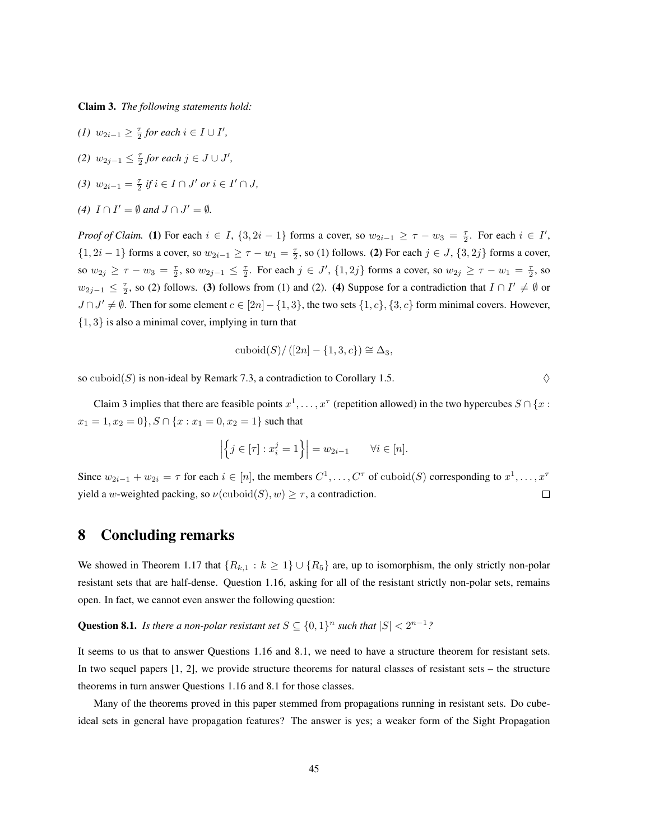Claim 3. *The following statements hold:*

- *(1)*  $w_{2i-1} \geq \frac{\tau}{2}$  *for each*  $i \in I \cup I'$ *,*
- *(2)*  $w_{2j-1} \leq \frac{\tau}{2}$  *for each*  $j \in J \cup J'$ *,*
- *(3)*  $w_{2i-1} = \frac{\tau}{2}$  *if*  $i \in I \cap J'$  *or*  $i \in I' \cap J$ *,*
- (4)  $I \cap I' = \emptyset$  and  $J \cap J' = \emptyset$ .

*Proof of Claim.* (1) For each  $i \in I$ ,  $\{3, 2i - 1\}$  forms a cover, so  $w_{2i-1} \geq \tau - w_3 = \frac{\tau}{2}$ . For each  $i \in I'$ ,  $\{1, 2i - 1\}$  forms a cover, so  $w_{2i-1} \geq \tau - w_1 = \frac{\tau}{2}$ , so (1) follows. (2) For each  $j \in J$ ,  $\{3, 2j\}$  forms a cover, so  $w_{2j} \geq \tau - w_3 = \frac{\tau}{2}$ , so  $w_{2j-1} \leq \frac{\tau}{2}$ . For each  $j \in J'$ ,  $\{1, 2j\}$  forms a cover, so  $w_{2j} \geq \tau - w_1 = \frac{\tau}{2}$ , so  $w_{2j-1} \leq \frac{\tau}{2}$ , so (2) follows. (3) follows from (1) and (2). (4) Suppose for a contradiction that  $I \cap I' \neq \emptyset$  or  $J \cap J' \neq \emptyset$ . Then for some element  $c \in [2n] - \{1,3\}$ , the two sets  $\{1,c\}$ ,  $\{3,c\}$  form minimal covers. However, {1, 3} is also a minimal cover, implying in turn that

cuboid
$$
(S)/([2n] - \{1,3,c\}) \cong \Delta_3
$$
,

so cuboid(S) is non-ideal by Remark 7.3, a contradiction to Corollary 1.5.  $\Diamond$ 

Claim 3 implies that there are feasible points  $x^1, \ldots, x^\tau$  (repetition allowed) in the two hypercubes  $S \cap \{x :$  $x_1 = 1, x_2 = 0\}, S \cap \{x : x_1 = 0, x_2 = 1\}$  such that

$$
\left| \left\{ j \in [\tau] : x_i^j = 1 \right\} \right| = w_{2i-1} \quad \forall i \in [n].
$$

Since  $w_{2i-1} + w_{2i} = \tau$  for each  $i \in [n]$ , the members  $C^1, \ldots, C^{\tau}$  of cuboid(S) corresponding to  $x^1, \ldots, x^{\tau}$ yield a w-weighted packing, so  $\nu(\text{cuboid}(S), w) \geq \tau$ , a contradiction.  $\Box$ 

# 8 Concluding remarks

We showed in Theorem 1.17 that  $\{R_{k,1} : k \geq 1\} \cup \{R_5\}$  are, up to isomorphism, the only strictly non-polar resistant sets that are half-dense. Question 1.16, asking for all of the resistant strictly non-polar sets, remains open. In fact, we cannot even answer the following question:

**Question 8.1.** *Is there a non-polar resistant set*  $S \subseteq \{0,1\}^n$  *such that*  $|S| < 2^{n-1}$ ?

It seems to us that to answer Questions 1.16 and 8.1, we need to have a structure theorem for resistant sets. In two sequel papers [1, 2], we provide structure theorems for natural classes of resistant sets – the structure theorems in turn answer Questions 1.16 and 8.1 for those classes.

Many of the theorems proved in this paper stemmed from propagations running in resistant sets. Do cubeideal sets in general have propagation features? The answer is yes; a weaker form of the Sight Propagation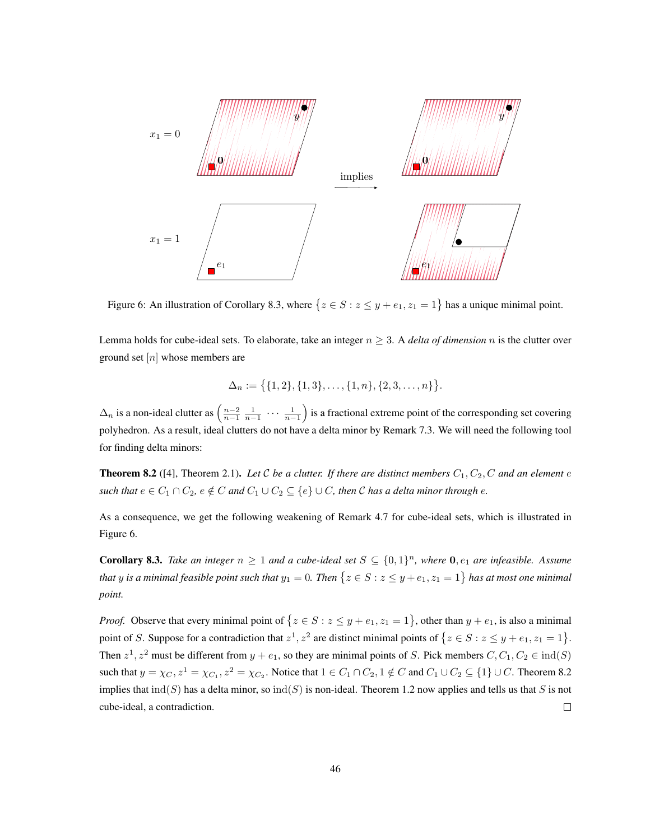

Figure 6: An illustration of Corollary 8.3, where  $\{z \in S : z \leq y + e_1, z_1 = 1\}$  has a unique minimal point.

Lemma holds for cube-ideal sets. To elaborate, take an integer  $n \geq 3$ . A *delta of dimension* n is the clutter over ground set  $[n]$  whose members are

$$
\Delta_n := \big\{ \{1,2\}, \{1,3\}, \ldots, \{1,n\}, \{2,3,\ldots,n\} \big\}.
$$

 $\Delta_n$  is a non-ideal clutter as  $\left(\frac{n-2}{n-1} \frac{1}{n-1} \cdots \frac{1}{n-1}\right)$ ) is a fractional extreme point of the corresponding set covering polyhedron. As a result, ideal clutters do not have a delta minor by Remark 7.3. We will need the following tool for finding delta minors:

**Theorem 8.2** ([4], Theorem 2.1). Let C be a clutter. If there are distinct members  $C_1, C_2, C$  and an element  $e$ *such that*  $e \in C_1 \cap C_2$ ,  $e \notin C$  *and*  $C_1 \cup C_2 \subseteq \{e\} \cup C$ , *then* C *has a delta minor through e.* 

As a consequence, we get the following weakening of Remark 4.7 for cube-ideal sets, which is illustrated in Figure 6.

**Corollary 8.3.** Take an integer  $n \geq 1$  and a cube-ideal set  $S \subseteq \{0,1\}^n$ , where  $0, e_1$  are infeasible. Assume that  $y$  is a minimal feasible point such that  $y_1 = 0$ . Then  $\{z \in S : z \leq y + e_1, z_1 = 1\}$  has at most one minimal *point.*

*Proof.* Observe that every minimal point of  $\{z \in S : z \leq y + e_1, z_1 = 1\}$ , other than  $y + e_1$ , is also a minimal point of S. Suppose for a contradiction that  $z^1, z^2$  are distinct minimal points of  $\{z \in S : z \leq y + e_1, z_1 = 1\}$ . Then  $z^1, z^2$  must be different from  $y + e_1$ , so they are minimal points of S. Pick members  $C, C_1, C_2 \in \text{ind}(S)$ such that  $y = \chi_C$ ,  $z^1 = \chi_{C_1}$ ,  $z^2 = \chi_{C_2}$ . Notice that  $1 \in C_1 \cap C_2$ ,  $1 \notin C$  and  $C_1 \cup C_2 \subseteq \{1\} \cup C$ . Theorem 8.2 implies that  $\text{ind}(S)$  has a delta minor, so  $\text{ind}(S)$  is non-ideal. Theorem 1.2 now applies and tells us that S is not cube-ideal, a contradiction.  $\Box$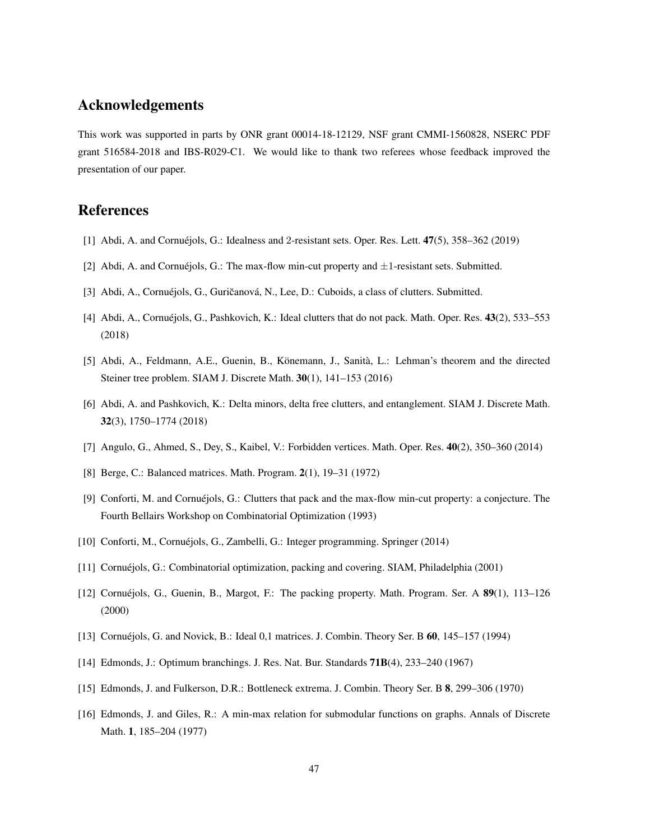# Acknowledgements

This work was supported in parts by ONR grant 00014-18-12129, NSF grant CMMI-1560828, NSERC PDF grant 516584-2018 and IBS-R029-C1. We would like to thank two referees whose feedback improved the presentation of our paper.

# References

- [1] Abdi, A. and Cornuéjols, G.: Idealness and 2-resistant sets. Oper. Res. Lett.  $47(5)$ ,  $358-362$  (2019)
- [2] Abdi, A. and Cornuéjols, G.: The max-flow min-cut property and  $\pm 1$ -resistant sets. Submitted.
- [3] Abdi, A., Cornuéjols, G., Guričanová, N., Lee, D.: Cuboids, a class of clutters. Submitted.
- [4] Abdi, A., Cornuéjols, G., Pashkovich, K.: Ideal clutters that do not pack. Math. Oper. Res. 43(2), 533–553 (2018)
- [5] Abdi, A., Feldmann, A.E., Guenin, B., Könemann, J., Sanità, L.: Lehman's theorem and the directed Steiner tree problem. SIAM J. Discrete Math. 30(1), 141–153 (2016)
- [6] Abdi, A. and Pashkovich, K.: Delta minors, delta free clutters, and entanglement. SIAM J. Discrete Math. 32(3), 1750–1774 (2018)
- [7] Angulo, G., Ahmed, S., Dey, S., Kaibel, V.: Forbidden vertices. Math. Oper. Res. 40(2), 350–360 (2014)
- [8] Berge, C.: Balanced matrices. Math. Program. 2(1), 19–31 (1972)
- [9] Conforti, M. and Cornuéjols, G.: Clutters that pack and the max-flow min-cut property: a conjecture. The Fourth Bellairs Workshop on Combinatorial Optimization (1993)
- [10] Conforti, M., Cornuejols, G., Zambelli, G.: Integer programming. Springer (2014) ´
- [11] Cornuejols, G.: Combinatorial optimization, packing and covering. SIAM, Philadelphia (2001) ´
- [12] Cornuéjols, G., Guenin, B., Margot, F.: The packing property. Math. Program. Ser. A  $89(1)$ , 113–126 (2000)
- [13] Cornuéjols, G. and Novick, B.: Ideal 0,1 matrices. J. Combin. Theory Ser. B  $60$ ,  $145-157$  (1994)
- [14] Edmonds, J.: Optimum branchings. J. Res. Nat. Bur. Standards 71B(4), 233–240 (1967)
- [15] Edmonds, J. and Fulkerson, D.R.: Bottleneck extrema. J. Combin. Theory Ser. B 8, 299–306 (1970)
- [16] Edmonds, J. and Giles, R.: A min-max relation for submodular functions on graphs. Annals of Discrete Math. 1, 185–204 (1977)